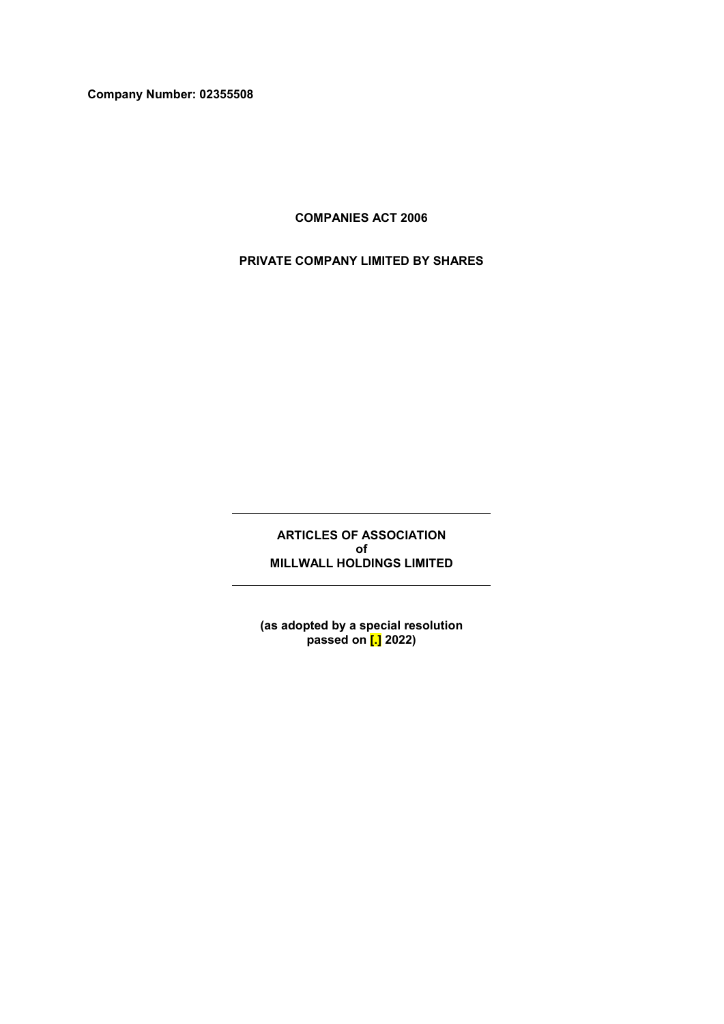**Company Number: 02355508**

**COMPANIES ACT 2006**

**PRIVATE COMPANY LIMITED BY SHARES**

**ARTICLES OF ASSOCIATION of MILLWALL HOLDINGS LIMITED**

**(as adopted by a special resolution passed on [.] 2022)**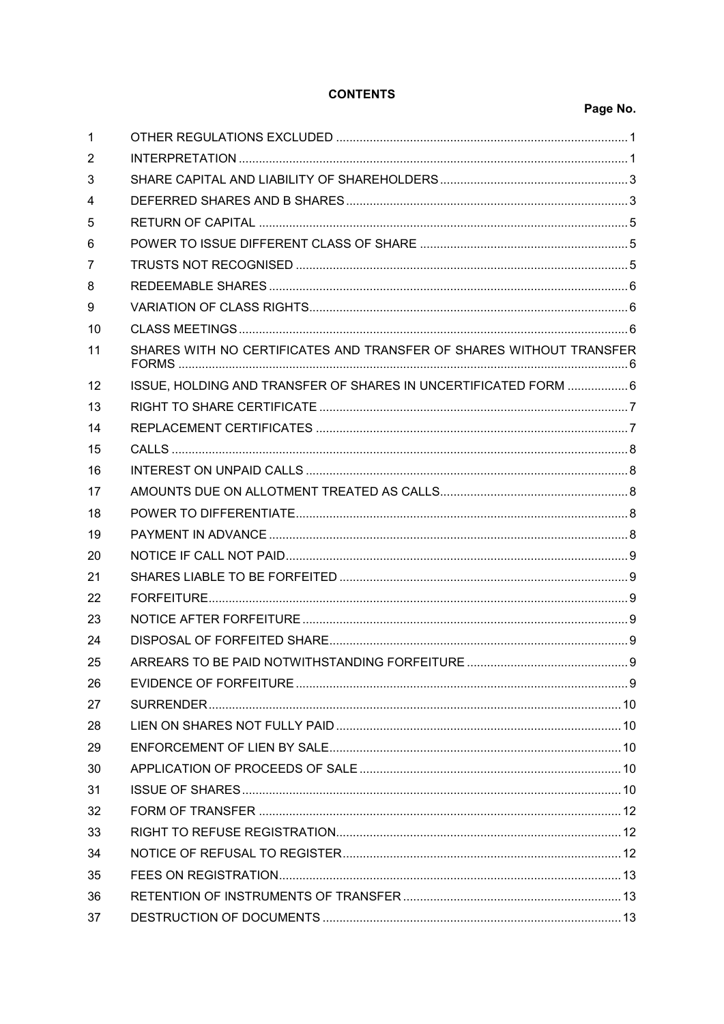# **CONTENTS**

# Page No.

| 1  |                                                                     |  |
|----|---------------------------------------------------------------------|--|
| 2  |                                                                     |  |
| 3  |                                                                     |  |
| 4  |                                                                     |  |
| 5  |                                                                     |  |
| 6  |                                                                     |  |
| 7  |                                                                     |  |
| 8  |                                                                     |  |
| 9  |                                                                     |  |
| 10 |                                                                     |  |
| 11 | SHARES WITH NO CERTIFICATES AND TRANSFER OF SHARES WITHOUT TRANSFER |  |
| 12 | ISSUE, HOLDING AND TRANSFER OF SHARES IN UNCERTIFICATED FORM  6     |  |
| 13 |                                                                     |  |
| 14 |                                                                     |  |
| 15 |                                                                     |  |
| 16 |                                                                     |  |
| 17 |                                                                     |  |
| 18 |                                                                     |  |
| 19 |                                                                     |  |
| 20 |                                                                     |  |
| 21 |                                                                     |  |
| 22 |                                                                     |  |
| 23 |                                                                     |  |
| 24 |                                                                     |  |
| 25 |                                                                     |  |
| 26 |                                                                     |  |
| 27 |                                                                     |  |
| 28 |                                                                     |  |
| 29 |                                                                     |  |
| 30 |                                                                     |  |
| 31 |                                                                     |  |
| 32 |                                                                     |  |
| 33 |                                                                     |  |
| 34 |                                                                     |  |
| 35 |                                                                     |  |
| 36 |                                                                     |  |
| 37 |                                                                     |  |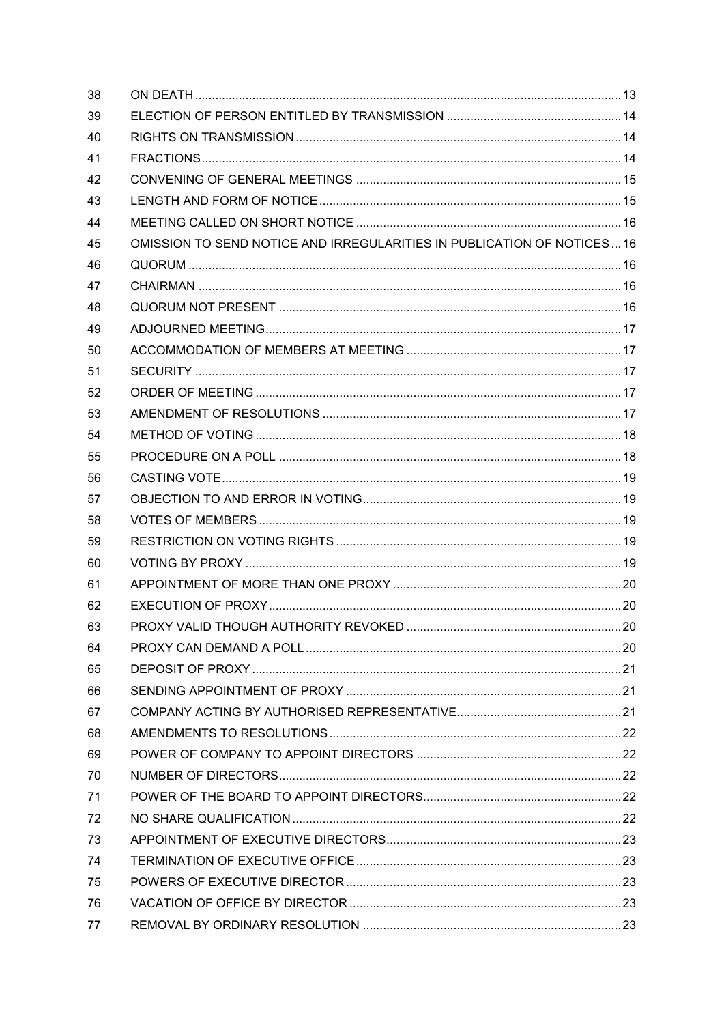| 38 |                                                                        |  |
|----|------------------------------------------------------------------------|--|
| 39 |                                                                        |  |
| 40 |                                                                        |  |
| 41 |                                                                        |  |
| 42 |                                                                        |  |
| 43 |                                                                        |  |
| 44 |                                                                        |  |
| 45 | OMISSION TO SEND NOTICE AND IRREGULARITIES IN PUBLICATION OF NOTICES16 |  |
| 46 |                                                                        |  |
| 47 |                                                                        |  |
| 48 |                                                                        |  |
| 49 |                                                                        |  |
| 50 |                                                                        |  |
| 51 |                                                                        |  |
| 52 |                                                                        |  |
| 53 |                                                                        |  |
| 54 |                                                                        |  |
| 55 |                                                                        |  |
| 56 |                                                                        |  |
| 57 |                                                                        |  |
| 58 |                                                                        |  |
| 59 |                                                                        |  |
| 60 |                                                                        |  |
| 61 |                                                                        |  |
| 62 |                                                                        |  |
| 63 |                                                                        |  |
| 64 |                                                                        |  |
| 65 |                                                                        |  |
| 66 |                                                                        |  |
| 67 |                                                                        |  |
| 68 |                                                                        |  |
| 69 |                                                                        |  |
| 70 |                                                                        |  |
| 71 |                                                                        |  |
| 72 |                                                                        |  |
| 73 |                                                                        |  |
| 74 |                                                                        |  |
| 75 |                                                                        |  |
| 76 |                                                                        |  |
| 77 |                                                                        |  |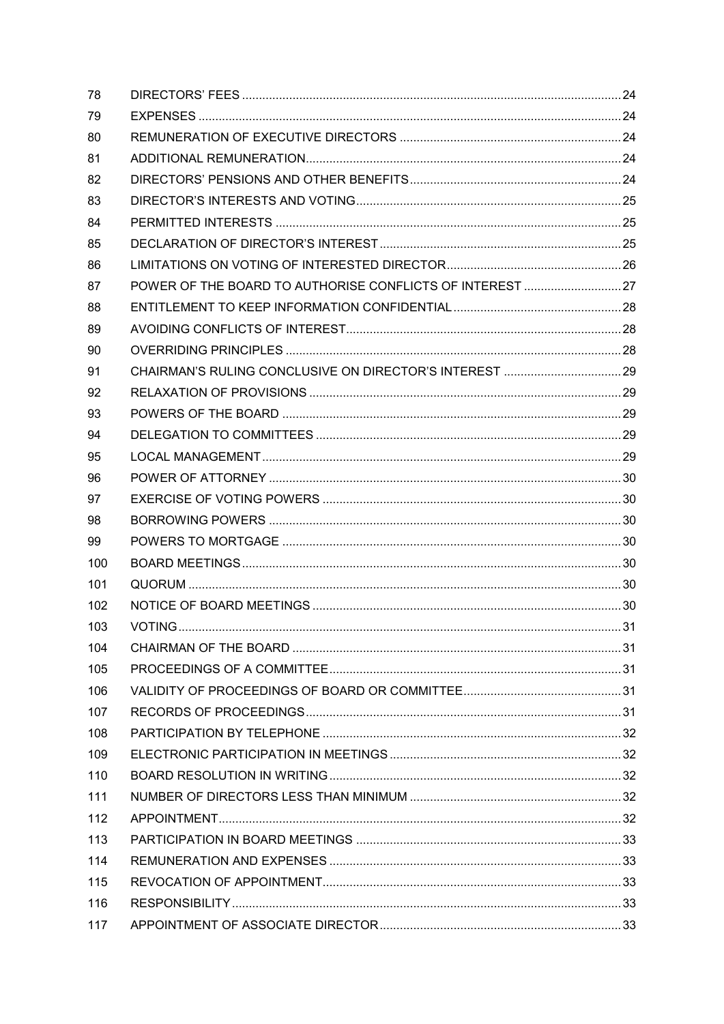| 78  |                                                           |  |
|-----|-----------------------------------------------------------|--|
| 79  |                                                           |  |
| 80  |                                                           |  |
| 81  |                                                           |  |
| 82  |                                                           |  |
| 83  |                                                           |  |
| 84  |                                                           |  |
| 85  |                                                           |  |
| 86  |                                                           |  |
| 87  | POWER OF THE BOARD TO AUTHORISE CONFLICTS OF INTEREST  27 |  |
| 88  |                                                           |  |
| 89  |                                                           |  |
| 90  |                                                           |  |
| 91  |                                                           |  |
| 92  |                                                           |  |
| 93  |                                                           |  |
| 94  |                                                           |  |
| 95  |                                                           |  |
| 96  |                                                           |  |
| 97  |                                                           |  |
| 98  |                                                           |  |
| 99  |                                                           |  |
| 100 |                                                           |  |
| 101 |                                                           |  |
| 102 |                                                           |  |
| 103 |                                                           |  |
| 104 |                                                           |  |
| 105 |                                                           |  |
| 106 |                                                           |  |
| 107 |                                                           |  |
| 108 |                                                           |  |
| 109 |                                                           |  |
| 110 |                                                           |  |
| 111 |                                                           |  |
| 112 |                                                           |  |
| 113 |                                                           |  |
| 114 |                                                           |  |
| 115 |                                                           |  |
| 116 |                                                           |  |
| 117 |                                                           |  |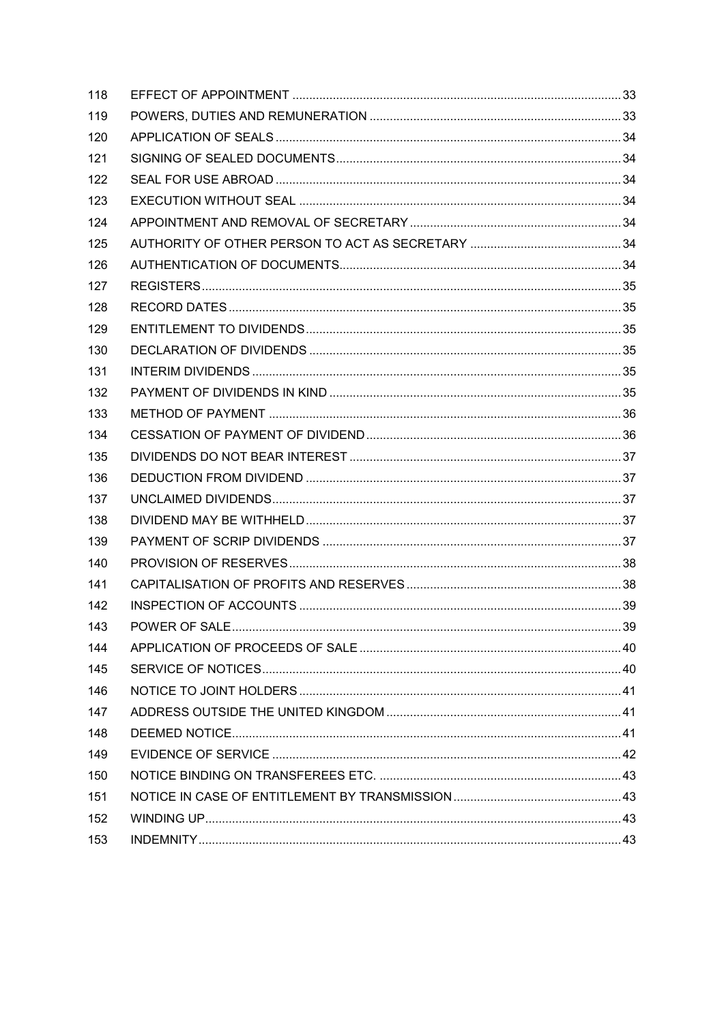| 118 |  |
|-----|--|
| 119 |  |
| 120 |  |
| 121 |  |
| 122 |  |
| 123 |  |
| 124 |  |
| 125 |  |
| 126 |  |
| 127 |  |
| 128 |  |
| 129 |  |
| 130 |  |
| 131 |  |
| 132 |  |
| 133 |  |
| 134 |  |
| 135 |  |
| 136 |  |
| 137 |  |
| 138 |  |
| 139 |  |
| 140 |  |
| 141 |  |
| 142 |  |
| 143 |  |
| 144 |  |
| 145 |  |
| 146 |  |
| 147 |  |
| 148 |  |
| 149 |  |
| 150 |  |
| 151 |  |
| 152 |  |
| 153 |  |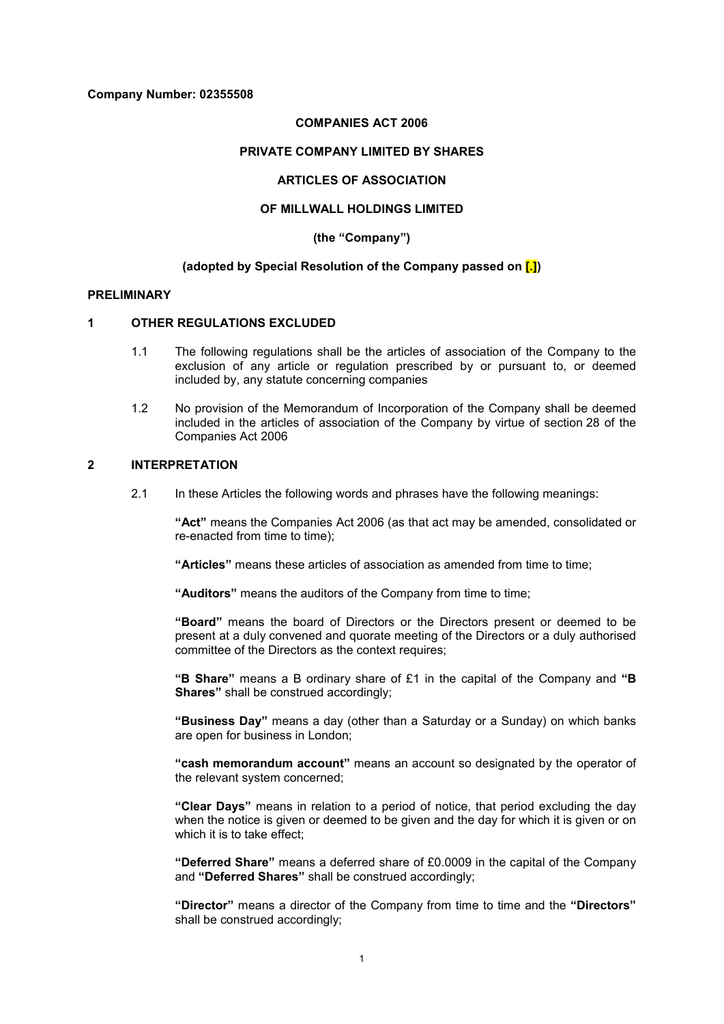#### **Company Number: 02355508**

## **COMPANIES ACT 2006**

### **PRIVATE COMPANY LIMITED BY SHARES**

## **ARTICLES OF ASSOCIATION**

## **OF MILLWALL HOLDINGS LIMITED**

**(the "Company")**

#### **(adopted by Special Resolution of the Company passed on [.])**

#### **PRELIMINARY**

#### **1 OTHER REGULATIONS EXCLUDED**

- 1.1 The following regulations shall be the articles of association of the Company to the exclusion of any article or regulation prescribed by or pursuant to, or deemed included by, any statute concerning companies
- 1.2 No provision of the Memorandum of Incorporation of the Company shall be deemed included in the articles of association of the Company by virtue of section 28 of the Companies Act 2006

### **2 INTERPRETATION**

2.1 In these Articles the following words and phrases have the following meanings:

**"Act"** means the Companies Act 2006 (as that act may be amended, consolidated or re-enacted from time to time);

**"Articles"** means these articles of association as amended from time to time;

**"Auditors"** means the auditors of the Company from time to time;

**"Board"** means the board of Directors or the Directors present or deemed to be present at a duly convened and quorate meeting of the Directors or a duly authorised committee of the Directors as the context requires;

**"B Share"** means a B ordinary share of £1 in the capital of the Company and **"B Shares"** shall be construed accordingly;

**"Business Day"** means a day (other than a Saturday or a Sunday) on which banks are open for business in London;

**"cash memorandum account"** means an account so designated by the operator of the relevant system concerned;

**"Clear Days"** means in relation to a period of notice, that period excluding the day when the notice is given or deemed to be given and the day for which it is given or on which it is to take effect;

**"Deferred Share"** means a deferred share of £0.0009 in the capital of the Company and **"Deferred Shares"** shall be construed accordingly;

**"Director"** means a director of the Company from time to time and the **"Directors"** shall be construed accordingly;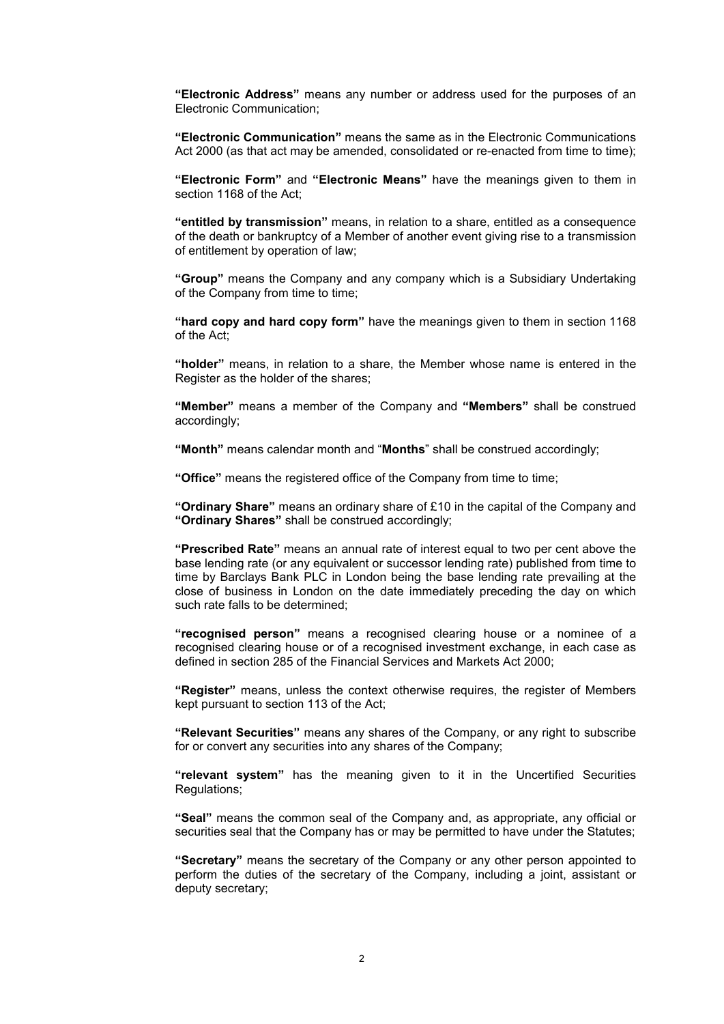**"Electronic Address"** means any number or address used for the purposes of an Electronic Communication;

**"Electronic Communication"** means the same as in the Electronic Communications Act 2000 (as that act may be amended, consolidated or re-enacted from time to time);

**"Electronic Form"** and **"Electronic Means"** have the meanings given to them in section 1168 of the Act;

**"entitled by transmission"** means, in relation to a share, entitled as a consequence of the death or bankruptcy of a Member of another event giving rise to a transmission of entitlement by operation of law;

**"Group"** means the Company and any company which is a Subsidiary Undertaking of the Company from time to time;

**"hard copy and hard copy form"** have the meanings given to them in section 1168 of the Act;

**"holder"** means, in relation to a share, the Member whose name is entered in the Register as the holder of the shares;

**"Member"** means a member of the Company and **"Members"** shall be construed accordingly;

**"Month"** means calendar month and "**Months**" shall be construed accordingly;

**"Office"** means the registered office of the Company from time to time;

**"Ordinary Share"** means an ordinary share of £10 in the capital of the Company and **"Ordinary Shares"** shall be construed accordingly;

**"Prescribed Rate"** means an annual rate of interest equal to two per cent above the base lending rate (or any equivalent or successor lending rate) published from time to time by Barclays Bank PLC in London being the base lending rate prevailing at the close of business in London on the date immediately preceding the day on which such rate falls to be determined;

**"recognised person"** means a recognised clearing house or a nominee of a recognised clearing house or of a recognised investment exchange, in each case as defined in section 285 of the Financial Services and Markets Act 2000;

**"Register"** means, unless the context otherwise requires, the register of Members kept pursuant to section 113 of the Act;

**"Relevant Securities"** means any shares of the Company, or any right to subscribe for or convert any securities into any shares of the Company;

**"relevant system"** has the meaning given to it in the Uncertified Securities Regulations;

**"Seal"** means the common seal of the Company and, as appropriate, any official or securities seal that the Company has or may be permitted to have under the Statutes;

**"Secretary"** means the secretary of the Company or any other person appointed to perform the duties of the secretary of the Company, including a joint, assistant or deputy secretary;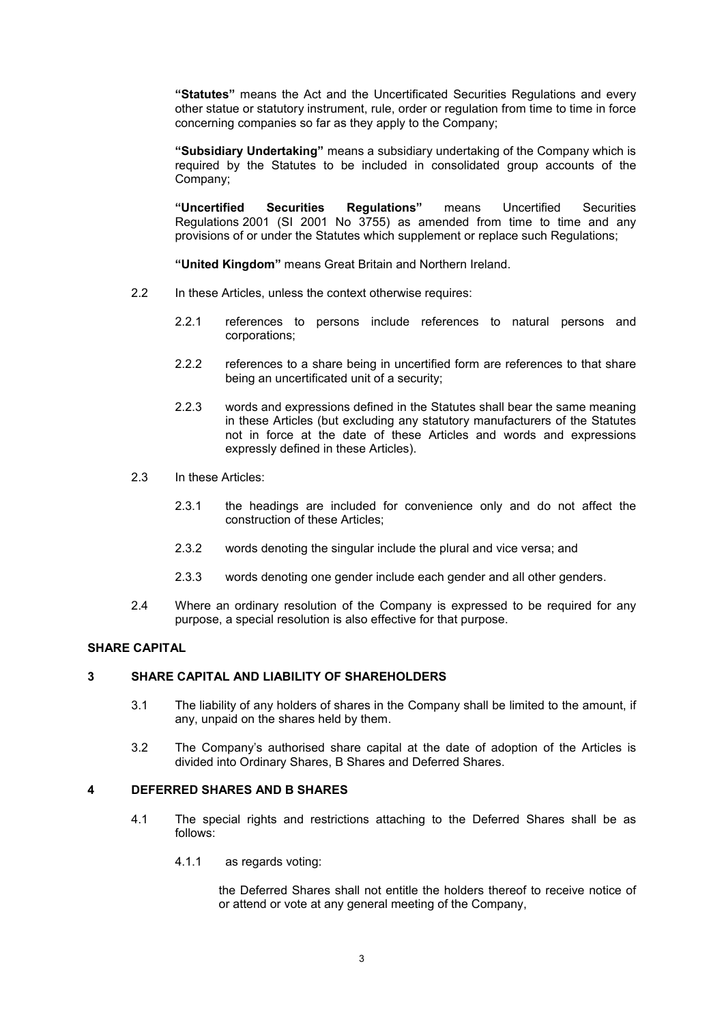**"Statutes"** means the Act and the Uncertificated Securities Regulations and every other statue or statutory instrument, rule, order or regulation from time to time in force concerning companies so far as they apply to the Company;

**"Subsidiary Undertaking"** means a subsidiary undertaking of the Company which is required by the Statutes to be included in consolidated group accounts of the Company;

**"Uncertified Securities Regulations"** means Uncertified Securities Regulations 2001 (SI 2001 No 3755) as amended from time to time and any provisions of or under the Statutes which supplement or replace such Regulations;

**"United Kingdom"** means Great Britain and Northern Ireland.

- 2.2 In these Articles, unless the context otherwise requires:
	- 2.2.1 references to persons include references to natural persons and corporations;
	- 2.2.2 references to a share being in uncertified form are references to that share being an uncertificated unit of a security;
	- 2.2.3 words and expressions defined in the Statutes shall bear the same meaning in these Articles (but excluding any statutory manufacturers of the Statutes not in force at the date of these Articles and words and expressions expressly defined in these Articles).
- 2.3 In these Articles:
	- 2.3.1 the headings are included for convenience only and do not affect the construction of these Articles;
	- 2.3.2 words denoting the singular include the plural and vice versa; and
	- 2.3.3 words denoting one gender include each gender and all other genders.
- 2.4 Where an ordinary resolution of the Company is expressed to be required for any purpose, a special resolution is also effective for that purpose.

## **SHARE CAPITAL**

### **3 SHARE CAPITAL AND LIABILITY OF SHAREHOLDERS**

- 3.1 The liability of any holders of shares in the Company shall be limited to the amount, if any, unpaid on the shares held by them.
- 3.2 The Company's authorised share capital at the date of adoption of the Articles is divided into Ordinary Shares, B Shares and Deferred Shares.

### **4 DEFERRED SHARES AND B SHARES**

- 4.1 The special rights and restrictions attaching to the Deferred Shares shall be as follows:
	- 4.1.1 as regards voting:

the Deferred Shares shall not entitle the holders thereof to receive notice of or attend or vote at any general meeting of the Company,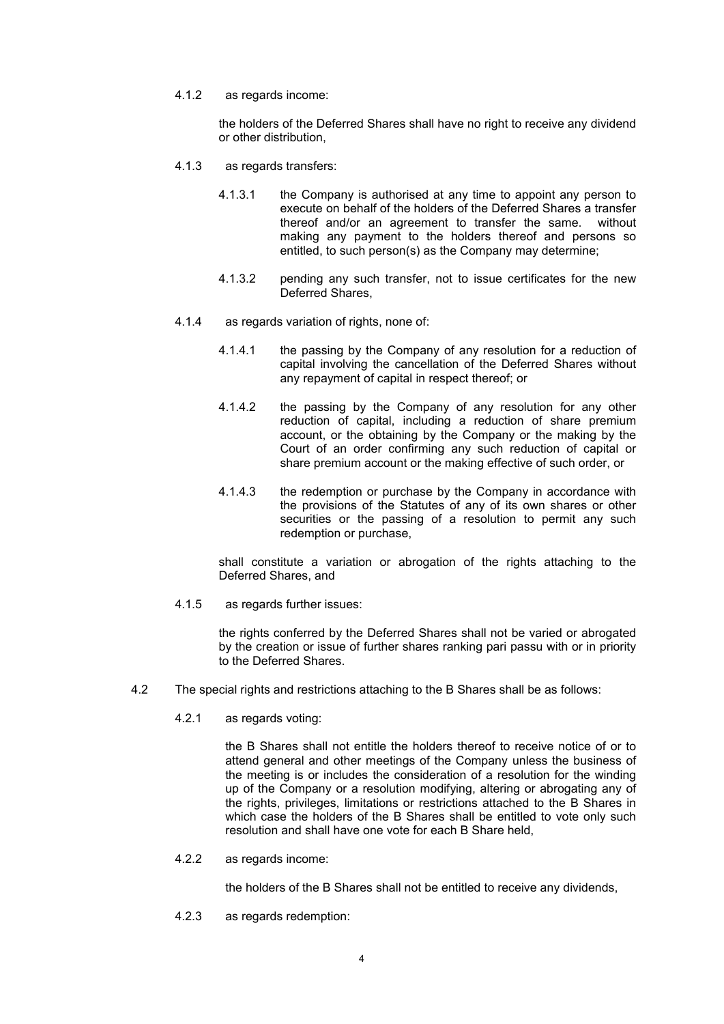4.1.2 as regards income:

the holders of the Deferred Shares shall have no right to receive any dividend or other distribution,

- 4.1.3 as regards transfers:
	- 4.1.3.1 the Company is authorised at any time to appoint any person to execute on behalf of the holders of the Deferred Shares a transfer thereof and/or an agreement to transfer the same. without making any payment to the holders thereof and persons so entitled, to such person(s) as the Company may determine;
	- 4.1.3.2 pending any such transfer, not to issue certificates for the new Deferred Shares,
- 4.1.4 as regards variation of rights, none of:
	- 4.1.4.1 the passing by the Company of any resolution for a reduction of capital involving the cancellation of the Deferred Shares without any repayment of capital in respect thereof; or
	- 4.1.4.2 the passing by the Company of any resolution for any other reduction of capital, including a reduction of share premium account, or the obtaining by the Company or the making by the Court of an order confirming any such reduction of capital or share premium account or the making effective of such order, or
	- 4.1.4.3 the redemption or purchase by the Company in accordance with the provisions of the Statutes of any of its own shares or other securities or the passing of a resolution to permit any such redemption or purchase,

shall constitute a variation or abrogation of the rights attaching to the Deferred Shares, and

4.1.5 as regards further issues:

the rights conferred by the Deferred Shares shall not be varied or abrogated by the creation or issue of further shares ranking pari passu with or in priority to the Deferred Shares.

- 4.2 The special rights and restrictions attaching to the B Shares shall be as follows:
	- 4.2.1 as regards voting:

the B Shares shall not entitle the holders thereof to receive notice of or to attend general and other meetings of the Company unless the business of the meeting is or includes the consideration of a resolution for the winding up of the Company or a resolution modifying, altering or abrogating any of the rights, privileges, limitations or restrictions attached to the B Shares in which case the holders of the B Shares shall be entitled to vote only such resolution and shall have one vote for each B Share held,

4.2.2 as regards income:

the holders of the B Shares shall not be entitled to receive any dividends,

4.2.3 as regards redemption: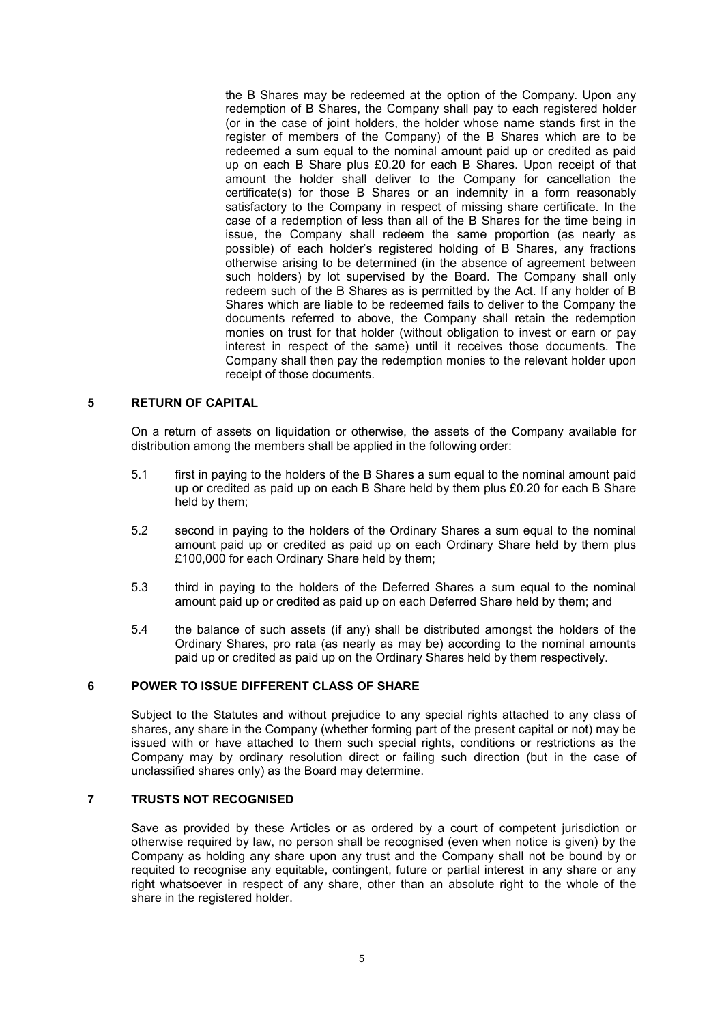the B Shares may be redeemed at the option of the Company. Upon any redemption of B Shares, the Company shall pay to each registered holder (or in the case of joint holders, the holder whose name stands first in the register of members of the Company) of the B Shares which are to be redeemed a sum equal to the nominal amount paid up or credited as paid up on each B Share plus £0.20 for each B Shares. Upon receipt of that amount the holder shall deliver to the Company for cancellation the certificate(s) for those B Shares or an indemnity in a form reasonably satisfactory to the Company in respect of missing share certificate. In the case of a redemption of less than all of the B Shares for the time being in issue, the Company shall redeem the same proportion (as nearly as possible) of each holder's registered holding of B Shares, any fractions otherwise arising to be determined (in the absence of agreement between such holders) by lot supervised by the Board. The Company shall only redeem such of the B Shares as is permitted by the Act. If any holder of B Shares which are liable to be redeemed fails to deliver to the Company the documents referred to above, the Company shall retain the redemption monies on trust for that holder (without obligation to invest or earn or pay interest in respect of the same) until it receives those documents. The Company shall then pay the redemption monies to the relevant holder upon receipt of those documents.

## **5 RETURN OF CAPITAL**

On a return of assets on liquidation or otherwise, the assets of the Company available for distribution among the members shall be applied in the following order:

- 5.1 first in paying to the holders of the B Shares a sum equal to the nominal amount paid up or credited as paid up on each B Share held by them plus £0.20 for each B Share held by them;
- 5.2 second in paying to the holders of the Ordinary Shares a sum equal to the nominal amount paid up or credited as paid up on each Ordinary Share held by them plus £100,000 for each Ordinary Share held by them;
- 5.3 third in paying to the holders of the Deferred Shares a sum equal to the nominal amount paid up or credited as paid up on each Deferred Share held by them; and
- 5.4 the balance of such assets (if any) shall be distributed amongst the holders of the Ordinary Shares, pro rata (as nearly as may be) according to the nominal amounts paid up or credited as paid up on the Ordinary Shares held by them respectively.

## **6 POWER TO ISSUE DIFFERENT CLASS OF SHARE**

Subject to the Statutes and without prejudice to any special rights attached to any class of shares, any share in the Company (whether forming part of the present capital or not) may be issued with or have attached to them such special rights, conditions or restrictions as the Company may by ordinary resolution direct or failing such direction (but in the case of unclassified shares only) as the Board may determine.

## **7 TRUSTS NOT RECOGNISED**

Save as provided by these Articles or as ordered by a court of competent jurisdiction or otherwise required by law, no person shall be recognised (even when notice is given) by the Company as holding any share upon any trust and the Company shall not be bound by or requited to recognise any equitable, contingent, future or partial interest in any share or any right whatsoever in respect of any share, other than an absolute right to the whole of the share in the registered holder.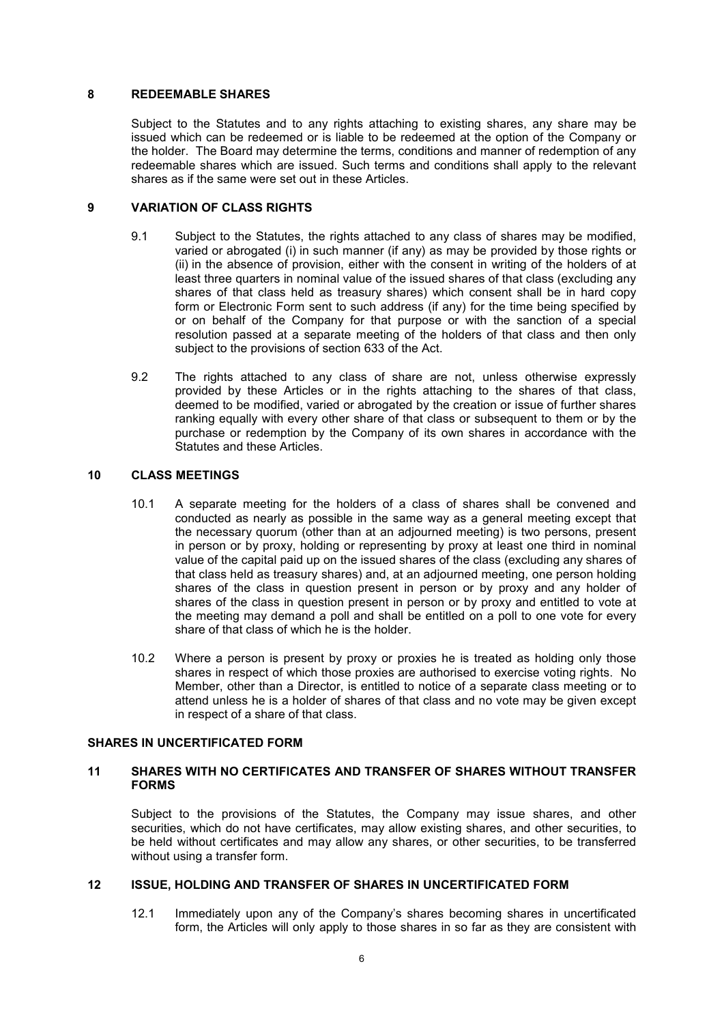### **8 REDEEMABLE SHARES**

Subject to the Statutes and to any rights attaching to existing shares, any share may be issued which can be redeemed or is liable to be redeemed at the option of the Company or the holder. The Board may determine the terms, conditions and manner of redemption of any redeemable shares which are issued. Such terms and conditions shall apply to the relevant shares as if the same were set out in these Articles.

## **9 VARIATION OF CLASS RIGHTS**

- 9.1 Subject to the Statutes, the rights attached to any class of shares may be modified, varied or abrogated (i) in such manner (if any) as may be provided by those rights or (ii) in the absence of provision, either with the consent in writing of the holders of at least three quarters in nominal value of the issued shares of that class (excluding any shares of that class held as treasury shares) which consent shall be in hard copy form or Electronic Form sent to such address (if any) for the time being specified by or on behalf of the Company for that purpose or with the sanction of a special resolution passed at a separate meeting of the holders of that class and then only subject to the provisions of section 633 of the Act.
- 9.2 The rights attached to any class of share are not, unless otherwise expressly provided by these Articles or in the rights attaching to the shares of that class, deemed to be modified, varied or abrogated by the creation or issue of further shares ranking equally with every other share of that class or subsequent to them or by the purchase or redemption by the Company of its own shares in accordance with the Statutes and these Articles.

## **10 CLASS MEETINGS**

- 10.1 A separate meeting for the holders of a class of shares shall be convened and conducted as nearly as possible in the same way as a general meeting except that the necessary quorum (other than at an adjourned meeting) is two persons, present in person or by proxy, holding or representing by proxy at least one third in nominal value of the capital paid up on the issued shares of the class (excluding any shares of that class held as treasury shares) and, at an adjourned meeting, one person holding shares of the class in question present in person or by proxy and any holder of shares of the class in question present in person or by proxy and entitled to vote at the meeting may demand a poll and shall be entitled on a poll to one vote for every share of that class of which he is the holder.
- 10.2 Where a person is present by proxy or proxies he is treated as holding only those shares in respect of which those proxies are authorised to exercise voting rights. No Member, other than a Director, is entitled to notice of a separate class meeting or to attend unless he is a holder of shares of that class and no vote may be given except in respect of a share of that class.

## **SHARES IN UNCERTIFICATED FORM**

## **11 SHARES WITH NO CERTIFICATES AND TRANSFER OF SHARES WITHOUT TRANSFER FORMS**

Subject to the provisions of the Statutes, the Company may issue shares, and other securities, which do not have certificates, may allow existing shares, and other securities, to be held without certificates and may allow any shares, or other securities, to be transferred without using a transfer form.

## **12 ISSUE, HOLDING AND TRANSFER OF SHARES IN UNCERTIFICATED FORM**

12.1 Immediately upon any of the Company's shares becoming shares in uncertificated form, the Articles will only apply to those shares in so far as they are consistent with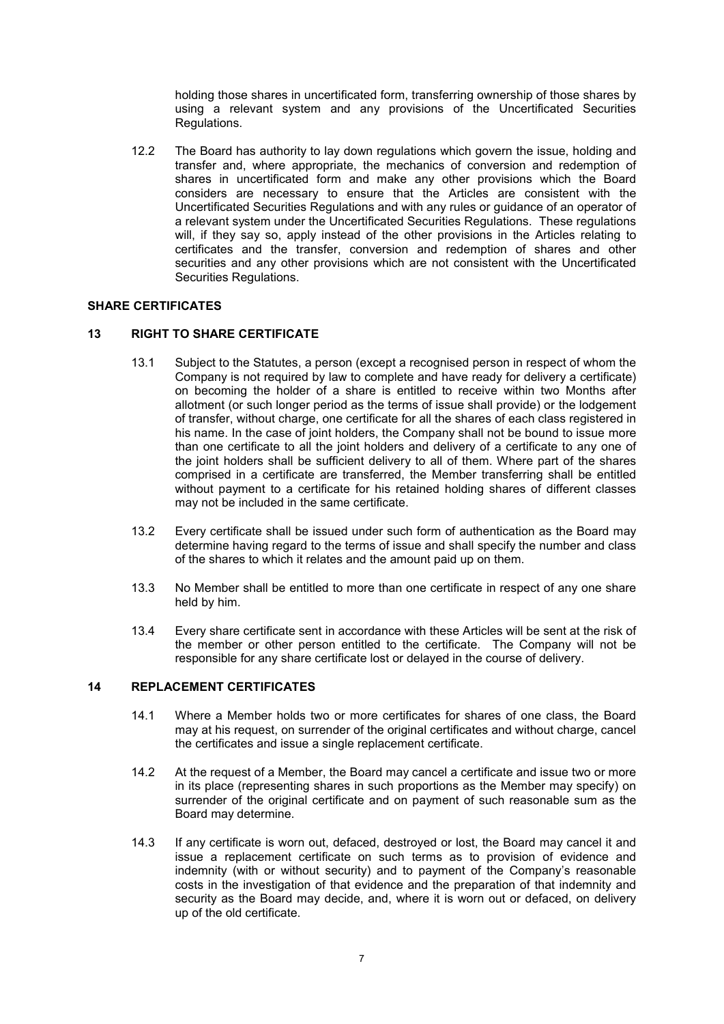holding those shares in uncertificated form, transferring ownership of those shares by using a relevant system and any provisions of the Uncertificated Securities Regulations.

12.2 The Board has authority to lay down regulations which govern the issue, holding and transfer and, where appropriate, the mechanics of conversion and redemption of shares in uncertificated form and make any other provisions which the Board considers are necessary to ensure that the Articles are consistent with the Uncertificated Securities Regulations and with any rules or guidance of an operator of a relevant system under the Uncertificated Securities Regulations. These regulations will, if they say so, apply instead of the other provisions in the Articles relating to certificates and the transfer, conversion and redemption of shares and other securities and any other provisions which are not consistent with the Uncertificated Securities Regulations.

## **SHARE CERTIFICATES**

## **13 RIGHT TO SHARE CERTIFICATE**

- 13.1 Subject to the Statutes, a person (except a recognised person in respect of whom the Company is not required by law to complete and have ready for delivery a certificate) on becoming the holder of a share is entitled to receive within two Months after allotment (or such longer period as the terms of issue shall provide) or the lodgement of transfer, without charge, one certificate for all the shares of each class registered in his name. In the case of joint holders, the Company shall not be bound to issue more than one certificate to all the joint holders and delivery of a certificate to any one of the joint holders shall be sufficient delivery to all of them. Where part of the shares comprised in a certificate are transferred, the Member transferring shall be entitled without payment to a certificate for his retained holding shares of different classes may not be included in the same certificate.
- 13.2 Every certificate shall be issued under such form of authentication as the Board may determine having regard to the terms of issue and shall specify the number and class of the shares to which it relates and the amount paid up on them.
- 13.3 No Member shall be entitled to more than one certificate in respect of any one share held by him.
- 13.4 Every share certificate sent in accordance with these Articles will be sent at the risk of the member or other person entitled to the certificate. The Company will not be responsible for any share certificate lost or delayed in the course of delivery.

### **14 REPLACEMENT CERTIFICATES**

- 14.1 Where a Member holds two or more certificates for shares of one class, the Board may at his request, on surrender of the original certificates and without charge, cancel the certificates and issue a single replacement certificate.
- 14.2 At the request of a Member, the Board may cancel a certificate and issue two or more in its place (representing shares in such proportions as the Member may specify) on surrender of the original certificate and on payment of such reasonable sum as the Board may determine.
- 14.3 If any certificate is worn out, defaced, destroyed or lost, the Board may cancel it and issue a replacement certificate on such terms as to provision of evidence and indemnity (with or without security) and to payment of the Company's reasonable costs in the investigation of that evidence and the preparation of that indemnity and security as the Board may decide, and, where it is worn out or defaced, on delivery up of the old certificate.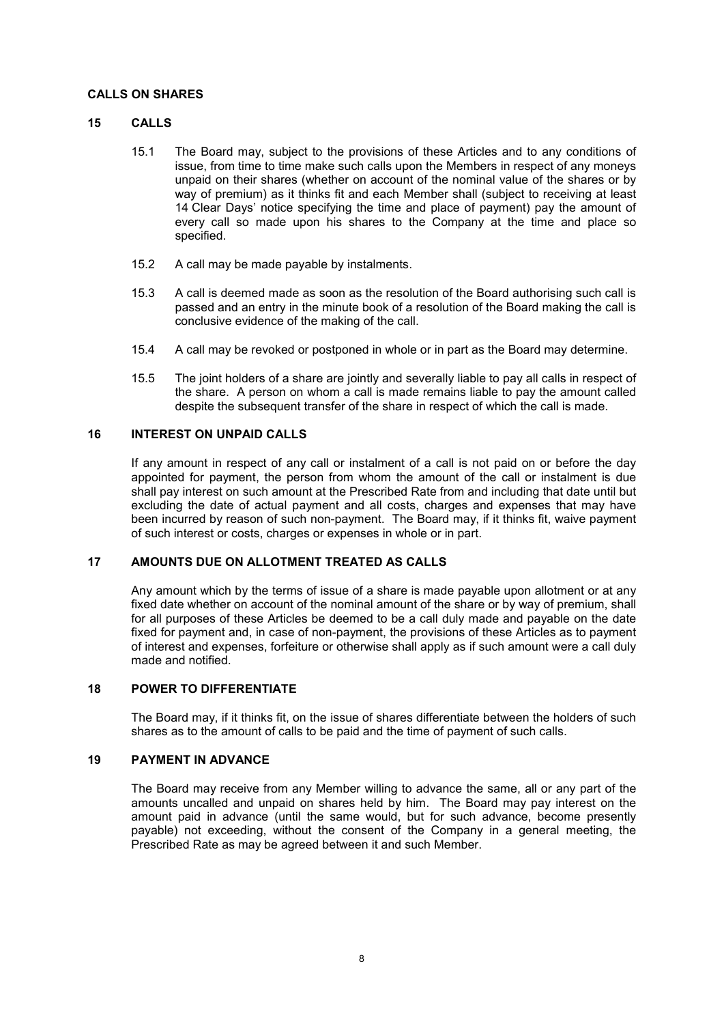## **CALLS ON SHARES**

#### **15 CALLS**

- 15.1 The Board may, subject to the provisions of these Articles and to any conditions of issue, from time to time make such calls upon the Members in respect of any moneys unpaid on their shares (whether on account of the nominal value of the shares or by way of premium) as it thinks fit and each Member shall (subject to receiving at least 14 Clear Days' notice specifying the time and place of payment) pay the amount of every call so made upon his shares to the Company at the time and place so specified.
- 15.2 A call may be made payable by instalments.
- 15.3 A call is deemed made as soon as the resolution of the Board authorising such call is passed and an entry in the minute book of a resolution of the Board making the call is conclusive evidence of the making of the call.
- 15.4 A call may be revoked or postponed in whole or in part as the Board may determine.
- 15.5 The joint holders of a share are jointly and severally liable to pay all calls in respect of the share. A person on whom a call is made remains liable to pay the amount called despite the subsequent transfer of the share in respect of which the call is made.

## **16 INTEREST ON UNPAID CALLS**

If any amount in respect of any call or instalment of a call is not paid on or before the day appointed for payment, the person from whom the amount of the call or instalment is due shall pay interest on such amount at the Prescribed Rate from and including that date until but excluding the date of actual payment and all costs, charges and expenses that may have been incurred by reason of such non-payment. The Board may, if it thinks fit, waive payment of such interest or costs, charges or expenses in whole or in part.

#### **17 AMOUNTS DUE ON ALLOTMENT TREATED AS CALLS**

Any amount which by the terms of issue of a share is made payable upon allotment or at any fixed date whether on account of the nominal amount of the share or by way of premium, shall for all purposes of these Articles be deemed to be a call duly made and payable on the date fixed for payment and, in case of non-payment, the provisions of these Articles as to payment of interest and expenses, forfeiture or otherwise shall apply as if such amount were a call duly made and notified.

## **18 POWER TO DIFFERENTIATE**

The Board may, if it thinks fit, on the issue of shares differentiate between the holders of such shares as to the amount of calls to be paid and the time of payment of such calls.

### **19 PAYMENT IN ADVANCE**

The Board may receive from any Member willing to advance the same, all or any part of the amounts uncalled and unpaid on shares held by him. The Board may pay interest on the amount paid in advance (until the same would, but for such advance, become presently payable) not exceeding, without the consent of the Company in a general meeting, the Prescribed Rate as may be agreed between it and such Member.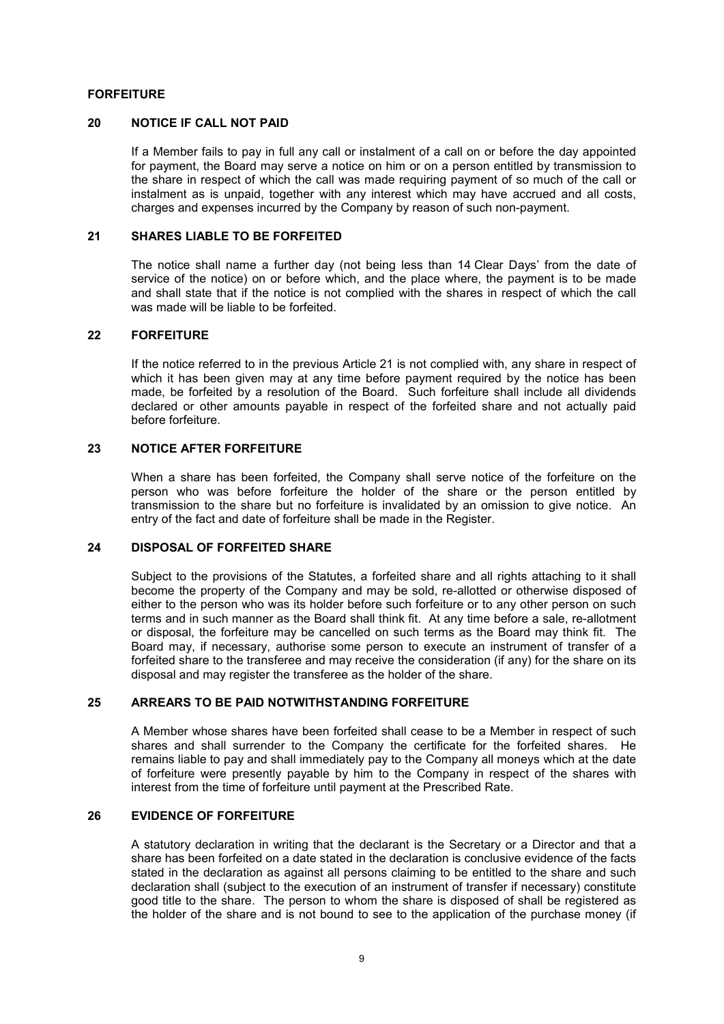## **FORFEITURE**

#### **20 NOTICE IF CALL NOT PAID**

If a Member fails to pay in full any call or instalment of a call on or before the day appointed for payment, the Board may serve a notice on him or on a person entitled by transmission to the share in respect of which the call was made requiring payment of so much of the call or instalment as is unpaid, together with any interest which may have accrued and all costs, charges and expenses incurred by the Company by reason of such non-payment.

#### **21 SHARES LIABLE TO BE FORFEITED**

The notice shall name a further day (not being less than 14 Clear Days' from the date of service of the notice) on or before which, and the place where, the payment is to be made and shall state that if the notice is not complied with the shares in respect of which the call was made will be liable to be forfeited.

#### **22 FORFEITURE**

If the notice referred to in the previous Article 21 is not complied with, any share in respect of which it has been given may at any time before payment required by the notice has been made, be forfeited by a resolution of the Board. Such forfeiture shall include all dividends declared or other amounts payable in respect of the forfeited share and not actually paid before forfeiture.

## **23 NOTICE AFTER FORFEITURE**

When a share has been forfeited, the Company shall serve notice of the forfeiture on the person who was before forfeiture the holder of the share or the person entitled by transmission to the share but no forfeiture is invalidated by an omission to give notice. An entry of the fact and date of forfeiture shall be made in the Register.

### **24 DISPOSAL OF FORFEITED SHARE**

Subject to the provisions of the Statutes, a forfeited share and all rights attaching to it shall become the property of the Company and may be sold, re-allotted or otherwise disposed of either to the person who was its holder before such forfeiture or to any other person on such terms and in such manner as the Board shall think fit. At any time before a sale, re-allotment or disposal, the forfeiture may be cancelled on such terms as the Board may think fit. The Board may, if necessary, authorise some person to execute an instrument of transfer of a forfeited share to the transferee and may receive the consideration (if any) for the share on its disposal and may register the transferee as the holder of the share.

## **25 ARREARS TO BE PAID NOTWITHSTANDING FORFEITURE**

A Member whose shares have been forfeited shall cease to be a Member in respect of such shares and shall surrender to the Company the certificate for the forfeited shares. He remains liable to pay and shall immediately pay to the Company all moneys which at the date of forfeiture were presently payable by him to the Company in respect of the shares with interest from the time of forfeiture until payment at the Prescribed Rate.

#### **26 EVIDENCE OF FORFEITURE**

A statutory declaration in writing that the declarant is the Secretary or a Director and that a share has been forfeited on a date stated in the declaration is conclusive evidence of the facts stated in the declaration as against all persons claiming to be entitled to the share and such declaration shall (subject to the execution of an instrument of transfer if necessary) constitute good title to the share. The person to whom the share is disposed of shall be registered as the holder of the share and is not bound to see to the application of the purchase money (if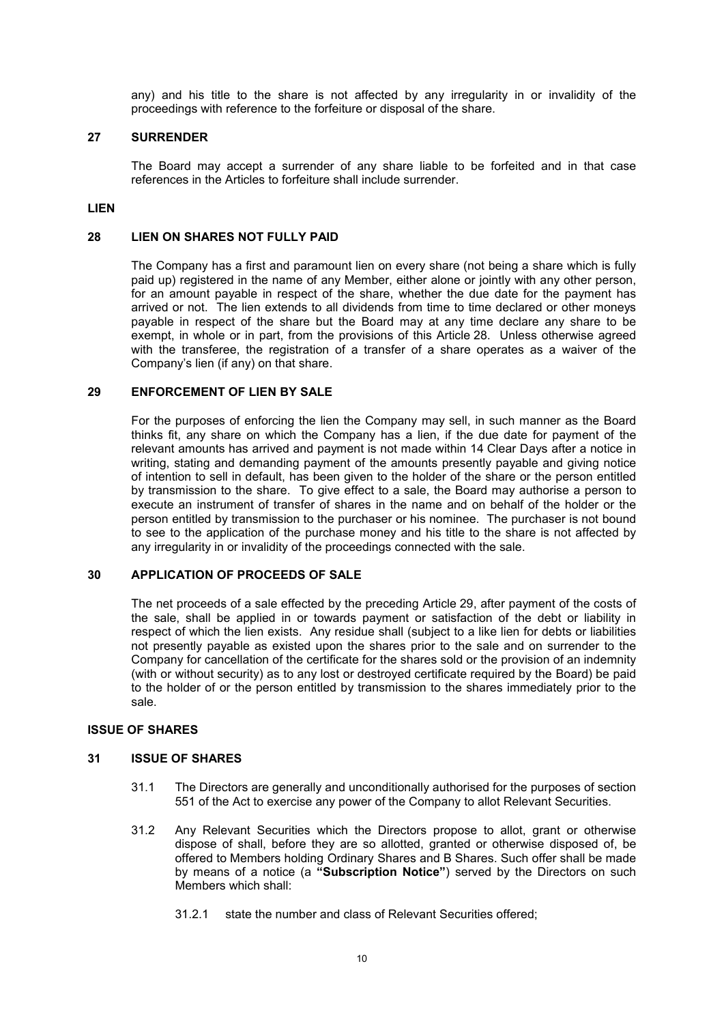any) and his title to the share is not affected by any irregularity in or invalidity of the proceedings with reference to the forfeiture or disposal of the share.

#### **27 SURRENDER**

The Board may accept a surrender of any share liable to be forfeited and in that case references in the Articles to forfeiture shall include surrender.

## **LIEN**

#### **28 LIEN ON SHARES NOT FULLY PAID**

The Company has a first and paramount lien on every share (not being a share which is fully paid up) registered in the name of any Member, either alone or jointly with any other person, for an amount payable in respect of the share, whether the due date for the payment has arrived or not. The lien extends to all dividends from time to time declared or other moneys payable in respect of the share but the Board may at any time declare any share to be exempt, in whole or in part, from the provisions of this Article 28. Unless otherwise agreed with the transferee, the registration of a transfer of a share operates as a waiver of the Company's lien (if any) on that share.

## **29 ENFORCEMENT OF LIEN BY SALE**

For the purposes of enforcing the lien the Company may sell, in such manner as the Board thinks fit, any share on which the Company has a lien, if the due date for payment of the relevant amounts has arrived and payment is not made within 14 Clear Days after a notice in writing, stating and demanding payment of the amounts presently payable and giving notice of intention to sell in default, has been given to the holder of the share or the person entitled by transmission to the share. To give effect to a sale, the Board may authorise a person to execute an instrument of transfer of shares in the name and on behalf of the holder or the person entitled by transmission to the purchaser or his nominee. The purchaser is not bound to see to the application of the purchase money and his title to the share is not affected by any irregularity in or invalidity of the proceedings connected with the sale.

### **30 APPLICATION OF PROCEEDS OF SALE**

The net proceeds of a sale effected by the preceding Article 29, after payment of the costs of the sale, shall be applied in or towards payment or satisfaction of the debt or liability in respect of which the lien exists. Any residue shall (subject to a like lien for debts or liabilities not presently payable as existed upon the shares prior to the sale and on surrender to the Company for cancellation of the certificate for the shares sold or the provision of an indemnity (with or without security) as to any lost or destroyed certificate required by the Board) be paid to the holder of or the person entitled by transmission to the shares immediately prior to the sale.

## **ISSUE OF SHARES**

#### **31 ISSUE OF SHARES**

- 31.1 The Directors are generally and unconditionally authorised for the purposes of section 551 of the Act to exercise any power of the Company to allot Relevant Securities.
- 31.2 Any Relevant Securities which the Directors propose to allot, grant or otherwise dispose of shall, before they are so allotted, granted or otherwise disposed of, be offered to Members holding Ordinary Shares and B Shares. Such offer shall be made by means of a notice (a **"Subscription Notice"**) served by the Directors on such Members which shall:
	- 31.2.1 state the number and class of Relevant Securities offered;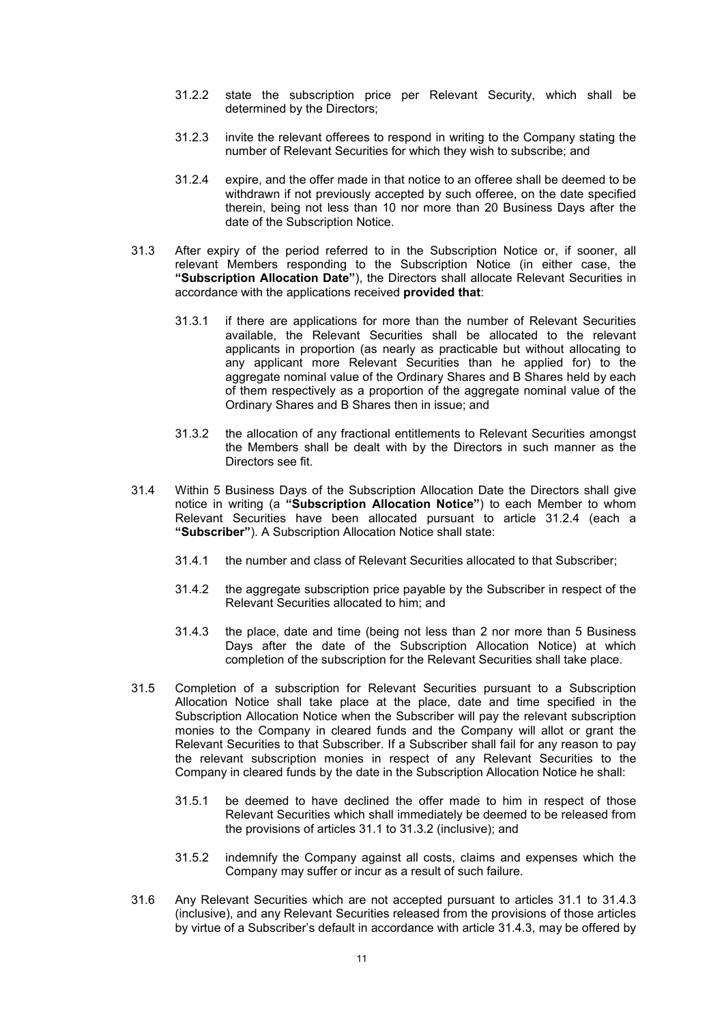- 31.2.2 state the subscription price per Relevant Security, which shall be determined by the Directors;
- 31.2.3 invite the relevant offerees to respond in writing to the Company stating the number of Relevant Securities for which they wish to subscribe; and
- 31.2.4 expire, and the offer made in that notice to an offeree shall be deemed to be withdrawn if not previously accepted by such offeree, on the date specified therein, being not less than 10 nor more than 20 Business Days after the date of the Subscription Notice.
- 31.3 After expiry of the period referred to in the Subscription Notice or, if sooner, all relevant Members responding to the Subscription Notice (in either case, the **"Subscription Allocation Date"**), the Directors shall allocate Relevant Securities in accordance with the applications received **provided that**:
	- 31.3.1 if there are applications for more than the number of Relevant Securities available, the Relevant Securities shall be allocated to the relevant applicants in proportion (as nearly as practicable but without allocating to any applicant more Relevant Securities than he applied for) to the aggregate nominal value of the Ordinary Shares and B Shares held by each of them respectively as a proportion of the aggregate nominal value of the Ordinary Shares and B Shares then in issue; and
	- 31.3.2 the allocation of any fractional entitlements to Relevant Securities amongst the Members shall be dealt with by the Directors in such manner as the Directors see fit.
- 31.4 Within 5 Business Days of the Subscription Allocation Date the Directors shall give notice in writing (a **"Subscription Allocation Notice"**) to each Member to whom Relevant Securities have been allocated pursuant to article 31.2.4 (each a **"Subscriber"**). A Subscription Allocation Notice shall state:
	- 31.4.1 the number and class of Relevant Securities allocated to that Subscriber;
	- 31.4.2 the aggregate subscription price payable by the Subscriber in respect of the Relevant Securities allocated to him; and
	- 31.4.3 the place, date and time (being not less than 2 nor more than 5 Business Days after the date of the Subscription Allocation Notice) at which completion of the subscription for the Relevant Securities shall take place.
- 31.5 Completion of a subscription for Relevant Securities pursuant to a Subscription Allocation Notice shall take place at the place, date and time specified in the Subscription Allocation Notice when the Subscriber will pay the relevant subscription monies to the Company in cleared funds and the Company will allot or grant the Relevant Securities to that Subscriber. If a Subscriber shall fail for any reason to pav the relevant subscription monies in respect of any Relevant Securities to the Company in cleared funds by the date in the Subscription Allocation Notice he shall:
	- 31.5.1 be deemed to have declined the offer made to him in respect of those Relevant Securities which shall immediately be deemed to be released from the provisions of articles 31.1 to 31.3.2 (inclusive); and
	- 31.5.2 indemnify the Company against all costs, claims and expenses which the Company may suffer or incur as a result of such failure.
- 31.6 Any Relevant Securities which are not accepted pursuant to articles 31.1 to 31.4.3 (inclusive), and any Relevant Securities released from the provisions of those articles by virtue of a Subscriber's default in accordance with article 31.4.3, may be offered by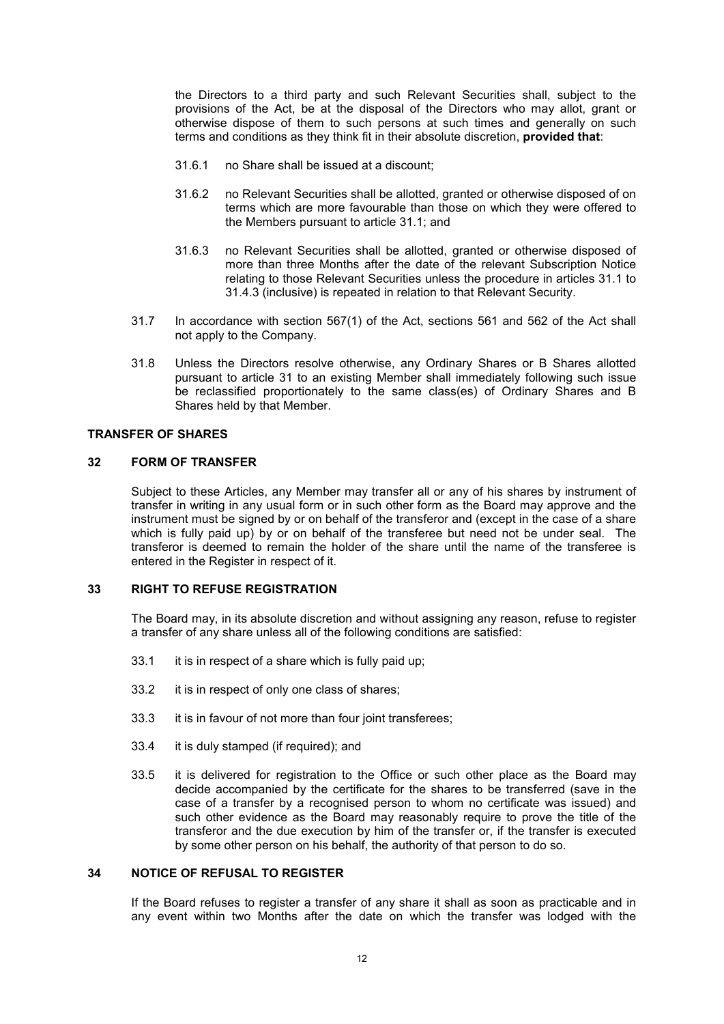the Directors to a third party and such Relevant Securities shall, subject to the provisions of the Act, be at the disposal of the Directors who may allot, grant or otherwise dispose of them to such persons at such times and generally on such terms and conditions as they think fit in their absolute discretion, **provided that**:

- 31.6.1 no Share shall be issued at a discount;
- 31.6.2 no Relevant Securities shall be allotted, granted or otherwise disposed of on terms which are more favourable than those on which they were offered to the Members pursuant to article 31.1; and
- 31.6.3 no Relevant Securities shall be allotted, granted or otherwise disposed of more than three Months after the date of the relevant Subscription Notice relating to those Relevant Securities unless the procedure in articles 31.1 to 31.4.3 (inclusive) is repeated in relation to that Relevant Security.
- 31.7 In accordance with section 567(1) of the Act, sections 561 and 562 of the Act shall not apply to the Company.
- 31.8 Unless the Directors resolve otherwise, any Ordinary Shares or B Shares allotted pursuant to article 31 to an existing Member shall immediately following such issue be reclassified proportionately to the same class(es) of Ordinary Shares and B Shares held by that Member.

#### **TRANSFER OF SHARES**

### **32 FORM OF TRANSFER**

Subject to these Articles, any Member may transfer all or any of his shares by instrument of transfer in writing in any usual form or in such other form as the Board may approve and the instrument must be signed by or on behalf of the transferor and (except in the case of a share which is fully paid up) by or on behalf of the transferee but need not be under seal. The transferor is deemed to remain the holder of the share until the name of the transferee is entered in the Register in respect of it.

## **33 RIGHT TO REFUSE REGISTRATION**

The Board may, in its absolute discretion and without assigning any reason, refuse to register a transfer of any share unless all of the following conditions are satisfied:

- 33.1 it is in respect of a share which is fully paid up;
- 33.2 it is in respect of only one class of shares;
- 33.3 it is in favour of not more than four joint transferees;
- 33.4 it is duly stamped (if required); and
- 33.5 it is delivered for registration to the Office or such other place as the Board may decide accompanied by the certificate for the shares to be transferred (save in the case of a transfer by a recognised person to whom no certificate was issued) and such other evidence as the Board may reasonably require to prove the title of the transferor and the due execution by him of the transfer or, if the transfer is executed by some other person on his behalf, the authority of that person to do so.

## **34 NOTICE OF REFUSAL TO REGISTER**

If the Board refuses to register a transfer of any share it shall as soon as practicable and in any event within two Months after the date on which the transfer was lodged with the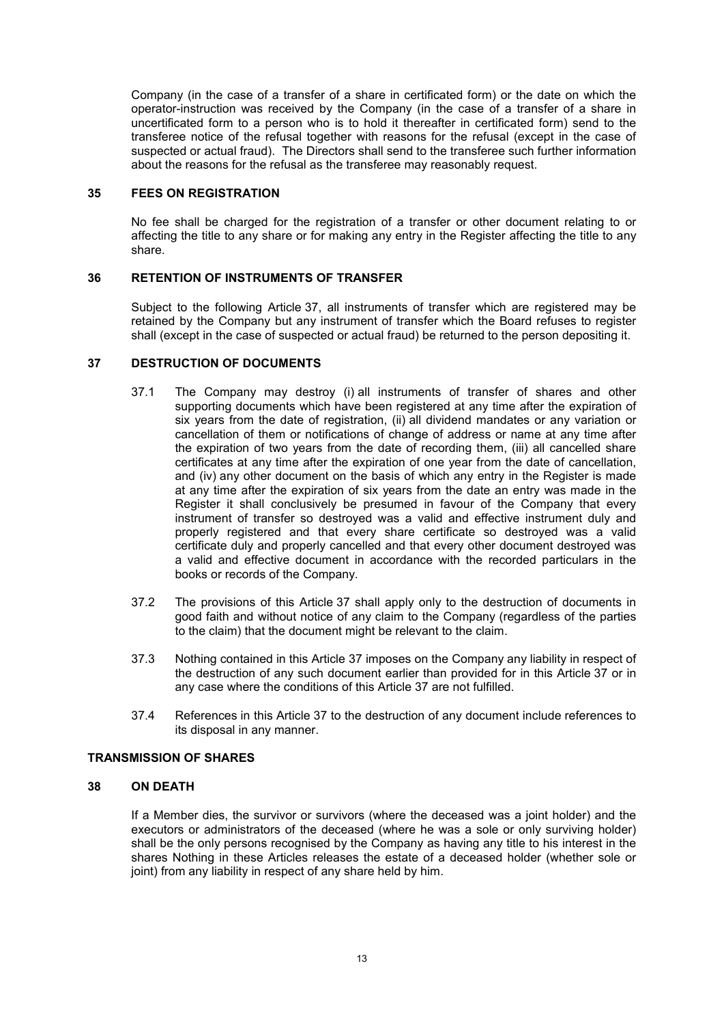Company (in the case of a transfer of a share in certificated form) or the date on which the operator-instruction was received by the Company (in the case of a transfer of a share in uncertificated form to a person who is to hold it thereafter in certificated form) send to the transferee notice of the refusal together with reasons for the refusal (except in the case of suspected or actual fraud). The Directors shall send to the transferee such further information about the reasons for the refusal as the transferee may reasonably request.

### **35 FEES ON REGISTRATION**

No fee shall be charged for the registration of a transfer or other document relating to or affecting the title to any share or for making any entry in the Register affecting the title to any share.

## **36 RETENTION OF INSTRUMENTS OF TRANSFER**

Subject to the following Article 37, all instruments of transfer which are registered may be retained by the Company but any instrument of transfer which the Board refuses to register shall (except in the case of suspected or actual fraud) be returned to the person depositing it.

## **37 DESTRUCTION OF DOCUMENTS**

- 37.1 The Company may destroy (i) all instruments of transfer of shares and other supporting documents which have been registered at any time after the expiration of six years from the date of registration, (ii) all dividend mandates or any variation or cancellation of them or notifications of change of address or name at any time after the expiration of two years from the date of recording them, (iii) all cancelled share certificates at any time after the expiration of one year from the date of cancellation, and (iv) any other document on the basis of which any entry in the Register is made at any time after the expiration of six years from the date an entry was made in the Register it shall conclusively be presumed in favour of the Company that every instrument of transfer so destroyed was a valid and effective instrument duly and properly registered and that every share certificate so destroyed was a valid certificate duly and properly cancelled and that every other document destroyed was a valid and effective document in accordance with the recorded particulars in the books or records of the Company.
- 37.2 The provisions of this Article 37 shall apply only to the destruction of documents in good faith and without notice of any claim to the Company (regardless of the parties to the claim) that the document might be relevant to the claim.
- 37.3 Nothing contained in this Article 37 imposes on the Company any liability in respect of the destruction of any such document earlier than provided for in this Article 37 or in any case where the conditions of this Article 37 are not fulfilled.
- 37.4 References in this Article 37 to the destruction of any document include references to its disposal in any manner.

## **TRANSMISSION OF SHARES**

## **38 ON DEATH**

If a Member dies, the survivor or survivors (where the deceased was a joint holder) and the executors or administrators of the deceased (where he was a sole or only surviving holder) shall be the only persons recognised by the Company as having any title to his interest in the shares Nothing in these Articles releases the estate of a deceased holder (whether sole or joint) from any liability in respect of any share held by him.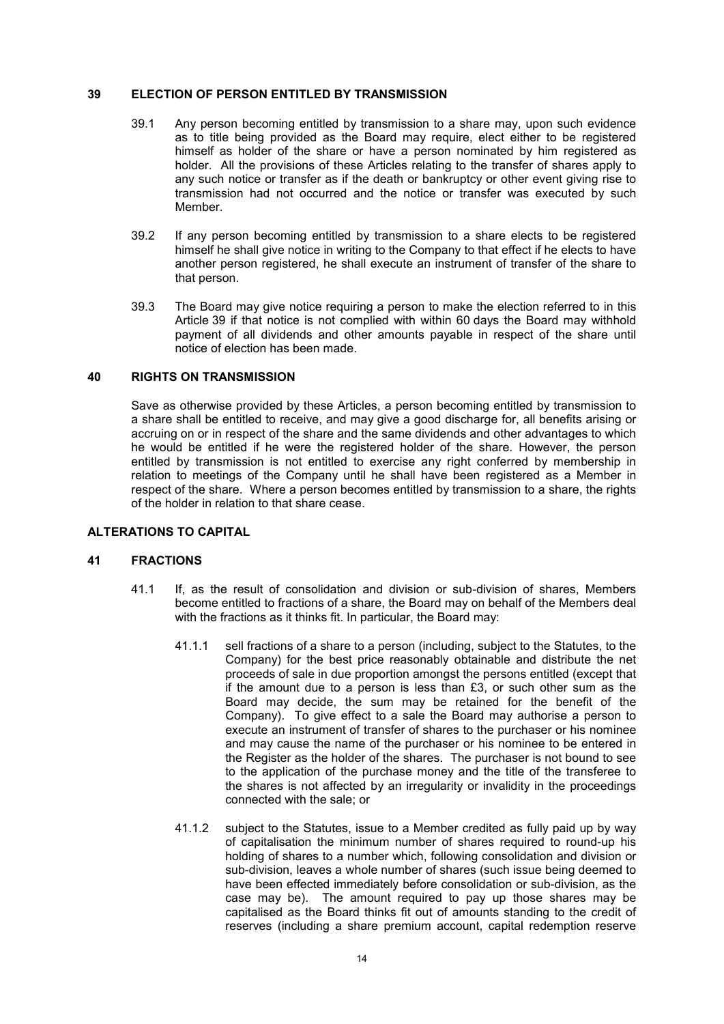### **39 ELECTION OF PERSON ENTITLED BY TRANSMISSION**

- 39.1 Any person becoming entitled by transmission to a share may, upon such evidence as to title being provided as the Board may require, elect either to be registered himself as holder of the share or have a person nominated by him registered as holder. All the provisions of these Articles relating to the transfer of shares apply to any such notice or transfer as if the death or bankruptcy or other event giving rise to transmission had not occurred and the notice or transfer was executed by such Member.
- 39.2 If any person becoming entitled by transmission to a share elects to be registered himself he shall give notice in writing to the Company to that effect if he elects to have another person registered, he shall execute an instrument of transfer of the share to that person.
- 39.3 The Board may give notice requiring a person to make the election referred to in this Article 39 if that notice is not complied with within 60 days the Board may withhold payment of all dividends and other amounts payable in respect of the share until notice of election has been made.

## **40 RIGHTS ON TRANSMISSION**

Save as otherwise provided by these Articles, a person becoming entitled by transmission to a share shall be entitled to receive, and may give a good discharge for, all benefits arising or accruing on or in respect of the share and the same dividends and other advantages to which he would be entitled if he were the registered holder of the share. However, the person entitled by transmission is not entitled to exercise any right conferred by membership in relation to meetings of the Company until he shall have been registered as a Member in respect of the share. Where a person becomes entitled by transmission to a share, the rights of the holder in relation to that share cease.

## **ALTERATIONS TO CAPITAL**

#### **41 FRACTIONS**

- 41.1 If, as the result of consolidation and division or sub-division of shares, Members become entitled to fractions of a share, the Board may on behalf of the Members deal with the fractions as it thinks fit. In particular, the Board may:
	- 41.1.1 sell fractions of a share to a person (including, subject to the Statutes, to the Company) for the best price reasonably obtainable and distribute the net proceeds of sale in due proportion amongst the persons entitled (except that if the amount due to a person is less than £3, or such other sum as the Board may decide, the sum may be retained for the benefit of the Company). To give effect to a sale the Board may authorise a person to execute an instrument of transfer of shares to the purchaser or his nominee and may cause the name of the purchaser or his nominee to be entered in the Register as the holder of the shares. The purchaser is not bound to see to the application of the purchase money and the title of the transferee to the shares is not affected by an irregularity or invalidity in the proceedings connected with the sale; or
	- 41.1.2 subject to the Statutes, issue to a Member credited as fully paid up by way of capitalisation the minimum number of shares required to round-up his holding of shares to a number which, following consolidation and division or sub-division, leaves a whole number of shares (such issue being deemed to have been effected immediately before consolidation or sub-division, as the case may be). The amount required to pay up those shares may be capitalised as the Board thinks fit out of amounts standing to the credit of reserves (including a share premium account, capital redemption reserve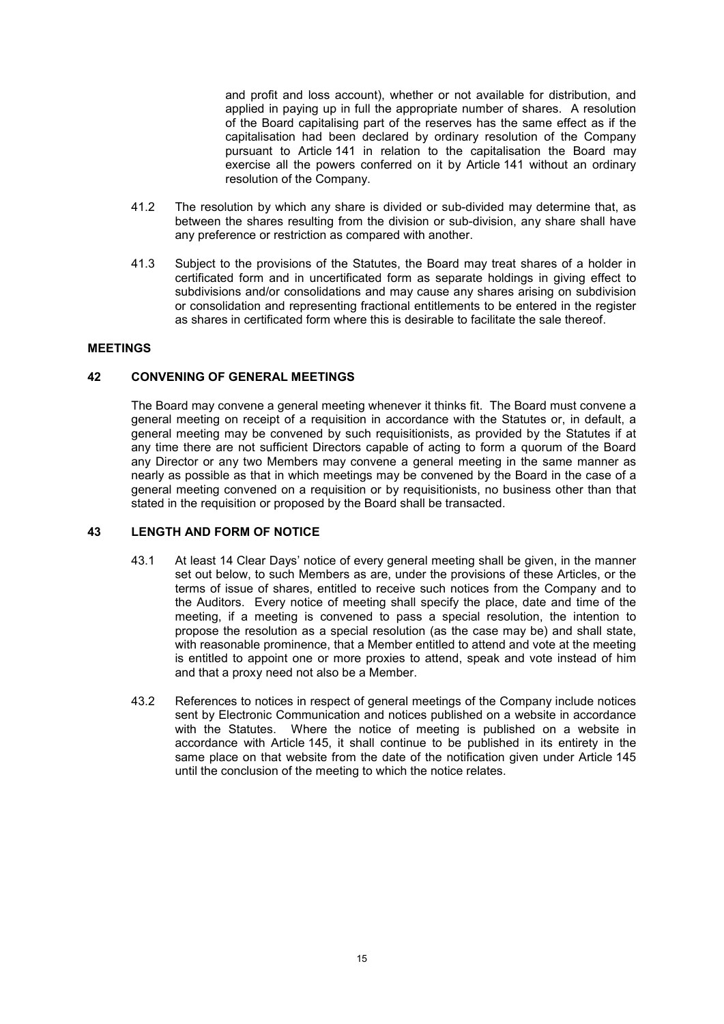and profit and loss account), whether or not available for distribution, and applied in paying up in full the appropriate number of shares. A resolution of the Board capitalising part of the reserves has the same effect as if the capitalisation had been declared by ordinary resolution of the Company pursuant to Article 141 in relation to the capitalisation the Board may exercise all the powers conferred on it by Article 141 without an ordinary resolution of the Company.

- 41.2 The resolution by which any share is divided or sub-divided may determine that, as between the shares resulting from the division or sub-division, any share shall have any preference or restriction as compared with another.
- 41.3 Subject to the provisions of the Statutes, the Board may treat shares of a holder in certificated form and in uncertificated form as separate holdings in giving effect to subdivisions and/or consolidations and may cause any shares arising on subdivision or consolidation and representing fractional entitlements to be entered in the register as shares in certificated form where this is desirable to facilitate the sale thereof.

## **MEETINGS**

## **42 CONVENING OF GENERAL MEETINGS**

The Board may convene a general meeting whenever it thinks fit. The Board must convene a general meeting on receipt of a requisition in accordance with the Statutes or, in default, a general meeting may be convened by such requisitionists, as provided by the Statutes if at any time there are not sufficient Directors capable of acting to form a quorum of the Board any Director or any two Members may convene a general meeting in the same manner as nearly as possible as that in which meetings may be convened by the Board in the case of a general meeting convened on a requisition or by requisitionists, no business other than that stated in the requisition or proposed by the Board shall be transacted.

### **43 LENGTH AND FORM OF NOTICE**

- 43.1 At least 14 Clear Days' notice of every general meeting shall be given, in the manner set out below, to such Members as are, under the provisions of these Articles, or the terms of issue of shares, entitled to receive such notices from the Company and to the Auditors. Every notice of meeting shall specify the place, date and time of the meeting, if a meeting is convened to pass a special resolution, the intention to propose the resolution as a special resolution (as the case may be) and shall state, with reasonable prominence, that a Member entitled to attend and vote at the meeting is entitled to appoint one or more proxies to attend, speak and vote instead of him and that a proxy need not also be a Member.
- 43.2 References to notices in respect of general meetings of the Company include notices sent by Electronic Communication and notices published on a website in accordance with the Statutes. Where the notice of meeting is published on a website in accordance with Article 145, it shall continue to be published in its entirety in the same place on that website from the date of the notification given under Article 145 until the conclusion of the meeting to which the notice relates.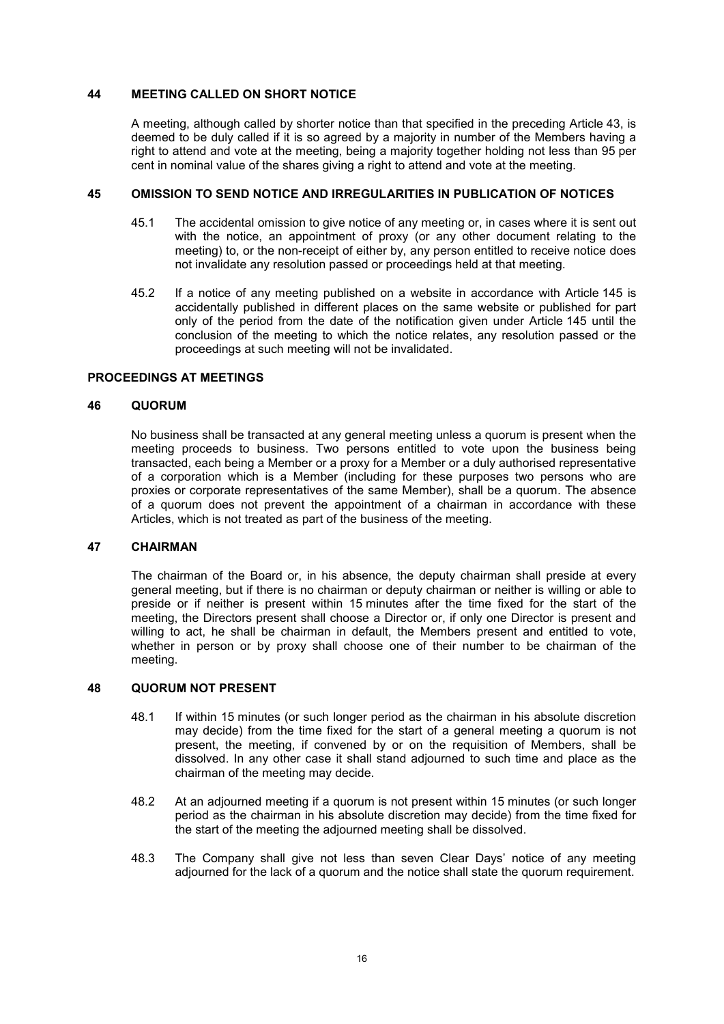## **44 MEETING CALLED ON SHORT NOTICE**

A meeting, although called by shorter notice than that specified in the preceding Article 43, is deemed to be duly called if it is so agreed by a majority in number of the Members having a right to attend and vote at the meeting, being a majority together holding not less than 95 per cent in nominal value of the shares giving a right to attend and vote at the meeting.

## **45 OMISSION TO SEND NOTICE AND IRREGULARITIES IN PUBLICATION OF NOTICES**

- 45.1 The accidental omission to give notice of any meeting or, in cases where it is sent out with the notice, an appointment of proxy (or any other document relating to the meeting) to, or the non-receipt of either by, any person entitled to receive notice does not invalidate any resolution passed or proceedings held at that meeting.
- 45.2 If a notice of any meeting published on a website in accordance with Article 145 is accidentally published in different places on the same website or published for part only of the period from the date of the notification given under Article 145 until the conclusion of the meeting to which the notice relates, any resolution passed or the proceedings at such meeting will not be invalidated.

## **PROCEEDINGS AT MEETINGS**

## **46 QUORUM**

No business shall be transacted at any general meeting unless a quorum is present when the meeting proceeds to business. Two persons entitled to vote upon the business being transacted, each being a Member or a proxy for a Member or a duly authorised representative of a corporation which is a Member (including for these purposes two persons who are proxies or corporate representatives of the same Member), shall be a quorum. The absence of a quorum does not prevent the appointment of a chairman in accordance with these Articles, which is not treated as part of the business of the meeting.

### **47 CHAIRMAN**

The chairman of the Board or, in his absence, the deputy chairman shall preside at every general meeting, but if there is no chairman or deputy chairman or neither is willing or able to preside or if neither is present within 15 minutes after the time fixed for the start of the meeting, the Directors present shall choose a Director or, if only one Director is present and willing to act, he shall be chairman in default, the Members present and entitled to vote, whether in person or by proxy shall choose one of their number to be chairman of the meeting.

## **48 QUORUM NOT PRESENT**

- 48.1 If within 15 minutes (or such longer period as the chairman in his absolute discretion may decide) from the time fixed for the start of a general meeting a quorum is not present, the meeting, if convened by or on the requisition of Members, shall be dissolved. In any other case it shall stand adjourned to such time and place as the chairman of the meeting may decide.
- 48.2 At an adjourned meeting if a quorum is not present within 15 minutes (or such longer period as the chairman in his absolute discretion may decide) from the time fixed for the start of the meeting the adjourned meeting shall be dissolved.
- 48.3 The Company shall give not less than seven Clear Days' notice of any meeting adjourned for the lack of a quorum and the notice shall state the quorum requirement.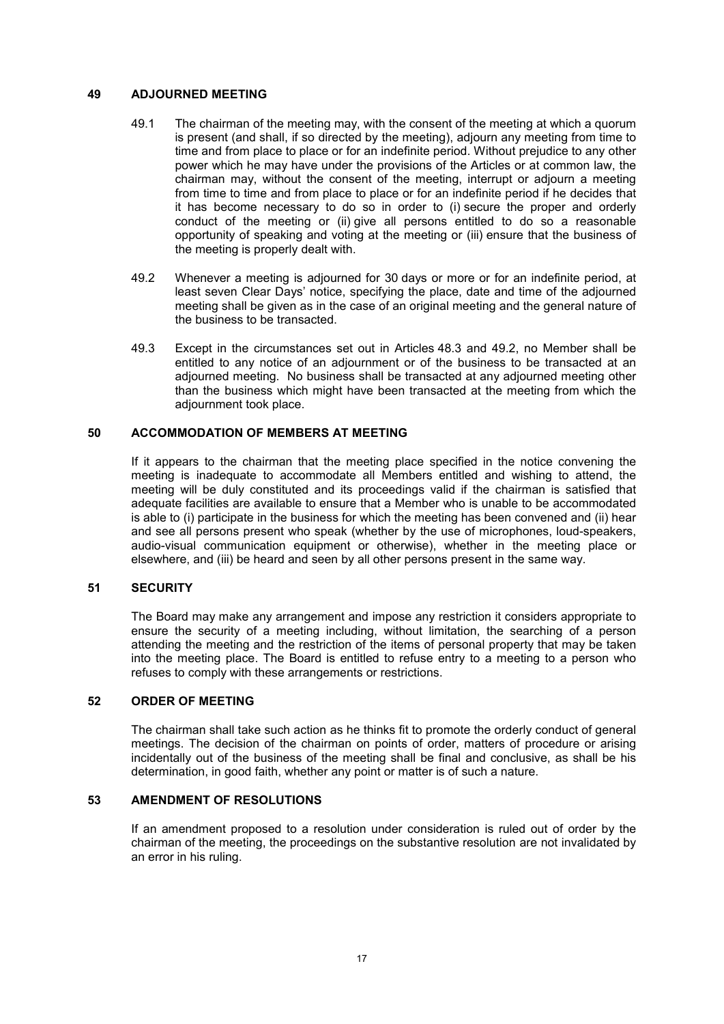## **49 ADJOURNED MEETING**

- 49.1 The chairman of the meeting may, with the consent of the meeting at which a quorum is present (and shall, if so directed by the meeting), adjourn any meeting from time to time and from place to place or for an indefinite period. Without prejudice to any other power which he may have under the provisions of the Articles or at common law, the chairman may, without the consent of the meeting, interrupt or adjourn a meeting from time to time and from place to place or for an indefinite period if he decides that it has become necessary to do so in order to (i) secure the proper and orderly conduct of the meeting or (ii) give all persons entitled to do so a reasonable opportunity of speaking and voting at the meeting or (iii) ensure that the business of the meeting is properly dealt with.
- 49.2 Whenever a meeting is adjourned for 30 days or more or for an indefinite period, at least seven Clear Days' notice, specifying the place, date and time of the adjourned meeting shall be given as in the case of an original meeting and the general nature of the business to be transacted.
- 49.3 Except in the circumstances set out in Articles 48.3 and 49.2, no Member shall be entitled to any notice of an adjournment or of the business to be transacted at an adjourned meeting. No business shall be transacted at any adjourned meeting other than the business which might have been transacted at the meeting from which the adjournment took place.

## **50 ACCOMMODATION OF MEMBERS AT MEETING**

If it appears to the chairman that the meeting place specified in the notice convening the meeting is inadequate to accommodate all Members entitled and wishing to attend, the meeting will be duly constituted and its proceedings valid if the chairman is satisfied that adequate facilities are available to ensure that a Member who is unable to be accommodated is able to (i) participate in the business for which the meeting has been convened and (ii) hear and see all persons present who speak (whether by the use of microphones, loud-speakers, audio-visual communication equipment or otherwise), whether in the meeting place or elsewhere, and (iii) be heard and seen by all other persons present in the same way.

#### **51 SECURITY**

The Board may make any arrangement and impose any restriction it considers appropriate to ensure the security of a meeting including, without limitation, the searching of a person attending the meeting and the restriction of the items of personal property that may be taken into the meeting place. The Board is entitled to refuse entry to a meeting to a person who refuses to comply with these arrangements or restrictions.

## **52 ORDER OF MEETING**

The chairman shall take such action as he thinks fit to promote the orderly conduct of general meetings. The decision of the chairman on points of order, matters of procedure or arising incidentally out of the business of the meeting shall be final and conclusive, as shall be his determination, in good faith, whether any point or matter is of such a nature.

## **53 AMENDMENT OF RESOLUTIONS**

If an amendment proposed to a resolution under consideration is ruled out of order by the chairman of the meeting, the proceedings on the substantive resolution are not invalidated by an error in his ruling.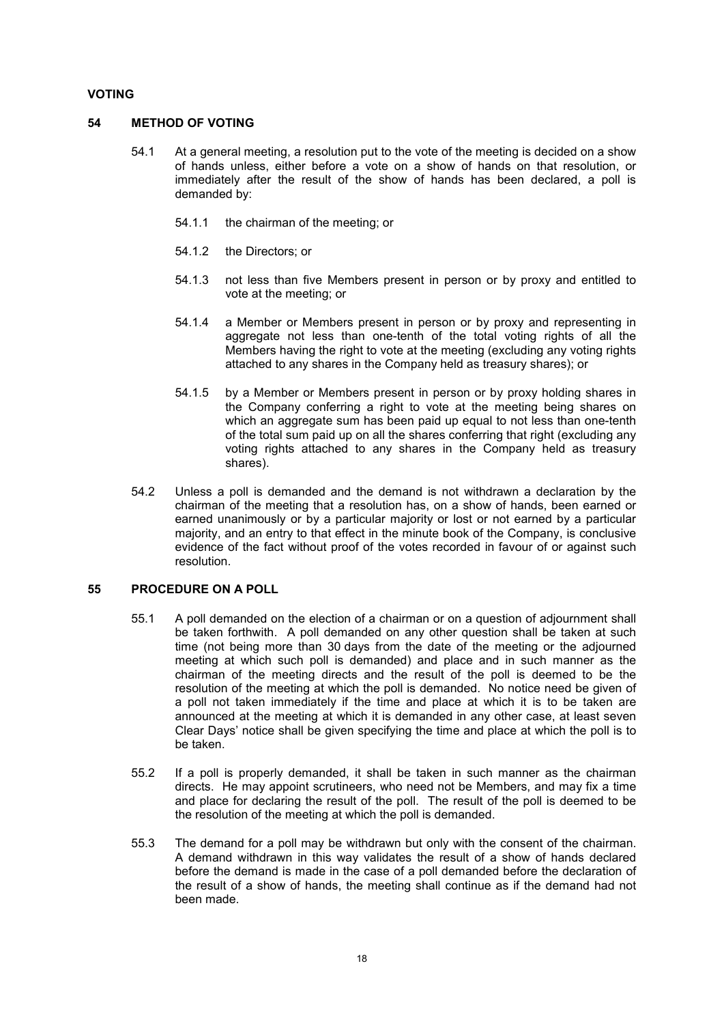## **VOTING**

#### **54 METHOD OF VOTING**

- 54.1 At a general meeting, a resolution put to the vote of the meeting is decided on a show of hands unless, either before a vote on a show of hands on that resolution, or immediately after the result of the show of hands has been declared, a poll is demanded by:
	- 54.1.1 the chairman of the meeting; or
	- 54.1.2 the Directors; or
	- 54.1.3 not less than five Members present in person or by proxy and entitled to vote at the meeting; or
	- 54.1.4 a Member or Members present in person or by proxy and representing in aggregate not less than one-tenth of the total voting rights of all the Members having the right to vote at the meeting (excluding any voting rights attached to any shares in the Company held as treasury shares); or
	- 54.1.5 by a Member or Members present in person or by proxy holding shares in the Company conferring a right to vote at the meeting being shares on which an aggregate sum has been paid up equal to not less than one-tenth of the total sum paid up on all the shares conferring that right (excluding any voting rights attached to any shares in the Company held as treasury shares).
- 54.2 Unless a poll is demanded and the demand is not withdrawn a declaration by the chairman of the meeting that a resolution has, on a show of hands, been earned or earned unanimously or by a particular majority or lost or not earned by a particular majority, and an entry to that effect in the minute book of the Company, is conclusive evidence of the fact without proof of the votes recorded in favour of or against such resolution.

### **55 PROCEDURE ON A POLL**

- 55.1 A poll demanded on the election of a chairman or on a question of adjournment shall be taken forthwith. A poll demanded on any other question shall be taken at such time (not being more than 30 days from the date of the meeting or the adjourned meeting at which such poll is demanded) and place and in such manner as the chairman of the meeting directs and the result of the poll is deemed to be the resolution of the meeting at which the poll is demanded. No notice need be given of a poll not taken immediately if the time and place at which it is to be taken are announced at the meeting at which it is demanded in any other case, at least seven Clear Days' notice shall be given specifying the time and place at which the poll is to be taken.
- 55.2 If a poll is properly demanded, it shall be taken in such manner as the chairman directs. He may appoint scrutineers, who need not be Members, and may fix a time and place for declaring the result of the poll. The result of the poll is deemed to be the resolution of the meeting at which the poll is demanded.
- 55.3 The demand for a poll may be withdrawn but only with the consent of the chairman. A demand withdrawn in this way validates the result of a show of hands declared before the demand is made in the case of a poll demanded before the declaration of the result of a show of hands, the meeting shall continue as if the demand had not been made.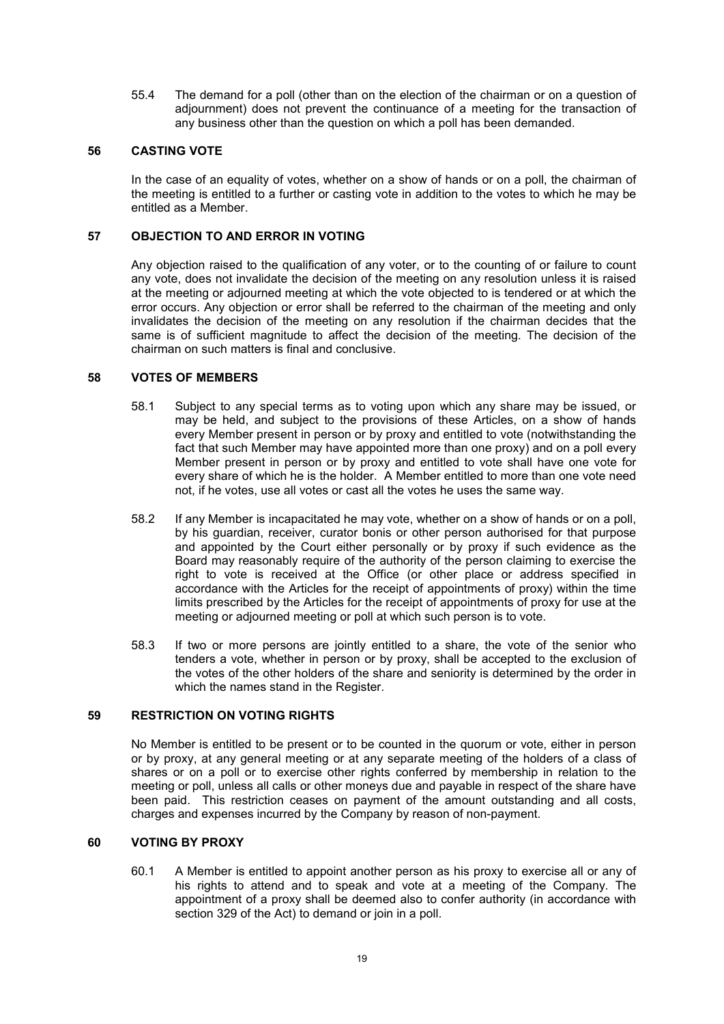55.4 The demand for a poll (other than on the election of the chairman or on a question of adjournment) does not prevent the continuance of a meeting for the transaction of any business other than the question on which a poll has been demanded.

## **56 CASTING VOTE**

In the case of an equality of votes, whether on a show of hands or on a poll, the chairman of the meeting is entitled to a further or casting vote in addition to the votes to which he may be entitled as a Member.

## **57 OBJECTION TO AND ERROR IN VOTING**

Any objection raised to the qualification of any voter, or to the counting of or failure to count any vote, does not invalidate the decision of the meeting on any resolution unless it is raised at the meeting or adjourned meeting at which the vote objected to is tendered or at which the error occurs. Any objection or error shall be referred to the chairman of the meeting and only invalidates the decision of the meeting on any resolution if the chairman decides that the same is of sufficient magnitude to affect the decision of the meeting. The decision of the chairman on such matters is final and conclusive.

#### **58 VOTES OF MEMBERS**

- 58.1 Subject to any special terms as to voting upon which any share may be issued, or may be held, and subject to the provisions of these Articles, on a show of hands every Member present in person or by proxy and entitled to vote (notwithstanding the fact that such Member may have appointed more than one proxy) and on a poll every Member present in person or by proxy and entitled to vote shall have one vote for every share of which he is the holder. A Member entitled to more than one vote need not, if he votes, use all votes or cast all the votes he uses the same way.
- 58.2 If any Member is incapacitated he may vote, whether on a show of hands or on a poll, by his guardian, receiver, curator bonis or other person authorised for that purpose and appointed by the Court either personally or by proxy if such evidence as the Board may reasonably require of the authority of the person claiming to exercise the right to vote is received at the Office (or other place or address specified in accordance with the Articles for the receipt of appointments of proxy) within the time limits prescribed by the Articles for the receipt of appointments of proxy for use at the meeting or adjourned meeting or poll at which such person is to vote.
- 58.3 If two or more persons are jointly entitled to a share, the vote of the senior who tenders a vote, whether in person or by proxy, shall be accepted to the exclusion of the votes of the other holders of the share and seniority is determined by the order in which the names stand in the Register.

## **59 RESTRICTION ON VOTING RIGHTS**

No Member is entitled to be present or to be counted in the quorum or vote, either in person or by proxy, at any general meeting or at any separate meeting of the holders of a class of shares or on a poll or to exercise other rights conferred by membership in relation to the meeting or poll, unless all calls or other moneys due and payable in respect of the share have been paid. This restriction ceases on payment of the amount outstanding and all costs, charges and expenses incurred by the Company by reason of non-payment.

#### **60 VOTING BY PROXY**

60.1 A Member is entitled to appoint another person as his proxy to exercise all or any of his rights to attend and to speak and vote at a meeting of the Company. The appointment of a proxy shall be deemed also to confer authority (in accordance with section 329 of the Act) to demand or join in a poll.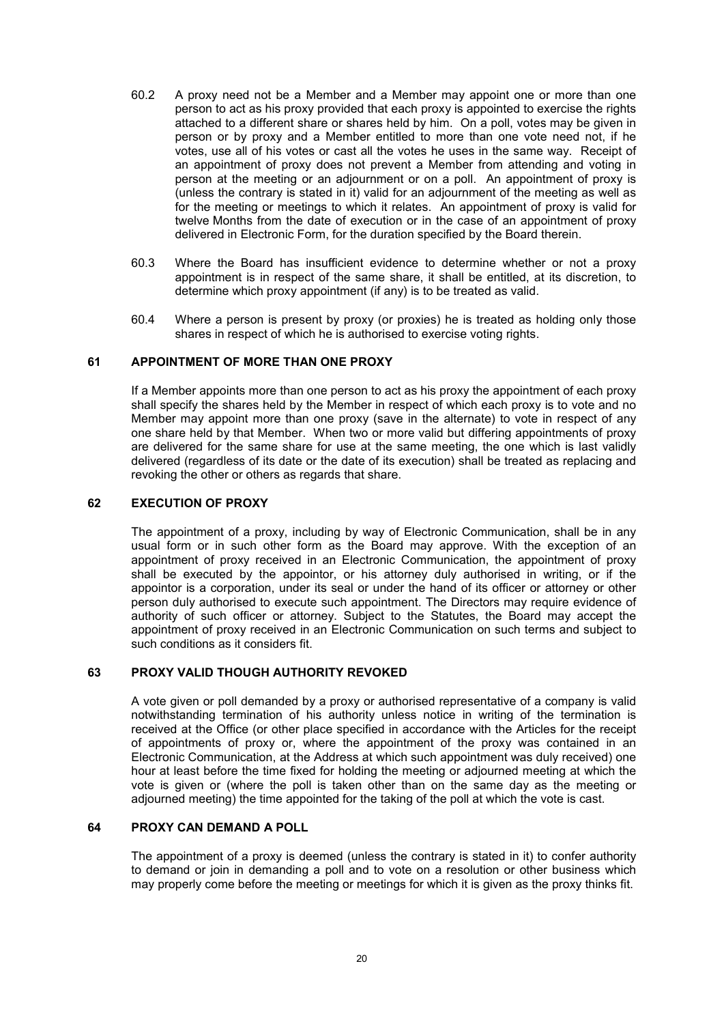- 60.2 A proxy need not be a Member and a Member may appoint one or more than one person to act as his proxy provided that each proxy is appointed to exercise the rights attached to a different share or shares held by him. On a poll, votes may be given in person or by proxy and a Member entitled to more than one vote need not, if he votes, use all of his votes or cast all the votes he uses in the same way. Receipt of an appointment of proxy does not prevent a Member from attending and voting in person at the meeting or an adjournment or on a poll. An appointment of proxy is (unless the contrary is stated in it) valid for an adjournment of the meeting as well as for the meeting or meetings to which it relates. An appointment of proxy is valid for twelve Months from the date of execution or in the case of an appointment of proxy delivered in Electronic Form, for the duration specified by the Board therein.
- 60.3 Where the Board has insufficient evidence to determine whether or not a proxy appointment is in respect of the same share, it shall be entitled, at its discretion, to determine which proxy appointment (if any) is to be treated as valid.
- 60.4 Where a person is present by proxy (or proxies) he is treated as holding only those shares in respect of which he is authorised to exercise voting rights.

## **61 APPOINTMENT OF MORE THAN ONE PROXY**

If a Member appoints more than one person to act as his proxy the appointment of each proxy shall specify the shares held by the Member in respect of which each proxy is to vote and no Member may appoint more than one proxy (save in the alternate) to vote in respect of any one share held by that Member. When two or more valid but differing appointments of proxy are delivered for the same share for use at the same meeting, the one which is last validly delivered (regardless of its date or the date of its execution) shall be treated as replacing and revoking the other or others as regards that share.

#### **62 EXECUTION OF PROXY**

The appointment of a proxy, including by way of Electronic Communication, shall be in any usual form or in such other form as the Board may approve. With the exception of an appointment of proxy received in an Electronic Communication, the appointment of proxy shall be executed by the appointor, or his attorney duly authorised in writing, or if the appointor is a corporation, under its seal or under the hand of its officer or attorney or other person duly authorised to execute such appointment. The Directors may require evidence of authority of such officer or attorney. Subject to the Statutes, the Board may accept the appointment of proxy received in an Electronic Communication on such terms and subject to such conditions as it considers fit.

## **63 PROXY VALID THOUGH AUTHORITY REVOKED**

A vote given or poll demanded by a proxy or authorised representative of a company is valid notwithstanding termination of his authority unless notice in writing of the termination is received at the Office (or other place specified in accordance with the Articles for the receipt of appointments of proxy or, where the appointment of the proxy was contained in an Electronic Communication, at the Address at which such appointment was duly received) one hour at least before the time fixed for holding the meeting or adjourned meeting at which the vote is given or (where the poll is taken other than on the same day as the meeting or adjourned meeting) the time appointed for the taking of the poll at which the vote is cast.

## **64 PROXY CAN DEMAND A POLL**

The appointment of a proxy is deemed (unless the contrary is stated in it) to confer authority to demand or join in demanding a poll and to vote on a resolution or other business which may properly come before the meeting or meetings for which it is given as the proxy thinks fit.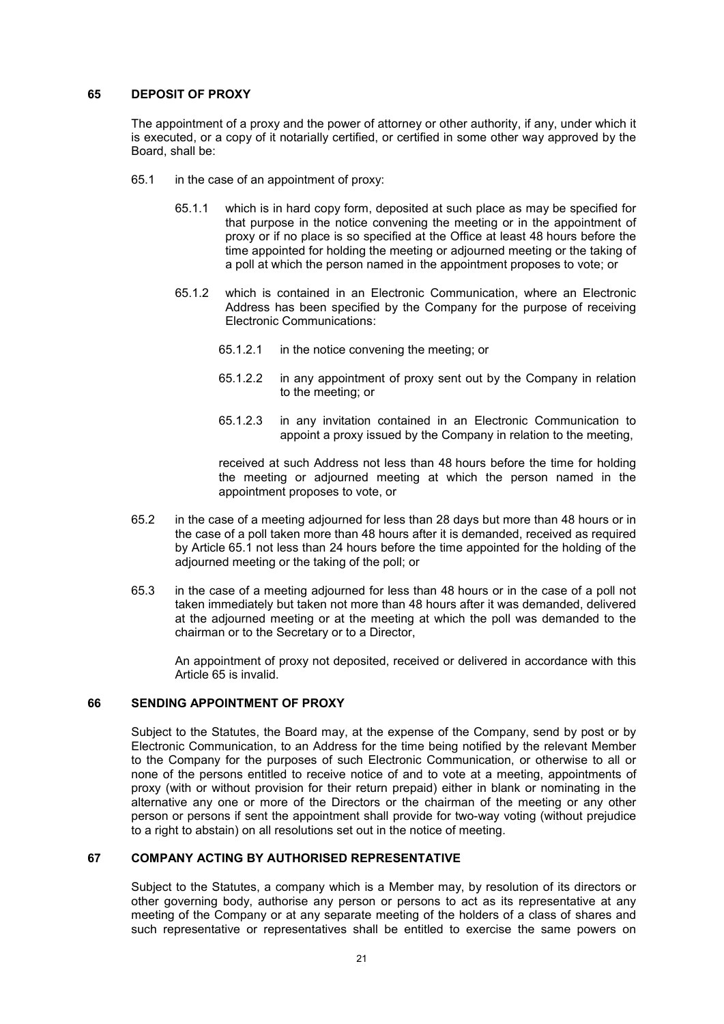## **65 DEPOSIT OF PROXY**

The appointment of a proxy and the power of attorney or other authority, if any, under which it is executed, or a copy of it notarially certified, or certified in some other way approved by the Board, shall be:

- 65.1 in the case of an appointment of proxy:
	- 65.1.1 which is in hard copy form, deposited at such place as may be specified for that purpose in the notice convening the meeting or in the appointment of proxy or if no place is so specified at the Office at least 48 hours before the time appointed for holding the meeting or adjourned meeting or the taking of a poll at which the person named in the appointment proposes to vote; or
	- 65.1.2 which is contained in an Electronic Communication, where an Electronic Address has been specified by the Company for the purpose of receiving Electronic Communications:
		- 65.1.2.1 in the notice convening the meeting; or
		- 65.1.2.2 in any appointment of proxy sent out by the Company in relation to the meeting; or
		- 65.1.2.3 in any invitation contained in an Electronic Communication to appoint a proxy issued by the Company in relation to the meeting,

received at such Address not less than 48 hours before the time for holding the meeting or adjourned meeting at which the person named in the appointment proposes to vote, or

- 65.2 in the case of a meeting adjourned for less than 28 days but more than 48 hours or in the case of a poll taken more than 48 hours after it is demanded, received as required by Article 65.1 not less than 24 hours before the time appointed for the holding of the adjourned meeting or the taking of the poll; or
- 65.3 in the case of a meeting adjourned for less than 48 hours or in the case of a poll not taken immediately but taken not more than 48 hours after it was demanded, delivered at the adjourned meeting or at the meeting at which the poll was demanded to the chairman or to the Secretary or to a Director,

An appointment of proxy not deposited, received or delivered in accordance with this Article 65 is invalid.

## **66 SENDING APPOINTMENT OF PROXY**

Subject to the Statutes, the Board may, at the expense of the Company, send by post or by Electronic Communication, to an Address for the time being notified by the relevant Member to the Company for the purposes of such Electronic Communication, or otherwise to all or none of the persons entitled to receive notice of and to vote at a meeting, appointments of proxy (with or without provision for their return prepaid) either in blank or nominating in the alternative any one or more of the Directors or the chairman of the meeting or any other person or persons if sent the appointment shall provide for two-way voting (without prejudice to a right to abstain) on all resolutions set out in the notice of meeting.

## **67 COMPANY ACTING BY AUTHORISED REPRESENTATIVE**

Subject to the Statutes, a company which is a Member may, by resolution of its directors or other governing body, authorise any person or persons to act as its representative at any meeting of the Company or at any separate meeting of the holders of a class of shares and such representative or representatives shall be entitled to exercise the same powers on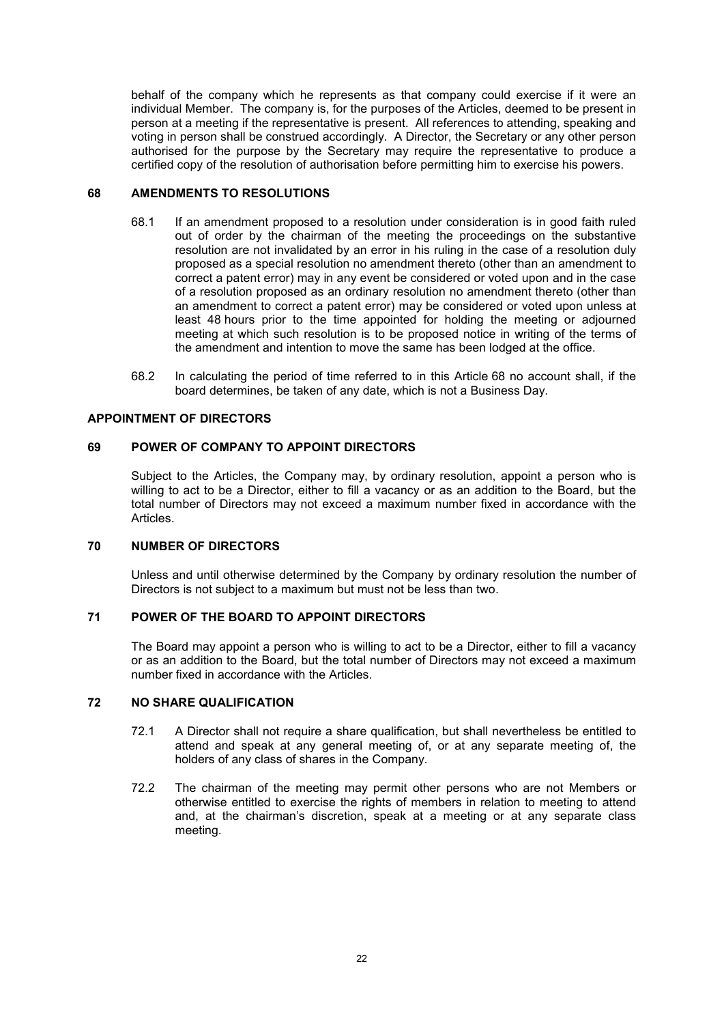behalf of the company which he represents as that company could exercise if it were an individual Member. The company is, for the purposes of the Articles, deemed to be present in person at a meeting if the representative is present. All references to attending, speaking and voting in person shall be construed accordingly. A Director, the Secretary or any other person authorised for the purpose by the Secretary may require the representative to produce a certified copy of the resolution of authorisation before permitting him to exercise his powers.

## **68 AMENDMENTS TO RESOLUTIONS**

- 68.1 If an amendment proposed to a resolution under consideration is in good faith ruled out of order by the chairman of the meeting the proceedings on the substantive resolution are not invalidated by an error in his ruling in the case of a resolution duly proposed as a special resolution no amendment thereto (other than an amendment to correct a patent error) may in any event be considered or voted upon and in the case of a resolution proposed as an ordinary resolution no amendment thereto (other than an amendment to correct a patent error) may be considered or voted upon unless at least 48 hours prior to the time appointed for holding the meeting or adjourned meeting at which such resolution is to be proposed notice in writing of the terms of the amendment and intention to move the same has been lodged at the office.
- 68.2 In calculating the period of time referred to in this Article 68 no account shall, if the board determines, be taken of any date, which is not a Business Day.

## **APPOINTMENT OF DIRECTORS**

## **69 POWER OF COMPANY TO APPOINT DIRECTORS**

Subject to the Articles, the Company may, by ordinary resolution, appoint a person who is willing to act to be a Director, either to fill a vacancy or as an addition to the Board, but the total number of Directors may not exceed a maximum number fixed in accordance with the Articles.

#### **70 NUMBER OF DIRECTORS**

Unless and until otherwise determined by the Company by ordinary resolution the number of Directors is not subject to a maximum but must not be less than two.

## **71 POWER OF THE BOARD TO APPOINT DIRECTORS**

The Board may appoint a person who is willing to act to be a Director, either to fill a vacancy or as an addition to the Board, but the total number of Directors may not exceed a maximum number fixed in accordance with the Articles.

## **72 NO SHARE QUALIFICATION**

- 72.1 A Director shall not require a share qualification, but shall nevertheless be entitled to attend and speak at any general meeting of, or at any separate meeting of, the holders of any class of shares in the Company.
- 72.2 The chairman of the meeting may permit other persons who are not Members or otherwise entitled to exercise the rights of members in relation to meeting to attend and, at the chairman's discretion, speak at a meeting or at any separate class meeting.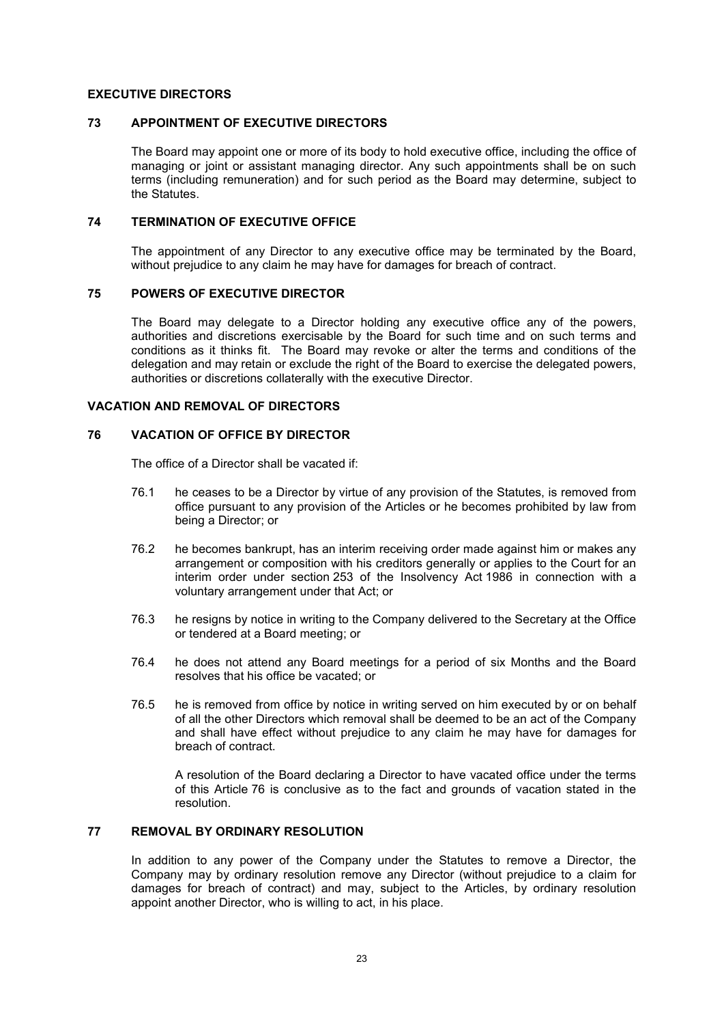### **EXECUTIVE DIRECTORS**

## **73 APPOINTMENT OF EXECUTIVE DIRECTORS**

The Board may appoint one or more of its body to hold executive office, including the office of managing or joint or assistant managing director. Any such appointments shall be on such terms (including remuneration) and for such period as the Board may determine, subject to the Statutes.

#### **74 TERMINATION OF EXECUTIVE OFFICE**

The appointment of any Director to any executive office may be terminated by the Board, without prejudice to any claim he may have for damages for breach of contract.

## **75 POWERS OF EXECUTIVE DIRECTOR**

The Board may delegate to a Director holding any executive office any of the powers, authorities and discretions exercisable by the Board for such time and on such terms and conditions as it thinks fit. The Board may revoke or alter the terms and conditions of the delegation and may retain or exclude the right of the Board to exercise the delegated powers, authorities or discretions collaterally with the executive Director.

## **VACATION AND REMOVAL OF DIRECTORS**

## **76 VACATION OF OFFICE BY DIRECTOR**

The office of a Director shall be vacated if:

- 76.1 he ceases to be a Director by virtue of any provision of the Statutes, is removed from office pursuant to any provision of the Articles or he becomes prohibited by law from being a Director; or
- 76.2 he becomes bankrupt, has an interim receiving order made against him or makes any arrangement or composition with his creditors generally or applies to the Court for an interim order under section 253 of the Insolvency Act 1986 in connection with a voluntary arrangement under that Act; or
- 76.3 he resigns by notice in writing to the Company delivered to the Secretary at the Office or tendered at a Board meeting; or
- 76.4 he does not attend any Board meetings for a period of six Months and the Board resolves that his office be vacated; or
- 76.5 he is removed from office by notice in writing served on him executed by or on behalf of all the other Directors which removal shall be deemed to be an act of the Company and shall have effect without prejudice to any claim he may have for damages for breach of contract.

A resolution of the Board declaring a Director to have vacated office under the terms of this Article 76 is conclusive as to the fact and grounds of vacation stated in the resolution.

## **77 REMOVAL BY ORDINARY RESOLUTION**

In addition to any power of the Company under the Statutes to remove a Director, the Company may by ordinary resolution remove any Director (without prejudice to a claim for damages for breach of contract) and may, subject to the Articles, by ordinary resolution appoint another Director, who is willing to act, in his place.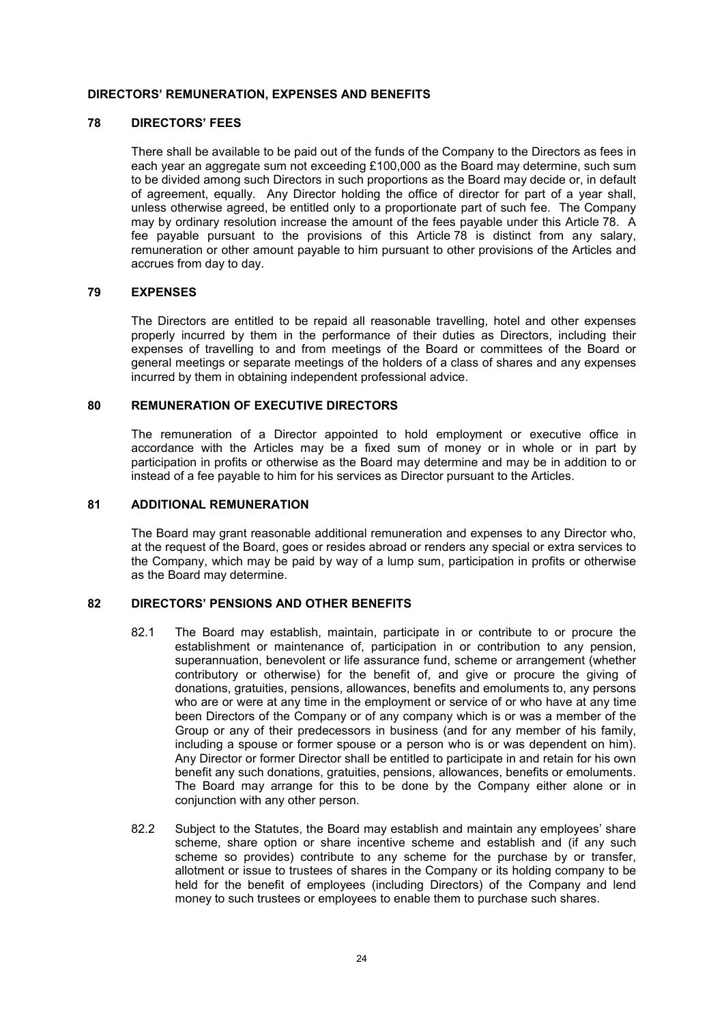### **DIRECTORS' REMUNERATION, EXPENSES AND BENEFITS**

#### **78 DIRECTORS' FEES**

There shall be available to be paid out of the funds of the Company to the Directors as fees in each year an aggregate sum not exceeding £100,000 as the Board may determine, such sum to be divided among such Directors in such proportions as the Board may decide or, in default of agreement, equally. Any Director holding the office of director for part of a year shall, unless otherwise agreed, be entitled only to a proportionate part of such fee. The Company may by ordinary resolution increase the amount of the fees payable under this Article 78. A fee payable pursuant to the provisions of this Article 78 is distinct from any salary, remuneration or other amount payable to him pursuant to other provisions of the Articles and accrues from day to day.

#### **79 EXPENSES**

The Directors are entitled to be repaid all reasonable travelling, hotel and other expenses properly incurred by them in the performance of their duties as Directors, including their expenses of travelling to and from meetings of the Board or committees of the Board or general meetings or separate meetings of the holders of a class of shares and any expenses incurred by them in obtaining independent professional advice.

### **80 REMUNERATION OF EXECUTIVE DIRECTORS**

The remuneration of a Director appointed to hold employment or executive office in accordance with the Articles may be a fixed sum of money or in whole or in part by participation in profits or otherwise as the Board may determine and may be in addition to or instead of a fee payable to him for his services as Director pursuant to the Articles.

#### **81 ADDITIONAL REMUNERATION**

The Board may grant reasonable additional remuneration and expenses to any Director who, at the request of the Board, goes or resides abroad or renders any special or extra services to the Company, which may be paid by way of a lump sum, participation in profits or otherwise as the Board may determine.

### **82 DIRECTORS' PENSIONS AND OTHER BENEFITS**

- 82.1 The Board may establish, maintain, participate in or contribute to or procure the establishment or maintenance of, participation in or contribution to any pension, superannuation, benevolent or life assurance fund, scheme or arrangement (whether contributory or otherwise) for the benefit of, and give or procure the giving of donations, gratuities, pensions, allowances, benefits and emoluments to, any persons who are or were at any time in the employment or service of or who have at any time been Directors of the Company or of any company which is or was a member of the Group or any of their predecessors in business (and for any member of his family, including a spouse or former spouse or a person who is or was dependent on him). Any Director or former Director shall be entitled to participate in and retain for his own benefit any such donations, gratuities, pensions, allowances, benefits or emoluments. The Board may arrange for this to be done by the Company either alone or in conjunction with any other person.
- 82.2 Subject to the Statutes, the Board may establish and maintain any employees' share scheme, share option or share incentive scheme and establish and (if any such scheme so provides) contribute to any scheme for the purchase by or transfer, allotment or issue to trustees of shares in the Company or its holding company to be held for the benefit of employees (including Directors) of the Company and lend money to such trustees or employees to enable them to purchase such shares.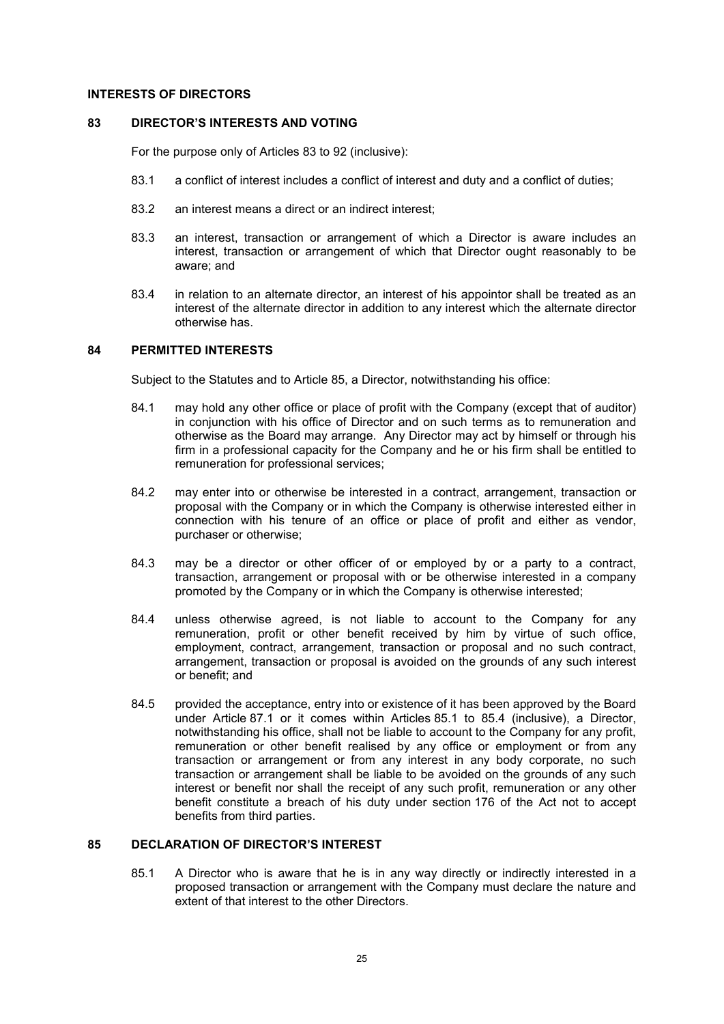#### **INTERESTS OF DIRECTORS**

#### **83 DIRECTOR'S INTERESTS AND VOTING**

For the purpose only of Articles 83 to 92 (inclusive):

- 83.1 a conflict of interest includes a conflict of interest and duty and a conflict of duties;
- 83.2 an interest means a direct or an indirect interest:
- 83.3 an interest, transaction or arrangement of which a Director is aware includes an interest, transaction or arrangement of which that Director ought reasonably to be aware; and
- 83.4 in relation to an alternate director, an interest of his appointor shall be treated as an interest of the alternate director in addition to any interest which the alternate director otherwise has.

#### **84 PERMITTED INTERESTS**

Subject to the Statutes and to Article 85, a Director, notwithstanding his office:

- 84.1 may hold any other office or place of profit with the Company (except that of auditor) in conjunction with his office of Director and on such terms as to remuneration and otherwise as the Board may arrange. Any Director may act by himself or through his firm in a professional capacity for the Company and he or his firm shall be entitled to remuneration for professional services;
- 84.2 may enter into or otherwise be interested in a contract, arrangement, transaction or proposal with the Company or in which the Company is otherwise interested either in connection with his tenure of an office or place of profit and either as vendor, purchaser or otherwise;
- 84.3 may be a director or other officer of or employed by or a party to a contract, transaction, arrangement or proposal with or be otherwise interested in a company promoted by the Company or in which the Company is otherwise interested;
- 84.4 unless otherwise agreed, is not liable to account to the Company for any remuneration, profit or other benefit received by him by virtue of such office, employment, contract, arrangement, transaction or proposal and no such contract, arrangement, transaction or proposal is avoided on the grounds of any such interest or benefit; and
- 84.5 provided the acceptance, entry into or existence of it has been approved by the Board under Article 87.1 or it comes within Articles 85.1 to 85.4 (inclusive), a Director, notwithstanding his office, shall not be liable to account to the Company for any profit, remuneration or other benefit realised by any office or employment or from any transaction or arrangement or from any interest in any body corporate, no such transaction or arrangement shall be liable to be avoided on the grounds of any such interest or benefit nor shall the receipt of any such profit, remuneration or any other benefit constitute a breach of his duty under section 176 of the Act not to accept benefits from third parties.

## **85 DECLARATION OF DIRECTOR'S INTEREST**

85.1 A Director who is aware that he is in any way directly or indirectly interested in a proposed transaction or arrangement with the Company must declare the nature and extent of that interest to the other Directors.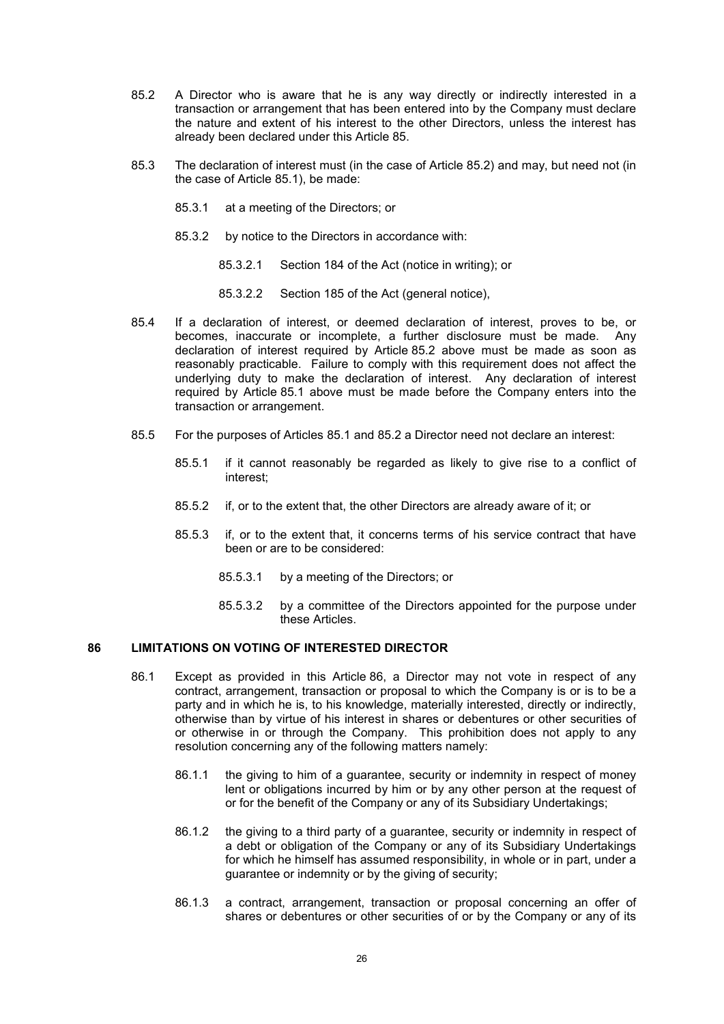- 85.2 A Director who is aware that he is any way directly or indirectly interested in a transaction or arrangement that has been entered into by the Company must declare the nature and extent of his interest to the other Directors, unless the interest has already been declared under this Article 85.
- 85.3 The declaration of interest must (in the case of Article 85.2) and may, but need not (in the case of Article 85.1), be made:
	- 85.3.1 at a meeting of the Directors; or
	- 85.3.2 by notice to the Directors in accordance with:
		- 85.3.2.1 Section 184 of the Act (notice in writing); or
		- 85.3.2.2 Section 185 of the Act (general notice),
- 85.4 If a declaration of interest, or deemed declaration of interest, proves to be, or becomes, inaccurate or incomplete, a further disclosure must be made. Any declaration of interest required by Article 85.2 above must be made as soon as reasonably practicable. Failure to comply with this requirement does not affect the underlying duty to make the declaration of interest. Any declaration of interest required by Article 85.1 above must be made before the Company enters into the transaction or arrangement.
- 85.5 For the purposes of Articles 85.1 and 85.2 a Director need not declare an interest:
	- 85.5.1 if it cannot reasonably be regarded as likely to give rise to a conflict of interest;
	- 85.5.2 if, or to the extent that, the other Directors are already aware of it; or
	- 85.5.3 if, or to the extent that, it concerns terms of his service contract that have been or are to be considered:
		- 85.5.3.1 by a meeting of the Directors; or
		- 85.5.3.2 by a committee of the Directors appointed for the purpose under these Articles.

## **86 LIMITATIONS ON VOTING OF INTERESTED DIRECTOR**

- 86.1 Except as provided in this Article 86, a Director may not vote in respect of any contract, arrangement, transaction or proposal to which the Company is or is to be a party and in which he is, to his knowledge, materially interested, directly or indirectly, otherwise than by virtue of his interest in shares or debentures or other securities of or otherwise in or through the Company. This prohibition does not apply to any resolution concerning any of the following matters namely:
	- 86.1.1 the giving to him of a guarantee, security or indemnity in respect of money lent or obligations incurred by him or by any other person at the request of or for the benefit of the Company or any of its Subsidiary Undertakings;
	- 86.1.2 the giving to a third party of a guarantee, security or indemnity in respect of a debt or obligation of the Company or any of its Subsidiary Undertakings for which he himself has assumed responsibility, in whole or in part, under a guarantee or indemnity or by the giving of security;
	- 86.1.3 a contract, arrangement, transaction or proposal concerning an offer of shares or debentures or other securities of or by the Company or any of its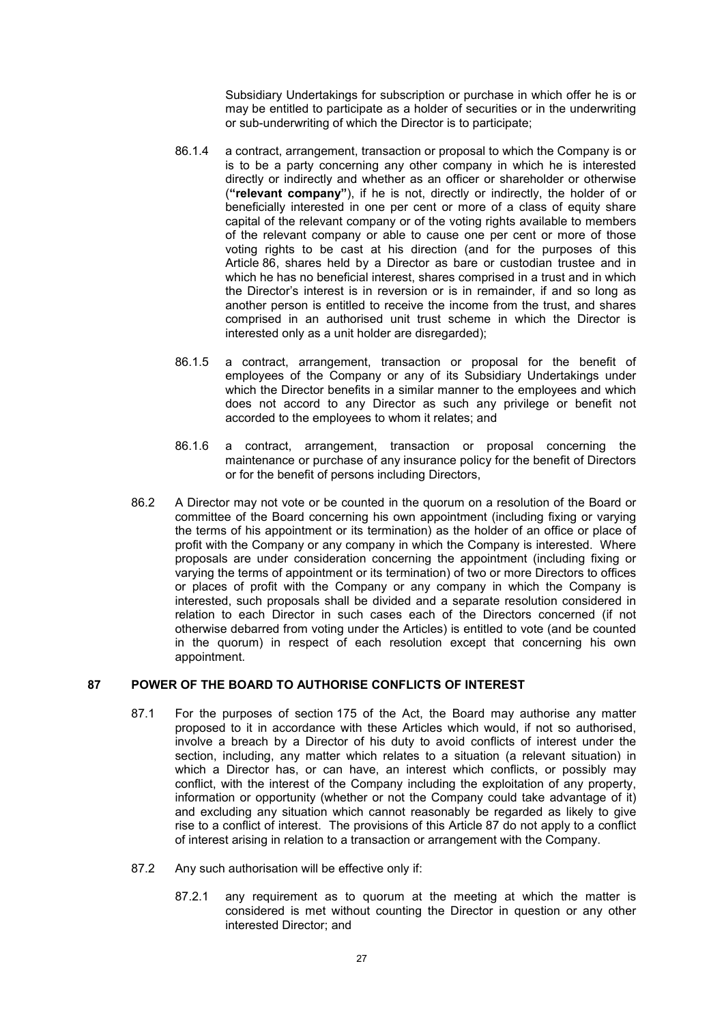Subsidiary Undertakings for subscription or purchase in which offer he is or may be entitled to participate as a holder of securities or in the underwriting or sub-underwriting of which the Director is to participate;

- 86.1.4 a contract, arrangement, transaction or proposal to which the Company is or is to be a party concerning any other company in which he is interested directly or indirectly and whether as an officer or shareholder or otherwise (**"relevant company"**), if he is not, directly or indirectly, the holder of or beneficially interested in one per cent or more of a class of equity share capital of the relevant company or of the voting rights available to members of the relevant company or able to cause one per cent or more of those voting rights to be cast at his direction (and for the purposes of this Article 86, shares held by a Director as bare or custodian trustee and in which he has no beneficial interest, shares comprised in a trust and in which the Director's interest is in reversion or is in remainder, if and so long as another person is entitled to receive the income from the trust, and shares comprised in an authorised unit trust scheme in which the Director is interested only as a unit holder are disregarded);
- 86.1.5 a contract, arrangement, transaction or proposal for the benefit of employees of the Company or any of its Subsidiary Undertakings under which the Director benefits in a similar manner to the employees and which does not accord to any Director as such any privilege or benefit not accorded to the employees to whom it relates; and
- 86.1.6 a contract, arrangement, transaction or proposal concerning the maintenance or purchase of any insurance policy for the benefit of Directors or for the benefit of persons including Directors,
- 86.2 A Director may not vote or be counted in the quorum on a resolution of the Board or committee of the Board concerning his own appointment (including fixing or varying the terms of his appointment or its termination) as the holder of an office or place of profit with the Company or any company in which the Company is interested. Where proposals are under consideration concerning the appointment (including fixing or varying the terms of appointment or its termination) of two or more Directors to offices or places of profit with the Company or any company in which the Company is interested, such proposals shall be divided and a separate resolution considered in relation to each Director in such cases each of the Directors concerned (if not otherwise debarred from voting under the Articles) is entitled to vote (and be counted in the quorum) in respect of each resolution except that concerning his own appointment.

## **87 POWER OF THE BOARD TO AUTHORISE CONFLICTS OF INTEREST**

- 87.1 For the purposes of section 175 of the Act, the Board may authorise any matter proposed to it in accordance with these Articles which would, if not so authorised, involve a breach by a Director of his duty to avoid conflicts of interest under the section, including, any matter which relates to a situation (a relevant situation) in which a Director has, or can have, an interest which conflicts, or possibly may conflict, with the interest of the Company including the exploitation of any property, information or opportunity (whether or not the Company could take advantage of it) and excluding any situation which cannot reasonably be regarded as likely to give rise to a conflict of interest. The provisions of this Article 87 do not apply to a conflict of interest arising in relation to a transaction or arrangement with the Company.
- 87.2 Any such authorisation will be effective only if:
	- 87.2.1 any requirement as to quorum at the meeting at which the matter is considered is met without counting the Director in question or any other interested Director; and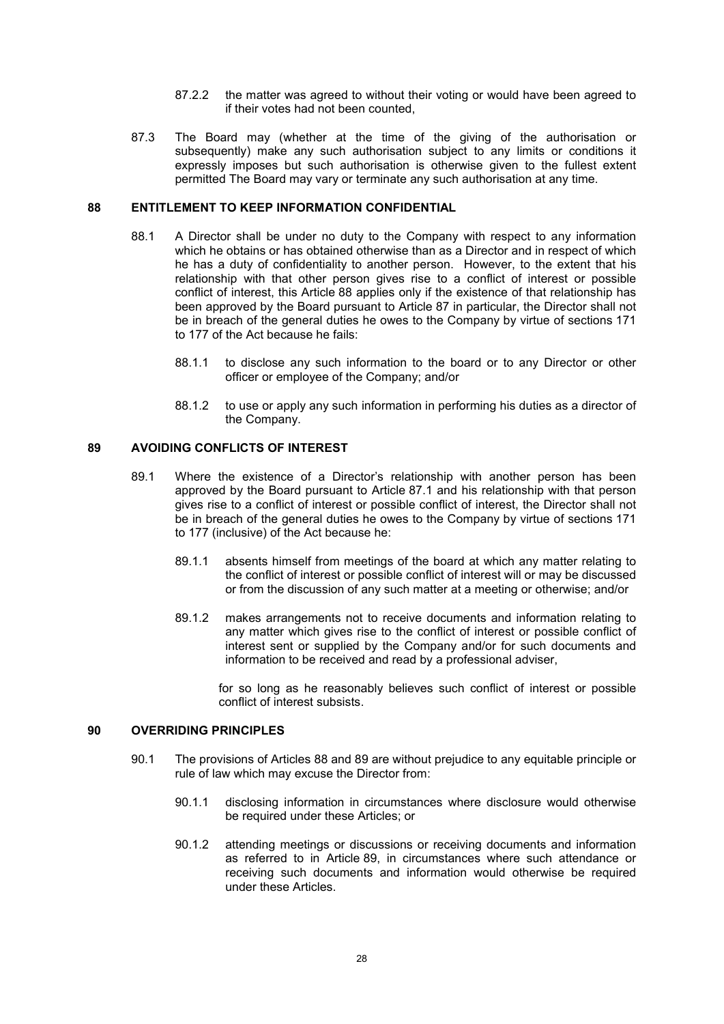- 87.2.2 the matter was agreed to without their voting or would have been agreed to if their votes had not been counted,
- 87.3 The Board may (whether at the time of the giving of the authorisation or subsequently) make any such authorisation subject to any limits or conditions it expressly imposes but such authorisation is otherwise given to the fullest extent permitted The Board may vary or terminate any such authorisation at any time.

### **88 ENTITLEMENT TO KEEP INFORMATION CONFIDENTIAL**

- 88.1 A Director shall be under no duty to the Company with respect to any information which he obtains or has obtained otherwise than as a Director and in respect of which he has a duty of confidentiality to another person. However, to the extent that his relationship with that other person gives rise to a conflict of interest or possible conflict of interest, this Article 88 applies only if the existence of that relationship has been approved by the Board pursuant to Article 87 in particular, the Director shall not be in breach of the general duties he owes to the Company by virtue of sections 171 to 177 of the Act because he fails:
	- 88.1.1 to disclose any such information to the board or to any Director or other officer or employee of the Company; and/or
	- 88.1.2 to use or apply any such information in performing his duties as a director of the Company.

#### **89 AVOIDING CONFLICTS OF INTEREST**

- 89.1 Where the existence of a Director's relationship with another person has been approved by the Board pursuant to Article 87.1 and his relationship with that person gives rise to a conflict of interest or possible conflict of interest, the Director shall not be in breach of the general duties he owes to the Company by virtue of sections 171 to 177 (inclusive) of the Act because he:
	- 89.1.1 absents himself from meetings of the board at which any matter relating to the conflict of interest or possible conflict of interest will or may be discussed or from the discussion of any such matter at a meeting or otherwise; and/or
	- 89.1.2 makes arrangements not to receive documents and information relating to any matter which gives rise to the conflict of interest or possible conflict of interest sent or supplied by the Company and/or for such documents and information to be received and read by a professional adviser,

for so long as he reasonably believes such conflict of interest or possible conflict of interest subsists.

## **90 OVERRIDING PRINCIPLES**

- 90.1 The provisions of Articles 88 and 89 are without prejudice to any equitable principle or rule of law which may excuse the Director from:
	- 90.1.1 disclosing information in circumstances where disclosure would otherwise be required under these Articles; or
	- 90.1.2 attending meetings or discussions or receiving documents and information as referred to in Article 89, in circumstances where such attendance or receiving such documents and information would otherwise be required under these Articles.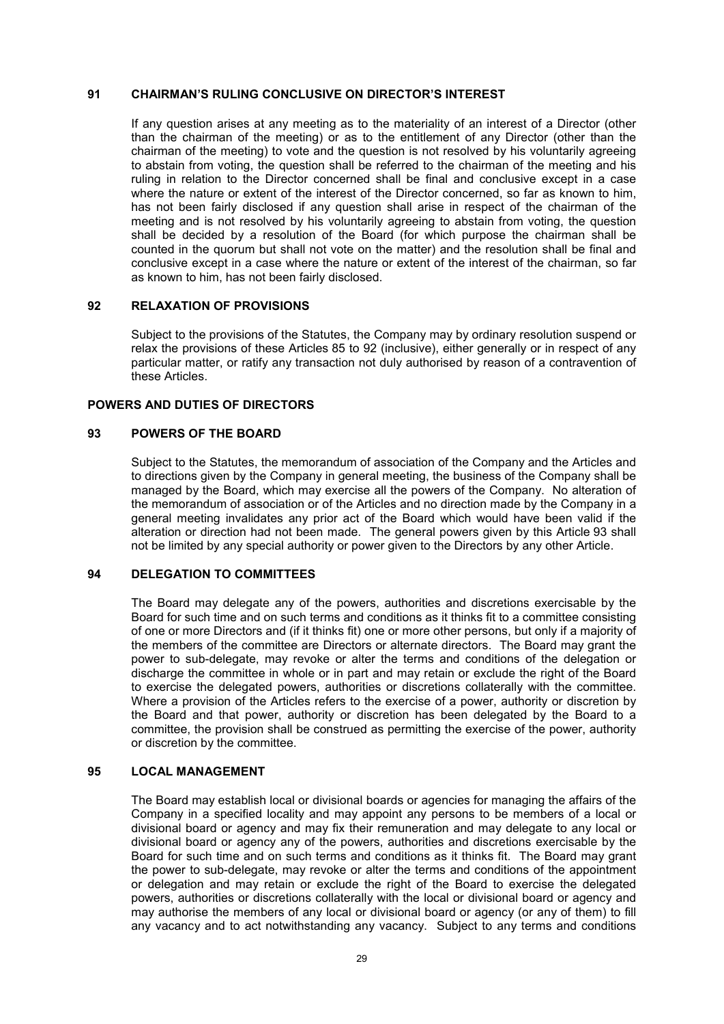#### **91 CHAIRMAN'S RULING CONCLUSIVE ON DIRECTOR'S INTEREST**

If any question arises at any meeting as to the materiality of an interest of a Director (other than the chairman of the meeting) or as to the entitlement of any Director (other than the chairman of the meeting) to vote and the question is not resolved by his voluntarily agreeing to abstain from voting, the question shall be referred to the chairman of the meeting and his ruling in relation to the Director concerned shall be final and conclusive except in a case where the nature or extent of the interest of the Director concerned, so far as known to him, has not been fairly disclosed if any question shall arise in respect of the chairman of the meeting and is not resolved by his voluntarily agreeing to abstain from voting, the question shall be decided by a resolution of the Board (for which purpose the chairman shall be counted in the quorum but shall not vote on the matter) and the resolution shall be final and conclusive except in a case where the nature or extent of the interest of the chairman, so far as known to him, has not been fairly disclosed.

### **92 RELAXATION OF PROVISIONS**

Subject to the provisions of the Statutes, the Company may by ordinary resolution suspend or relax the provisions of these Articles 85 to 92 (inclusive), either generally or in respect of any particular matter, or ratify any transaction not duly authorised by reason of a contravention of these Articles.

### **POWERS AND DUTIES OF DIRECTORS**

## **93 POWERS OF THE BOARD**

Subject to the Statutes, the memorandum of association of the Company and the Articles and to directions given by the Company in general meeting, the business of the Company shall be managed by the Board, which may exercise all the powers of the Company. No alteration of the memorandum of association or of the Articles and no direction made by the Company in a general meeting invalidates any prior act of the Board which would have been valid if the alteration or direction had not been made. The general powers given by this Article 93 shall not be limited by any special authority or power given to the Directors by any other Article.

## **94 DELEGATION TO COMMITTEES**

The Board may delegate any of the powers, authorities and discretions exercisable by the Board for such time and on such terms and conditions as it thinks fit to a committee consisting of one or more Directors and (if it thinks fit) one or more other persons, but only if a majority of the members of the committee are Directors or alternate directors. The Board may grant the power to sub-delegate, may revoke or alter the terms and conditions of the delegation or discharge the committee in whole or in part and may retain or exclude the right of the Board to exercise the delegated powers, authorities or discretions collaterally with the committee. Where a provision of the Articles refers to the exercise of a power, authority or discretion by the Board and that power, authority or discretion has been delegated by the Board to a committee, the provision shall be construed as permitting the exercise of the power, authority or discretion by the committee.

#### **95 LOCAL MANAGEMENT**

The Board may establish local or divisional boards or agencies for managing the affairs of the Company in a specified locality and may appoint any persons to be members of a local or divisional board or agency and may fix their remuneration and may delegate to any local or divisional board or agency any of the powers, authorities and discretions exercisable by the Board for such time and on such terms and conditions as it thinks fit. The Board may grant the power to sub-delegate, may revoke or alter the terms and conditions of the appointment or delegation and may retain or exclude the right of the Board to exercise the delegated powers, authorities or discretions collaterally with the local or divisional board or agency and may authorise the members of any local or divisional board or agency (or any of them) to fill any vacancy and to act notwithstanding any vacancy. Subject to any terms and conditions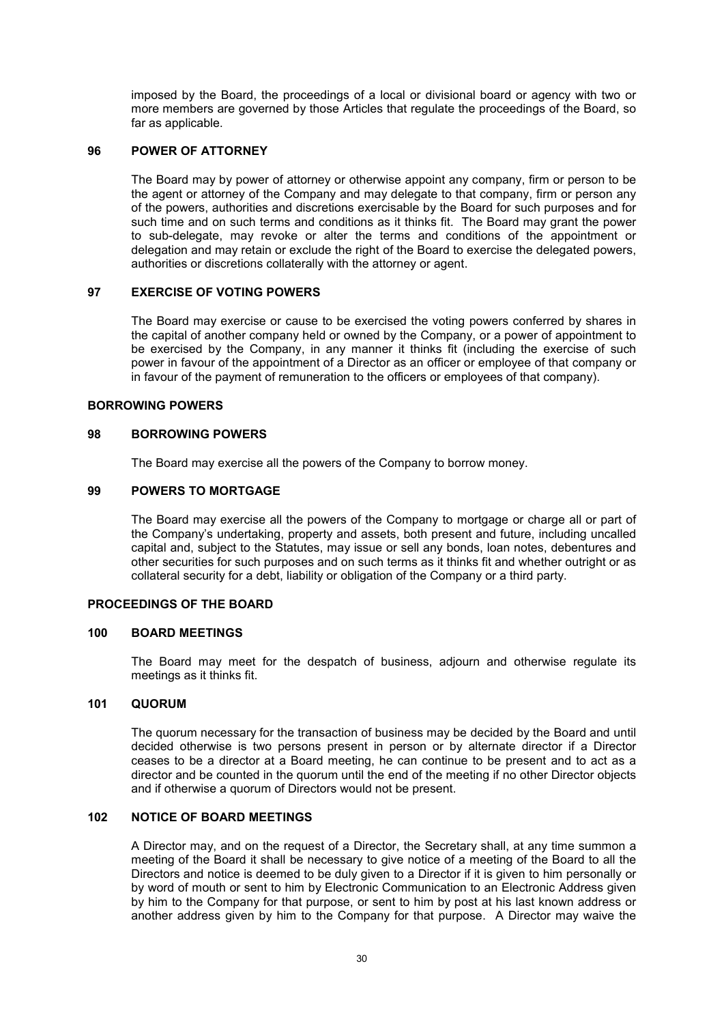imposed by the Board, the proceedings of a local or divisional board or agency with two or more members are governed by those Articles that regulate the proceedings of the Board, so far as applicable.

## **96 POWER OF ATTORNEY**

The Board may by power of attorney or otherwise appoint any company, firm or person to be the agent or attorney of the Company and may delegate to that company, firm or person any of the powers, authorities and discretions exercisable by the Board for such purposes and for such time and on such terms and conditions as it thinks fit. The Board may grant the power to sub-delegate, may revoke or alter the terms and conditions of the appointment or delegation and may retain or exclude the right of the Board to exercise the delegated powers, authorities or discretions collaterally with the attorney or agent.

## **97 EXERCISE OF VOTING POWERS**

The Board may exercise or cause to be exercised the voting powers conferred by shares in the capital of another company held or owned by the Company, or a power of appointment to be exercised by the Company, in any manner it thinks fit (including the exercise of such power in favour of the appointment of a Director as an officer or employee of that company or in favour of the payment of remuneration to the officers or employees of that company).

#### **BORROWING POWERS**

### **98 BORROWING POWERS**

The Board may exercise all the powers of the Company to borrow money.

## **99 POWERS TO MORTGAGE**

The Board may exercise all the powers of the Company to mortgage or charge all or part of the Company's undertaking, property and assets, both present and future, including uncalled capital and, subject to the Statutes, may issue or sell any bonds, loan notes, debentures and other securities for such purposes and on such terms as it thinks fit and whether outright or as collateral security for a debt, liability or obligation of the Company or a third party.

#### **PROCEEDINGS OF THE BOARD**

#### **100 BOARD MEETINGS**

The Board may meet for the despatch of business, adjourn and otherwise regulate its meetings as it thinks fit.

### **101 QUORUM**

The quorum necessary for the transaction of business may be decided by the Board and until decided otherwise is two persons present in person or by alternate director if a Director ceases to be a director at a Board meeting, he can continue to be present and to act as a director and be counted in the quorum until the end of the meeting if no other Director objects and if otherwise a quorum of Directors would not be present.

## **102 NOTICE OF BOARD MEETINGS**

A Director may, and on the request of a Director, the Secretary shall, at any time summon a meeting of the Board it shall be necessary to give notice of a meeting of the Board to all the Directors and notice is deemed to be duly given to a Director if it is given to him personally or by word of mouth or sent to him by Electronic Communication to an Electronic Address given by him to the Company for that purpose, or sent to him by post at his last known address or another address given by him to the Company for that purpose. A Director may waive the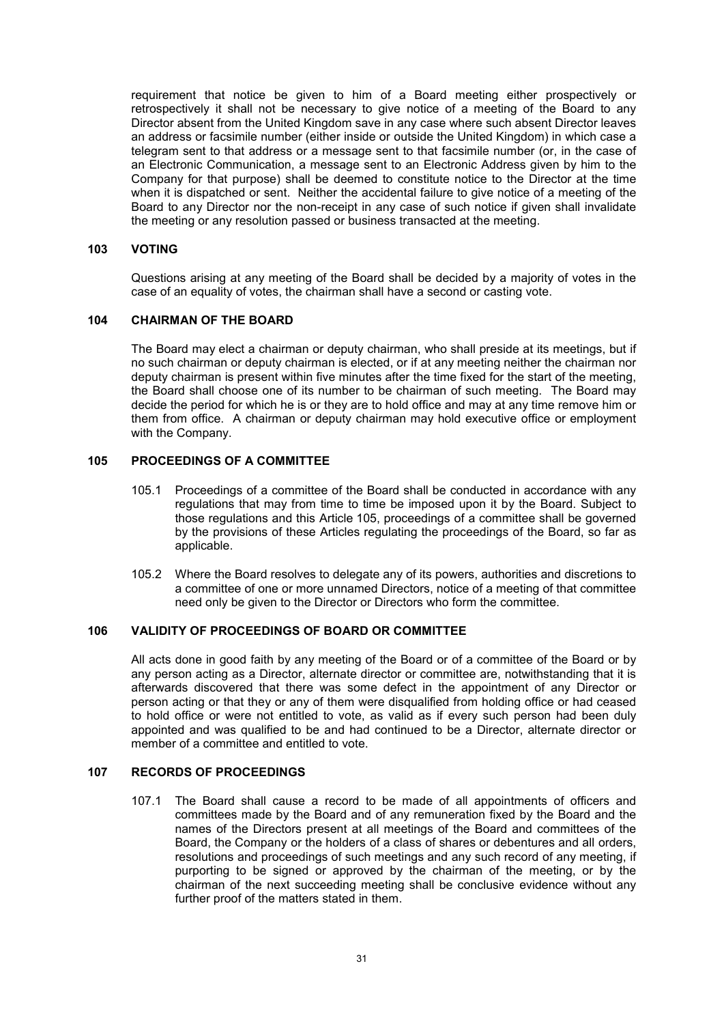requirement that notice be given to him of a Board meeting either prospectively or retrospectively it shall not be necessary to give notice of a meeting of the Board to any Director absent from the United Kingdom save in any case where such absent Director leaves an address or facsimile number (either inside or outside the United Kingdom) in which case a telegram sent to that address or a message sent to that facsimile number (or, in the case of an Electronic Communication, a message sent to an Electronic Address given by him to the Company for that purpose) shall be deemed to constitute notice to the Director at the time when it is dispatched or sent. Neither the accidental failure to give notice of a meeting of the Board to any Director nor the non-receipt in any case of such notice if given shall invalidate the meeting or any resolution passed or business transacted at the meeting.

#### **103 VOTING**

Questions arising at any meeting of the Board shall be decided by a majority of votes in the case of an equality of votes, the chairman shall have a second or casting vote.

## **104 CHAIRMAN OF THE BOARD**

The Board may elect a chairman or deputy chairman, who shall preside at its meetings, but if no such chairman or deputy chairman is elected, or if at any meeting neither the chairman nor deputy chairman is present within five minutes after the time fixed for the start of the meeting, the Board shall choose one of its number to be chairman of such meeting. The Board may decide the period for which he is or they are to hold office and may at any time remove him or them from office. A chairman or deputy chairman may hold executive office or employment with the Company.

## **105 PROCEEDINGS OF A COMMITTEE**

- 105.1 Proceedings of a committee of the Board shall be conducted in accordance with any regulations that may from time to time be imposed upon it by the Board. Subject to those regulations and this Article 105, proceedings of a committee shall be governed by the provisions of these Articles regulating the proceedings of the Board, so far as applicable.
- 105.2 Where the Board resolves to delegate any of its powers, authorities and discretions to a committee of one or more unnamed Directors, notice of a meeting of that committee need only be given to the Director or Directors who form the committee.

### **106 VALIDITY OF PROCEEDINGS OF BOARD OR COMMITTEE**

All acts done in good faith by any meeting of the Board or of a committee of the Board or by any person acting as a Director, alternate director or committee are, notwithstanding that it is afterwards discovered that there was some defect in the appointment of any Director or person acting or that they or any of them were disqualified from holding office or had ceased to hold office or were not entitled to vote, as valid as if every such person had been duly appointed and was qualified to be and had continued to be a Director, alternate director or member of a committee and entitled to vote.

## **107 RECORDS OF PROCEEDINGS**

107.1 The Board shall cause a record to be made of all appointments of officers and committees made by the Board and of any remuneration fixed by the Board and the names of the Directors present at all meetings of the Board and committees of the Board, the Company or the holders of a class of shares or debentures and all orders, resolutions and proceedings of such meetings and any such record of any meeting, if purporting to be signed or approved by the chairman of the meeting, or by the chairman of the next succeeding meeting shall be conclusive evidence without any further proof of the matters stated in them.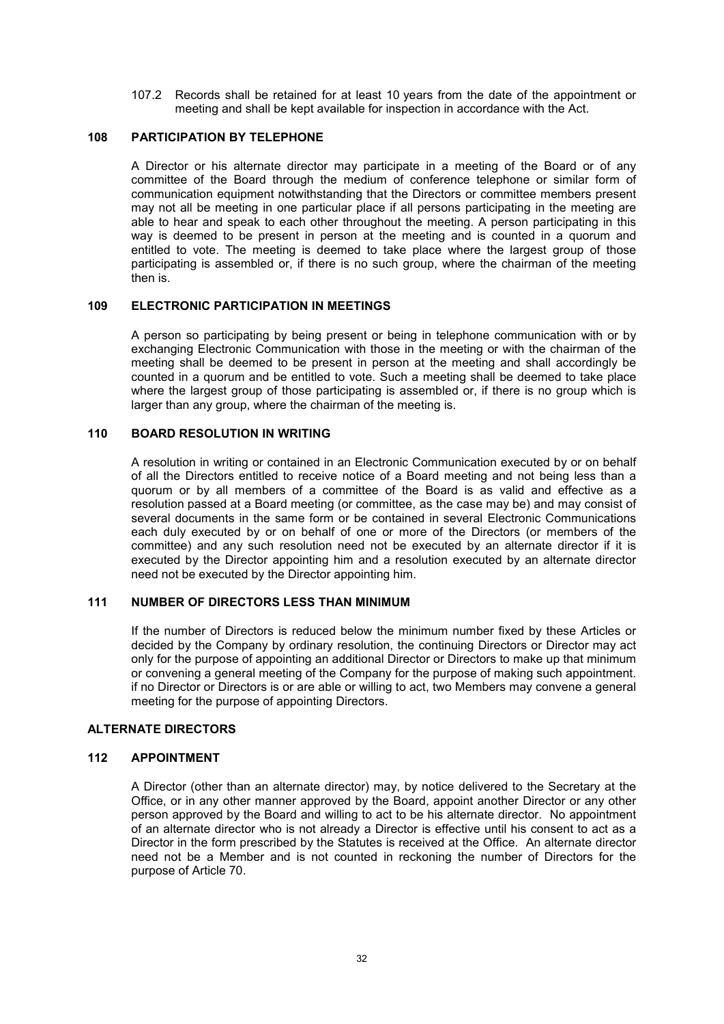107.2 Records shall be retained for at least 10 years from the date of the appointment or meeting and shall be kept available for inspection in accordance with the Act.

#### **108 PARTICIPATION BY TELEPHONE**

A Director or his alternate director may participate in a meeting of the Board or of any committee of the Board through the medium of conference telephone or similar form of communication equipment notwithstanding that the Directors or committee members present may not all be meeting in one particular place if all persons participating in the meeting are able to hear and speak to each other throughout the meeting. A person participating in this way is deemed to be present in person at the meeting and is counted in a quorum and entitled to vote. The meeting is deemed to take place where the largest group of those participating is assembled or, if there is no such group, where the chairman of the meeting then is.

### **109 ELECTRONIC PARTICIPATION IN MEETINGS**

A person so participating by being present or being in telephone communication with or by exchanging Electronic Communication with those in the meeting or with the chairman of the meeting shall be deemed to be present in person at the meeting and shall accordingly be counted in a quorum and be entitled to vote. Such a meeting shall be deemed to take place where the largest group of those participating is assembled or, if there is no group which is larger than any group, where the chairman of the meeting is.

## **110 BOARD RESOLUTION IN WRITING**

A resolution in writing or contained in an Electronic Communication executed by or on behalf of all the Directors entitled to receive notice of a Board meeting and not being less than a quorum or by all members of a committee of the Board is as valid and effective as a resolution passed at a Board meeting (or committee, as the case may be) and may consist of several documents in the same form or be contained in several Electronic Communications each duly executed by or on behalf of one or more of the Directors (or members of the committee) and any such resolution need not be executed by an alternate director if it is executed by the Director appointing him and a resolution executed by an alternate director need not be executed by the Director appointing him.

## **111 NUMBER OF DIRECTORS LESS THAN MINIMUM**

If the number of Directors is reduced below the minimum number fixed by these Articles or decided by the Company by ordinary resolution, the continuing Directors or Director may act only for the purpose of appointing an additional Director or Directors to make up that minimum or convening a general meeting of the Company for the purpose of making such appointment. if no Director or Directors is or are able or willing to act, two Members may convene a general meeting for the purpose of appointing Directors.

## **ALTERNATE DIRECTORS**

#### **112 APPOINTMENT**

A Director (other than an alternate director) may, by notice delivered to the Secretary at the Office, or in any other manner approved by the Board, appoint another Director or any other person approved by the Board and willing to act to be his alternate director. No appointment of an alternate director who is not already a Director is effective until his consent to act as a Director in the form prescribed by the Statutes is received at the Office. An alternate director need not be a Member and is not counted in reckoning the number of Directors for the purpose of Article 70.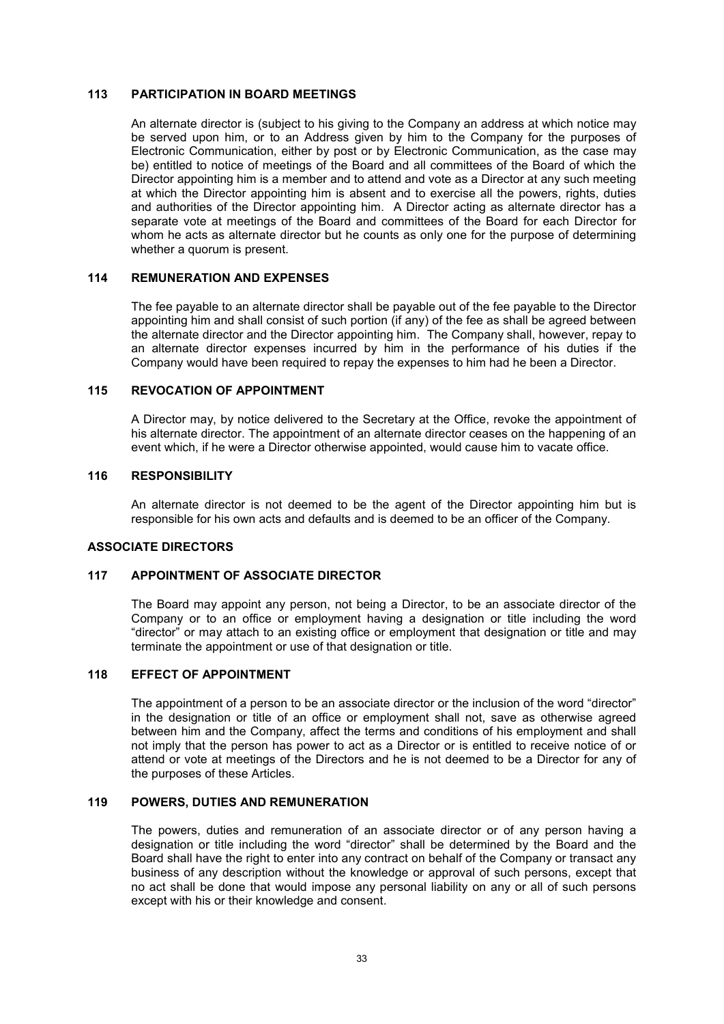## **113 PARTICIPATION IN BOARD MEETINGS**

An alternate director is (subject to his giving to the Company an address at which notice may be served upon him, or to an Address given by him to the Company for the purposes of Electronic Communication, either by post or by Electronic Communication, as the case may be) entitled to notice of meetings of the Board and all committees of the Board of which the Director appointing him is a member and to attend and vote as a Director at any such meeting at which the Director appointing him is absent and to exercise all the powers, rights, duties and authorities of the Director appointing him. A Director acting as alternate director has a separate vote at meetings of the Board and committees of the Board for each Director for whom he acts as alternate director but he counts as only one for the purpose of determining whether a quorum is present.

#### **114 REMUNERATION AND EXPENSES**

The fee payable to an alternate director shall be payable out of the fee payable to the Director appointing him and shall consist of such portion (if any) of the fee as shall be agreed between the alternate director and the Director appointing him. The Company shall, however, repay to an alternate director expenses incurred by him in the performance of his duties if the Company would have been required to repay the expenses to him had he been a Director.

#### **115 REVOCATION OF APPOINTMENT**

A Director may, by notice delivered to the Secretary at the Office, revoke the appointment of his alternate director. The appointment of an alternate director ceases on the happening of an event which, if he were a Director otherwise appointed, would cause him to vacate office.

#### **116 RESPONSIBILITY**

An alternate director is not deemed to be the agent of the Director appointing him but is responsible for his own acts and defaults and is deemed to be an officer of the Company.

### **ASSOCIATE DIRECTORS**

## **117 APPOINTMENT OF ASSOCIATE DIRECTOR**

The Board may appoint any person, not being a Director, to be an associate director of the Company or to an office or employment having a designation or title including the word "director" or may attach to an existing office or employment that designation or title and may terminate the appointment or use of that designation or title.

#### **118 EFFECT OF APPOINTMENT**

The appointment of a person to be an associate director or the inclusion of the word "director" in the designation or title of an office or employment shall not, save as otherwise agreed between him and the Company, affect the terms and conditions of his employment and shall not imply that the person has power to act as a Director or is entitled to receive notice of or attend or vote at meetings of the Directors and he is not deemed to be a Director for any of the purposes of these Articles.

#### **119 POWERS, DUTIES AND REMUNERATION**

The powers, duties and remuneration of an associate director or of any person having a designation or title including the word "director" shall be determined by the Board and the Board shall have the right to enter into any contract on behalf of the Company or transact any business of any description without the knowledge or approval of such persons, except that no act shall be done that would impose any personal liability on any or all of such persons except with his or their knowledge and consent.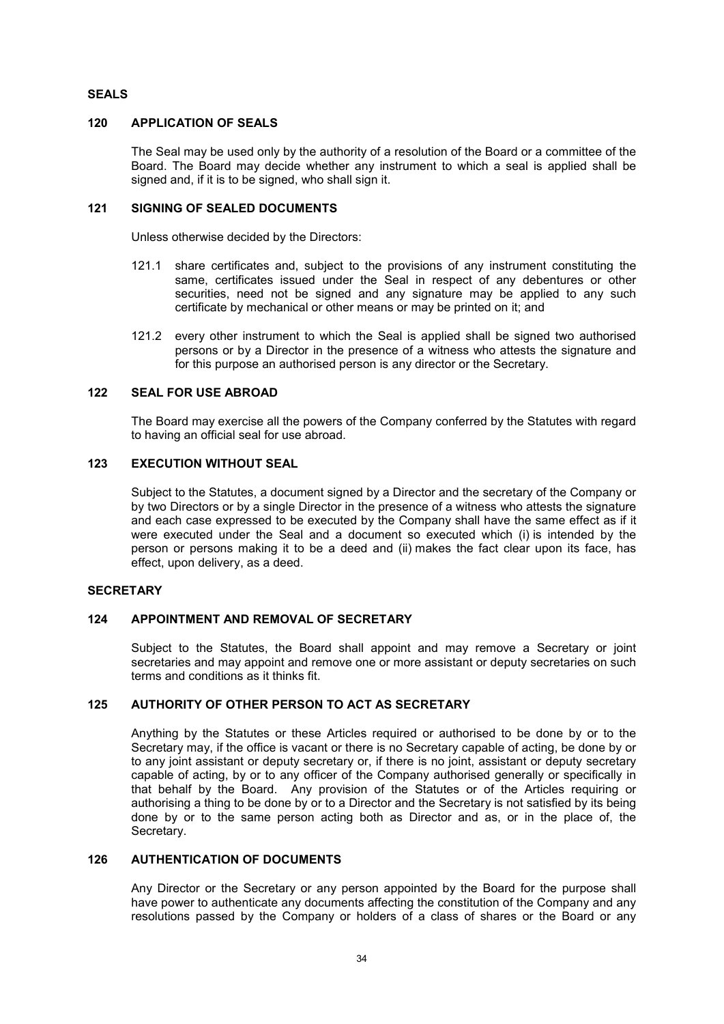## **SEALS**

## **120 APPLICATION OF SEALS**

The Seal may be used only by the authority of a resolution of the Board or a committee of the Board. The Board may decide whether any instrument to which a seal is applied shall be signed and, if it is to be signed, who shall sign it.

## **121 SIGNING OF SEALED DOCUMENTS**

Unless otherwise decided by the Directors:

- 121.1 share certificates and, subject to the provisions of any instrument constituting the same, certificates issued under the Seal in respect of any debentures or other securities, need not be signed and any signature may be applied to any such certificate by mechanical or other means or may be printed on it; and
- 121.2 every other instrument to which the Seal is applied shall be signed two authorised persons or by a Director in the presence of a witness who attests the signature and for this purpose an authorised person is any director or the Secretary.

## **122 SEAL FOR USE ABROAD**

The Board may exercise all the powers of the Company conferred by the Statutes with regard to having an official seal for use abroad.

## **123 EXECUTION WITHOUT SEAL**

Subject to the Statutes, a document signed by a Director and the secretary of the Company or by two Directors or by a single Director in the presence of a witness who attests the signature and each case expressed to be executed by the Company shall have the same effect as if it were executed under the Seal and a document so executed which (i) is intended by the person or persons making it to be a deed and (ii) makes the fact clear upon its face, has effect, upon delivery, as a deed.

## **SECRETARY**

## **124 APPOINTMENT AND REMOVAL OF SECRETARY**

Subject to the Statutes, the Board shall appoint and may remove a Secretary or joint secretaries and may appoint and remove one or more assistant or deputy secretaries on such terms and conditions as it thinks fit.

### **125 AUTHORITY OF OTHER PERSON TO ACT AS SECRETARY**

Anything by the Statutes or these Articles required or authorised to be done by or to the Secretary may, if the office is vacant or there is no Secretary capable of acting, be done by or to any joint assistant or deputy secretary or, if there is no joint, assistant or deputy secretary capable of acting, by or to any officer of the Company authorised generally or specifically in that behalf by the Board. Any provision of the Statutes or of the Articles requiring or authorising a thing to be done by or to a Director and the Secretary is not satisfied by its being done by or to the same person acting both as Director and as, or in the place of, the Secretary.

## **126 AUTHENTICATION OF DOCUMENTS**

Any Director or the Secretary or any person appointed by the Board for the purpose shall have power to authenticate any documents affecting the constitution of the Company and any resolutions passed by the Company or holders of a class of shares or the Board or any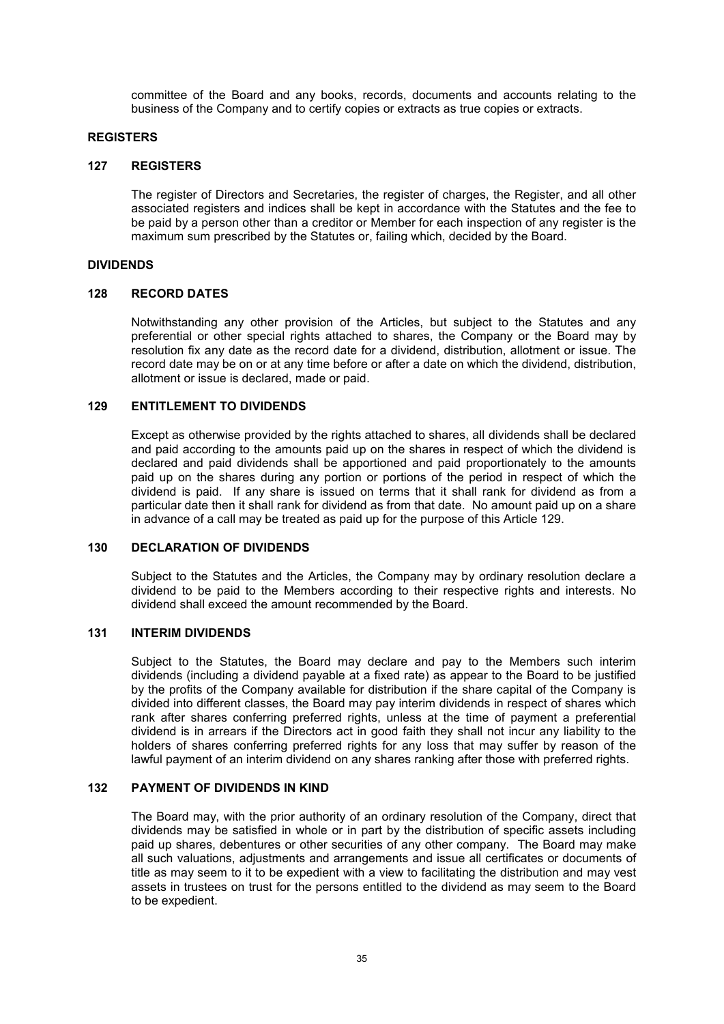committee of the Board and any books, records, documents and accounts relating to the business of the Company and to certify copies or extracts as true copies or extracts.

#### **REGISTERS**

#### **127 REGISTERS**

The register of Directors and Secretaries, the register of charges, the Register, and all other associated registers and indices shall be kept in accordance with the Statutes and the fee to be paid by a person other than a creditor or Member for each inspection of any register is the maximum sum prescribed by the Statutes or, failing which, decided by the Board.

## **DIVIDENDS**

#### **128 RECORD DATES**

Notwithstanding any other provision of the Articles, but subject to the Statutes and any preferential or other special rights attached to shares, the Company or the Board may by resolution fix any date as the record date for a dividend, distribution, allotment or issue. The record date may be on or at any time before or after a date on which the dividend, distribution, allotment or issue is declared, made or paid.

## **129 ENTITLEMENT TO DIVIDENDS**

Except as otherwise provided by the rights attached to shares, all dividends shall be declared and paid according to the amounts paid up on the shares in respect of which the dividend is declared and paid dividends shall be apportioned and paid proportionately to the amounts paid up on the shares during any portion or portions of the period in respect of which the dividend is paid. If any share is issued on terms that it shall rank for dividend as from a particular date then it shall rank for dividend as from that date. No amount paid up on a share in advance of a call may be treated as paid up for the purpose of this Article 129.

### **130 DECLARATION OF DIVIDENDS**

Subject to the Statutes and the Articles, the Company may by ordinary resolution declare a dividend to be paid to the Members according to their respective rights and interests. No dividend shall exceed the amount recommended by the Board.

#### **131 INTERIM DIVIDENDS**

Subject to the Statutes, the Board may declare and pay to the Members such interim dividends (including a dividend payable at a fixed rate) as appear to the Board to be justified by the profits of the Company available for distribution if the share capital of the Company is divided into different classes, the Board may pay interim dividends in respect of shares which rank after shares conferring preferred rights, unless at the time of payment a preferential dividend is in arrears if the Directors act in good faith they shall not incur any liability to the holders of shares conferring preferred rights for any loss that may suffer by reason of the lawful payment of an interim dividend on any shares ranking after those with preferred rights.

#### **132 PAYMENT OF DIVIDENDS IN KIND**

The Board may, with the prior authority of an ordinary resolution of the Company, direct that dividends may be satisfied in whole or in part by the distribution of specific assets including paid up shares, debentures or other securities of any other company. The Board may make all such valuations, adjustments and arrangements and issue all certificates or documents of title as may seem to it to be expedient with a view to facilitating the distribution and may vest assets in trustees on trust for the persons entitled to the dividend as may seem to the Board to be expedient.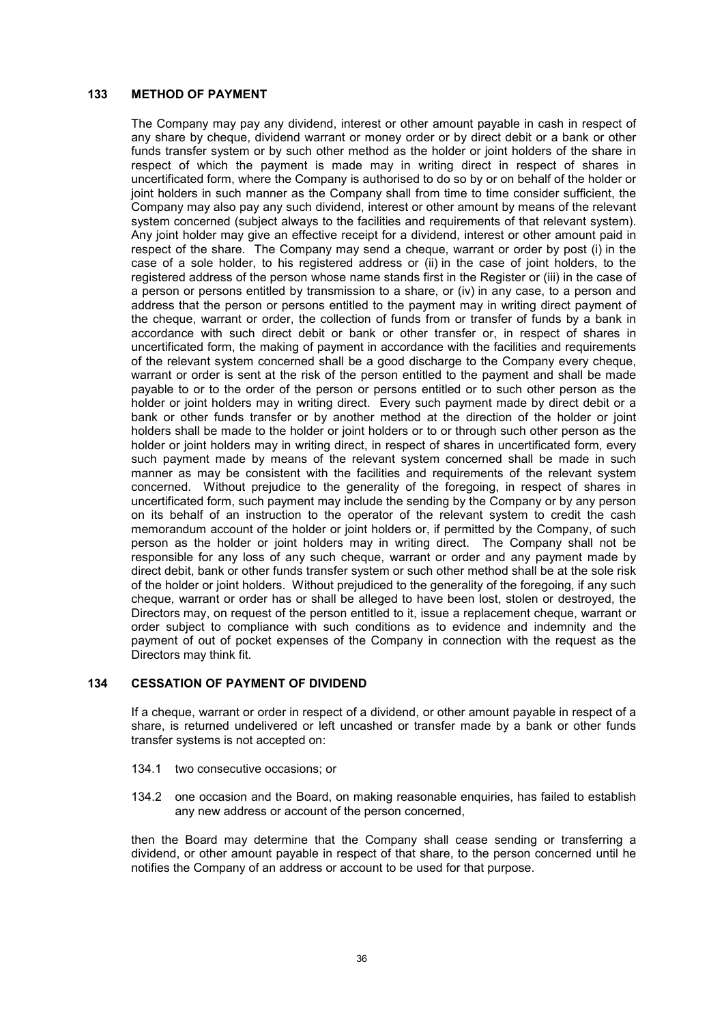## **133 METHOD OF PAYMENT**

The Company may pay any dividend, interest or other amount payable in cash in respect of any share by cheque, dividend warrant or money order or by direct debit or a bank or other funds transfer system or by such other method as the holder or joint holders of the share in respect of which the payment is made may in writing direct in respect of shares in uncertificated form, where the Company is authorised to do so by or on behalf of the holder or joint holders in such manner as the Company shall from time to time consider sufficient, the Company may also pay any such dividend, interest or other amount by means of the relevant system concerned (subject always to the facilities and requirements of that relevant system). Any joint holder may give an effective receipt for a dividend, interest or other amount paid in respect of the share. The Company may send a cheque, warrant or order by post (i) in the case of a sole holder, to his registered address or (ii) in the case of joint holders, to the registered address of the person whose name stands first in the Register or (iii) in the case of a person or persons entitled by transmission to a share, or (iv) in any case, to a person and address that the person or persons entitled to the payment may in writing direct payment of the cheque, warrant or order, the collection of funds from or transfer of funds by a bank in accordance with such direct debit or bank or other transfer or, in respect of shares in uncertificated form, the making of payment in accordance with the facilities and requirements of the relevant system concerned shall be a good discharge to the Company every cheque, warrant or order is sent at the risk of the person entitled to the payment and shall be made payable to or to the order of the person or persons entitled or to such other person as the holder or joint holders may in writing direct. Every such payment made by direct debit or a bank or other funds transfer or by another method at the direction of the holder or joint holders shall be made to the holder or joint holders or to or through such other person as the holder or joint holders may in writing direct, in respect of shares in uncertificated form, every such payment made by means of the relevant system concerned shall be made in such manner as may be consistent with the facilities and requirements of the relevant system concerned. Without prejudice to the generality of the foregoing, in respect of shares in uncertificated form, such payment may include the sending by the Company or by any person on its behalf of an instruction to the operator of the relevant system to credit the cash memorandum account of the holder or joint holders or, if permitted by the Company, of such person as the holder or joint holders may in writing direct. The Company shall not be responsible for any loss of any such cheque, warrant or order and any payment made by direct debit, bank or other funds transfer system or such other method shall be at the sole risk of the holder or joint holders. Without prejudiced to the generality of the foregoing, if any such cheque, warrant or order has or shall be alleged to have been lost, stolen or destroyed, the Directors may, on request of the person entitled to it, issue a replacement cheque, warrant or order subject to compliance with such conditions as to evidence and indemnity and the payment of out of pocket expenses of the Company in connection with the request as the Directors may think fit.

#### **134 CESSATION OF PAYMENT OF DIVIDEND**

If a cheque, warrant or order in respect of a dividend, or other amount payable in respect of a share, is returned undelivered or left uncashed or transfer made by a bank or other funds transfer systems is not accepted on:

- 134.1 two consecutive occasions; or
- 134.2 one occasion and the Board, on making reasonable enquiries, has failed to establish any new address or account of the person concerned,

then the Board may determine that the Company shall cease sending or transferring a dividend, or other amount payable in respect of that share, to the person concerned until he notifies the Company of an address or account to be used for that purpose.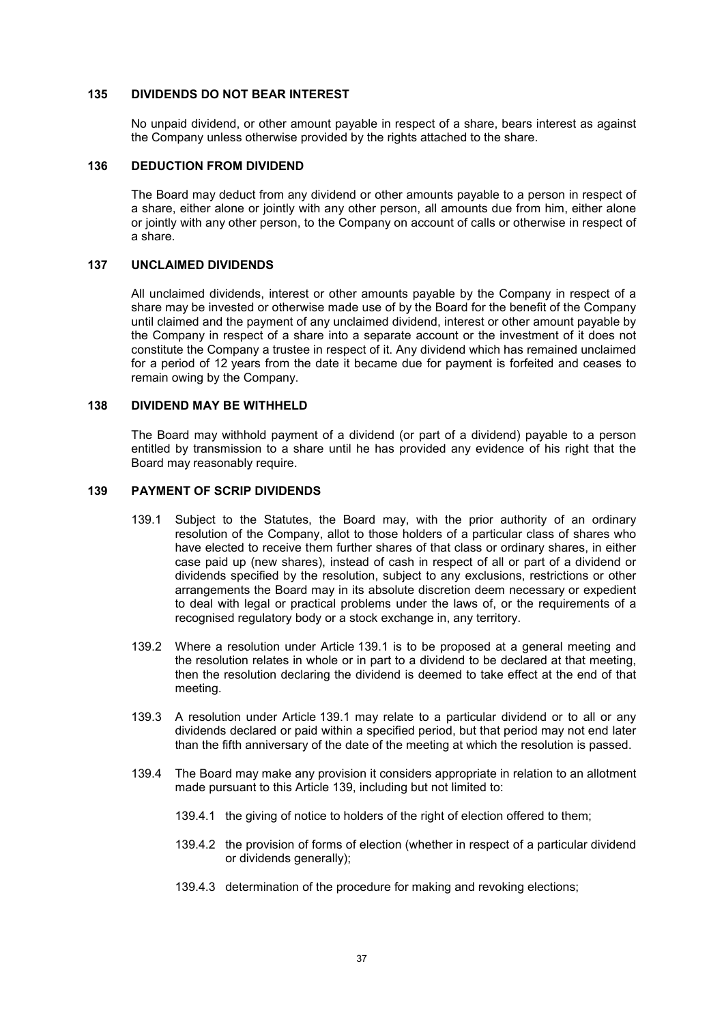#### **135 DIVIDENDS DO NOT BEAR INTEREST**

No unpaid dividend, or other amount payable in respect of a share, bears interest as against the Company unless otherwise provided by the rights attached to the share.

#### **136 DEDUCTION FROM DIVIDEND**

The Board may deduct from any dividend or other amounts payable to a person in respect of a share, either alone or jointly with any other person, all amounts due from him, either alone or jointly with any other person, to the Company on account of calls or otherwise in respect of a share.

#### **137 UNCLAIMED DIVIDENDS**

All unclaimed dividends, interest or other amounts payable by the Company in respect of a share may be invested or otherwise made use of by the Board for the benefit of the Company until claimed and the payment of any unclaimed dividend, interest or other amount payable by the Company in respect of a share into a separate account or the investment of it does not constitute the Company a trustee in respect of it. Any dividend which has remained unclaimed for a period of 12 years from the date it became due for payment is forfeited and ceases to remain owing by the Company.

### **138 DIVIDEND MAY BE WITHHELD**

The Board may withhold payment of a dividend (or part of a dividend) payable to a person entitled by transmission to a share until he has provided any evidence of his right that the Board may reasonably require.

## **139 PAYMENT OF SCRIP DIVIDENDS**

- 139.1 Subject to the Statutes, the Board may, with the prior authority of an ordinary resolution of the Company, allot to those holders of a particular class of shares who have elected to receive them further shares of that class or ordinary shares, in either case paid up (new shares), instead of cash in respect of all or part of a dividend or dividends specified by the resolution, subject to any exclusions, restrictions or other arrangements the Board may in its absolute discretion deem necessary or expedient to deal with legal or practical problems under the laws of, or the requirements of a recognised regulatory body or a stock exchange in, any territory.
- 139.2 Where a resolution under Article 139.1 is to be proposed at a general meeting and the resolution relates in whole or in part to a dividend to be declared at that meeting, then the resolution declaring the dividend is deemed to take effect at the end of that meeting.
- 139.3 A resolution under Article 139.1 may relate to a particular dividend or to all or any dividends declared or paid within a specified period, but that period may not end later than the fifth anniversary of the date of the meeting at which the resolution is passed.
- 139.4 The Board may make any provision it considers appropriate in relation to an allotment made pursuant to this Article 139, including but not limited to:
	- 139.4.1 the giving of notice to holders of the right of election offered to them;
	- 139.4.2 the provision of forms of election (whether in respect of a particular dividend or dividends generally);
	- 139.4.3 determination of the procedure for making and revoking elections;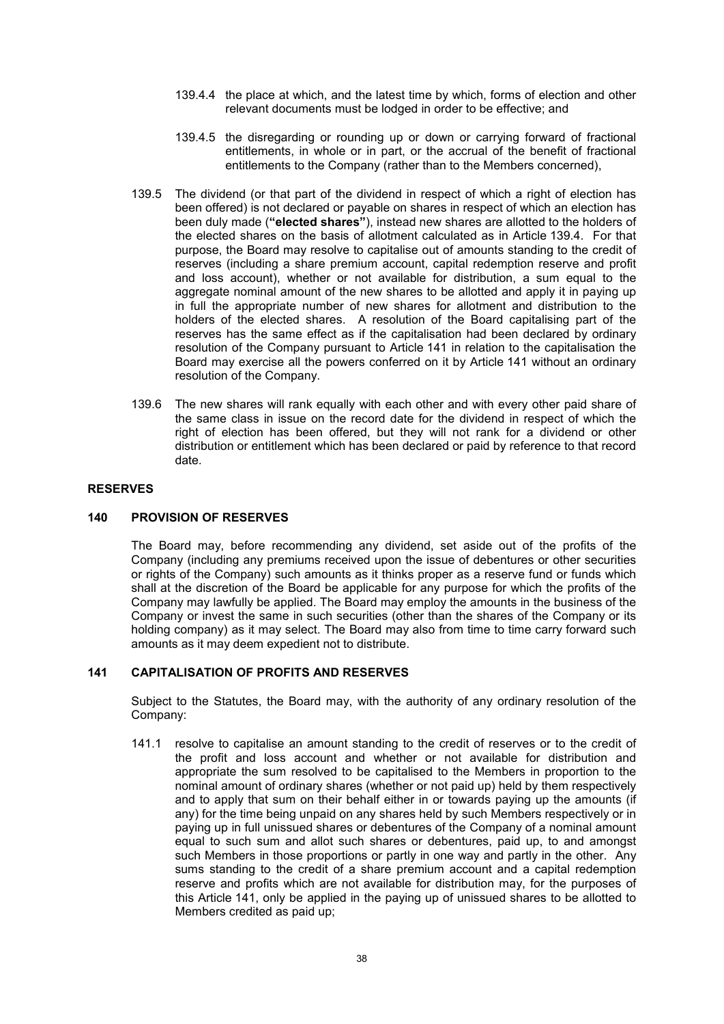- 139.4.4 the place at which, and the latest time by which, forms of election and other relevant documents must be lodged in order to be effective; and
- 139.4.5 the disregarding or rounding up or down or carrying forward of fractional entitlements, in whole or in part, or the accrual of the benefit of fractional entitlements to the Company (rather than to the Members concerned),
- 139.5 The dividend (or that part of the dividend in respect of which a right of election has been offered) is not declared or payable on shares in respect of which an election has been duly made (**"elected shares"**), instead new shares are allotted to the holders of the elected shares on the basis of allotment calculated as in Article 139.4. For that purpose, the Board may resolve to capitalise out of amounts standing to the credit of reserves (including a share premium account, capital redemption reserve and profit and loss account), whether or not available for distribution, a sum equal to the aggregate nominal amount of the new shares to be allotted and apply it in paying up in full the appropriate number of new shares for allotment and distribution to the holders of the elected shares. A resolution of the Board capitalising part of the reserves has the same effect as if the capitalisation had been declared by ordinary resolution of the Company pursuant to Article 141 in relation to the capitalisation the Board may exercise all the powers conferred on it by Article 141 without an ordinary resolution of the Company.
- 139.6 The new shares will rank equally with each other and with every other paid share of the same class in issue on the record date for the dividend in respect of which the right of election has been offered, but they will not rank for a dividend or other distribution or entitlement which has been declared or paid by reference to that record date.

## **RESERVES**

### **140 PROVISION OF RESERVES**

The Board may, before recommending any dividend, set aside out of the profits of the Company (including any premiums received upon the issue of debentures or other securities or rights of the Company) such amounts as it thinks proper as a reserve fund or funds which shall at the discretion of the Board be applicable for any purpose for which the profits of the Company may lawfully be applied. The Board may employ the amounts in the business of the Company or invest the same in such securities (other than the shares of the Company or its holding company) as it may select. The Board may also from time to time carry forward such amounts as it may deem expedient not to distribute.

## **141 CAPITALISATION OF PROFITS AND RESERVES**

Subject to the Statutes, the Board may, with the authority of any ordinary resolution of the Company:

141.1 resolve to capitalise an amount standing to the credit of reserves or to the credit of the profit and loss account and whether or not available for distribution and appropriate the sum resolved to be capitalised to the Members in proportion to the nominal amount of ordinary shares (whether or not paid up) held by them respectively and to apply that sum on their behalf either in or towards paying up the amounts (if any) for the time being unpaid on any shares held by such Members respectively or in paying up in full unissued shares or debentures of the Company of a nominal amount equal to such sum and allot such shares or debentures, paid up, to and amongst such Members in those proportions or partly in one way and partly in the other. Any sums standing to the credit of a share premium account and a capital redemption reserve and profits which are not available for distribution may, for the purposes of this Article 141, only be applied in the paying up of unissued shares to be allotted to Members credited as paid up;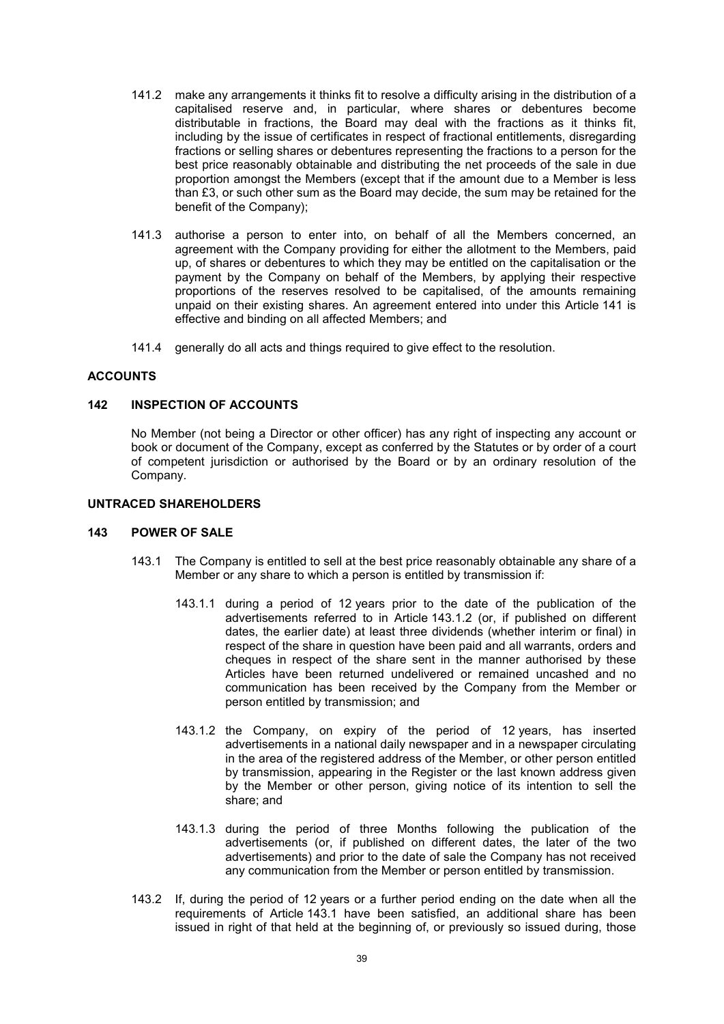- 141.2 make any arrangements it thinks fit to resolve a difficulty arising in the distribution of a capitalised reserve and, in particular, where shares or debentures become distributable in fractions, the Board may deal with the fractions as it thinks fit, including by the issue of certificates in respect of fractional entitlements, disregarding fractions or selling shares or debentures representing the fractions to a person for the best price reasonably obtainable and distributing the net proceeds of the sale in due proportion amongst the Members (except that if the amount due to a Member is less than £3, or such other sum as the Board may decide, the sum may be retained for the benefit of the Company);
- 141.3 authorise a person to enter into, on behalf of all the Members concerned, an agreement with the Company providing for either the allotment to the Members, paid up, of shares or debentures to which they may be entitled on the capitalisation or the payment by the Company on behalf of the Members, by applying their respective proportions of the reserves resolved to be capitalised, of the amounts remaining unpaid on their existing shares. An agreement entered into under this Article 141 is effective and binding on all affected Members; and
- 141.4 generally do all acts and things required to give effect to the resolution.

#### **ACCOUNTS**

### **142 INSPECTION OF ACCOUNTS**

No Member (not being a Director or other officer) has any right of inspecting any account or book or document of the Company, except as conferred by the Statutes or by order of a court of competent jurisdiction or authorised by the Board or by an ordinary resolution of the Company.

### **UNTRACED SHAREHOLDERS**

#### **143 POWER OF SALE**

- 143.1 The Company is entitled to sell at the best price reasonably obtainable any share of a Member or any share to which a person is entitled by transmission if:
	- 143.1.1 during a period of 12 years prior to the date of the publication of the advertisements referred to in Article 143.1.2 (or, if published on different dates, the earlier date) at least three dividends (whether interim or final) in respect of the share in question have been paid and all warrants, orders and cheques in respect of the share sent in the manner authorised by these Articles have been returned undelivered or remained uncashed and no communication has been received by the Company from the Member or person entitled by transmission; and
	- 143.1.2 the Company, on expiry of the period of 12 years, has inserted advertisements in a national daily newspaper and in a newspaper circulating in the area of the registered address of the Member, or other person entitled by transmission, appearing in the Register or the last known address given by the Member or other person, giving notice of its intention to sell the share; and
	- 143.1.3 during the period of three Months following the publication of the advertisements (or, if published on different dates, the later of the two advertisements) and prior to the date of sale the Company has not received any communication from the Member or person entitled by transmission.
- 143.2 If, during the period of 12 years or a further period ending on the date when all the requirements of Article 143.1 have been satisfied, an additional share has been issued in right of that held at the beginning of, or previously so issued during, those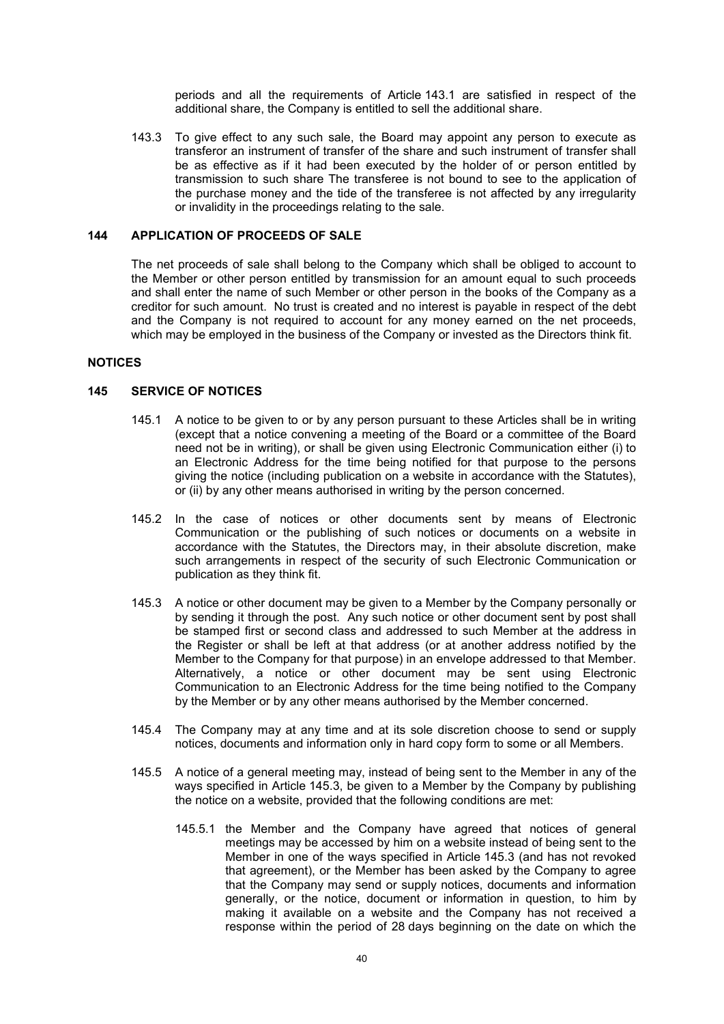periods and all the requirements of Article 143.1 are satisfied in respect of the additional share, the Company is entitled to sell the additional share.

143.3 To give effect to any such sale, the Board may appoint any person to execute as transferor an instrument of transfer of the share and such instrument of transfer shall be as effective as if it had been executed by the holder of or person entitled by transmission to such share The transferee is not bound to see to the application of the purchase money and the tide of the transferee is not affected by any irregularity or invalidity in the proceedings relating to the sale.

## **144 APPLICATION OF PROCEEDS OF SALE**

The net proceeds of sale shall belong to the Company which shall be obliged to account to the Member or other person entitled by transmission for an amount equal to such proceeds and shall enter the name of such Member or other person in the books of the Company as a creditor for such amount. No trust is created and no interest is payable in respect of the debt and the Company is not required to account for any money earned on the net proceeds, which may be employed in the business of the Company or invested as the Directors think fit.

## **NOTICES**

## **145 SERVICE OF NOTICES**

- 145.1 A notice to be given to or by any person pursuant to these Articles shall be in writing (except that a notice convening a meeting of the Board or a committee of the Board need not be in writing), or shall be given using Electronic Communication either (i) to an Electronic Address for the time being notified for that purpose to the persons giving the notice (including publication on a website in accordance with the Statutes), or (ii) by any other means authorised in writing by the person concerned.
- 145.2 In the case of notices or other documents sent by means of Electronic Communication or the publishing of such notices or documents on a website in accordance with the Statutes, the Directors may, in their absolute discretion, make such arrangements in respect of the security of such Electronic Communication or publication as they think fit.
- 145.3 A notice or other document may be given to a Member by the Company personally or by sending it through the post. Any such notice or other document sent by post shall be stamped first or second class and addressed to such Member at the address in the Register or shall be left at that address (or at another address notified by the Member to the Company for that purpose) in an envelope addressed to that Member. Alternatively, a notice or other document may be sent using Electronic Communication to an Electronic Address for the time being notified to the Company by the Member or by any other means authorised by the Member concerned.
- 145.4 The Company may at any time and at its sole discretion choose to send or supply notices, documents and information only in hard copy form to some or all Members.
- 145.5 A notice of a general meeting may, instead of being sent to the Member in any of the ways specified in Article 145.3, be given to a Member by the Company by publishing the notice on a website, provided that the following conditions are met:
	- 145.5.1 the Member and the Company have agreed that notices of general meetings may be accessed by him on a website instead of being sent to the Member in one of the ways specified in Article 145.3 (and has not revoked that agreement), or the Member has been asked by the Company to agree that the Company may send or supply notices, documents and information generally, or the notice, document or information in question, to him by making it available on a website and the Company has not received a response within the period of 28 days beginning on the date on which the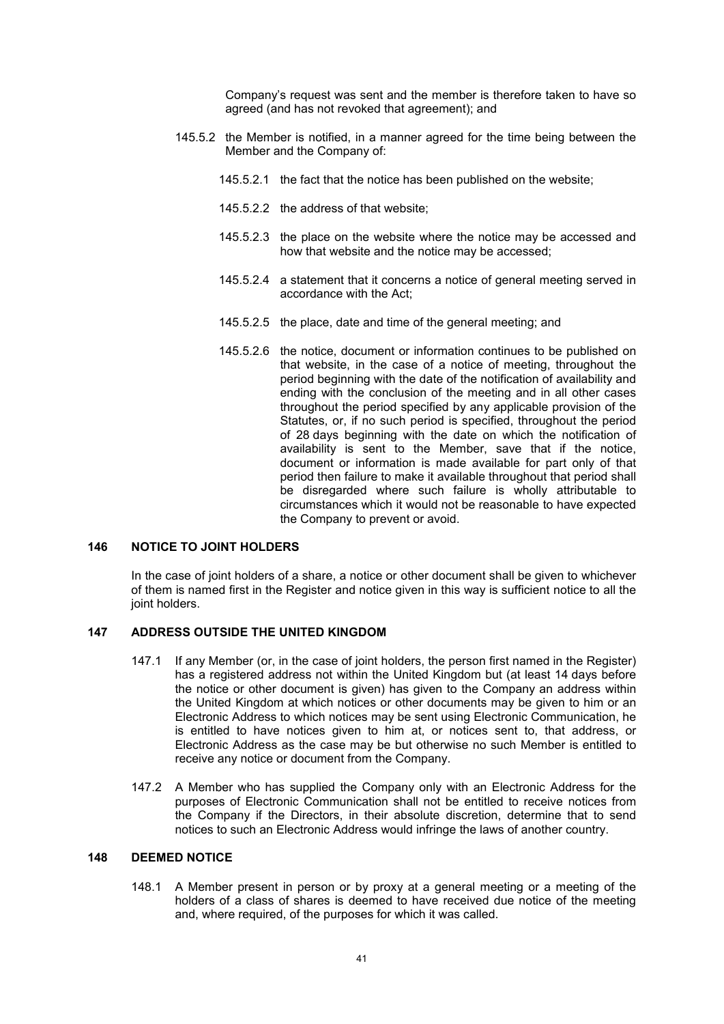Company's request was sent and the member is therefore taken to have so agreed (and has not revoked that agreement); and

- 145.5.2 the Member is notified, in a manner agreed for the time being between the Member and the Company of:
	- 145.5.2.1 the fact that the notice has been published on the website;
	- 145.5.2.2 the address of that website;
	- 145.5.2.3 the place on the website where the notice may be accessed and how that website and the notice may be accessed;
	- 145.5.2.4 a statement that it concerns a notice of general meeting served in accordance with the Act;
	- 145.5.2.5 the place, date and time of the general meeting; and
	- 145.5.2.6 the notice, document or information continues to be published on that website, in the case of a notice of meeting, throughout the period beginning with the date of the notification of availability and ending with the conclusion of the meeting and in all other cases throughout the period specified by any applicable provision of the Statutes, or, if no such period is specified, throughout the period of 28 days beginning with the date on which the notification of availability is sent to the Member, save that if the notice, document or information is made available for part only of that period then failure to make it available throughout that period shall be disregarded where such failure is wholly attributable to circumstances which it would not be reasonable to have expected the Company to prevent or avoid.

#### **146 NOTICE TO JOINT HOLDERS**

In the case of joint holders of a share, a notice or other document shall be given to whichever of them is named first in the Register and notice given in this way is sufficient notice to all the joint holders.

## **147 ADDRESS OUTSIDE THE UNITED KINGDOM**

- 147.1 If any Member (or, in the case of joint holders, the person first named in the Register) has a registered address not within the United Kingdom but (at least 14 days before the notice or other document is given) has given to the Company an address within the United Kingdom at which notices or other documents may be given to him or an Electronic Address to which notices may be sent using Electronic Communication, he is entitled to have notices given to him at, or notices sent to, that address, or Electronic Address as the case may be but otherwise no such Member is entitled to receive any notice or document from the Company.
- 147.2 A Member who has supplied the Company only with an Electronic Address for the purposes of Electronic Communication shall not be entitled to receive notices from the Company if the Directors, in their absolute discretion, determine that to send notices to such an Electronic Address would infringe the laws of another country.

### **148 DEEMED NOTICE**

148.1 A Member present in person or by proxy at a general meeting or a meeting of the holders of a class of shares is deemed to have received due notice of the meeting and, where required, of the purposes for which it was called.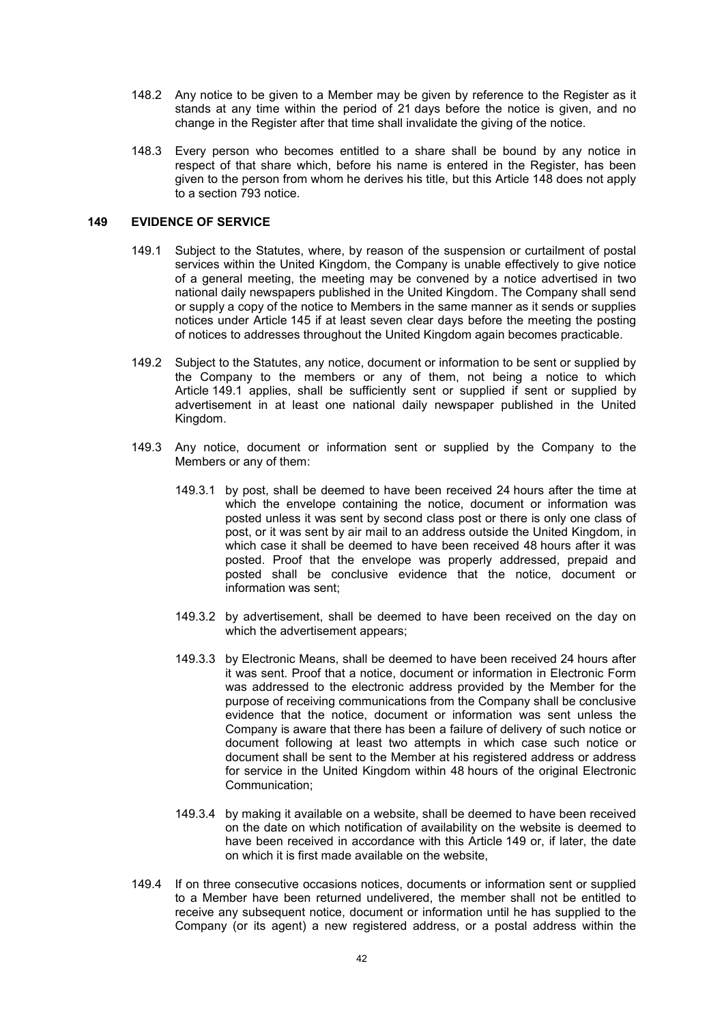- 148.2 Any notice to be given to a Member may be given by reference to the Register as it stands at any time within the period of 21 days before the notice is given, and no change in the Register after that time shall invalidate the giving of the notice.
- 148.3 Every person who becomes entitled to a share shall be bound by any notice in respect of that share which, before his name is entered in the Register, has been given to the person from whom he derives his title, but this Article 148 does not apply to a section 793 notice.

## **149 EVIDENCE OF SERVICE**

- 149.1 Subject to the Statutes, where, by reason of the suspension or curtailment of postal services within the United Kingdom, the Company is unable effectively to give notice of a general meeting, the meeting may be convened by a notice advertised in two national daily newspapers published in the United Kingdom. The Company shall send or supply a copy of the notice to Members in the same manner as it sends or supplies notices under Article 145 if at least seven clear days before the meeting the posting of notices to addresses throughout the United Kingdom again becomes practicable.
- 149.2 Subject to the Statutes, any notice, document or information to be sent or supplied by the Company to the members or any of them, not being a notice to which Article 149.1 applies, shall be sufficiently sent or supplied if sent or supplied by advertisement in at least one national daily newspaper published in the United Kingdom.
- 149.3 Any notice, document or information sent or supplied by the Company to the Members or any of them:
	- 149.3.1 by post, shall be deemed to have been received 24 hours after the time at which the envelope containing the notice, document or information was posted unless it was sent by second class post or there is only one class of post, or it was sent by air mail to an address outside the United Kingdom, in which case it shall be deemed to have been received 48 hours after it was posted. Proof that the envelope was properly addressed, prepaid and posted shall be conclusive evidence that the notice, document or information was sent;
	- 149.3.2 by advertisement, shall be deemed to have been received on the day on which the advertisement appears;
	- 149.3.3 by Electronic Means, shall be deemed to have been received 24 hours after it was sent. Proof that a notice, document or information in Electronic Form was addressed to the electronic address provided by the Member for the purpose of receiving communications from the Company shall be conclusive evidence that the notice, document or information was sent unless the Company is aware that there has been a failure of delivery of such notice or document following at least two attempts in which case such notice or document shall be sent to the Member at his registered address or address for service in the United Kingdom within 48 hours of the original Electronic Communication;
	- 149.3.4 by making it available on a website, shall be deemed to have been received on the date on which notification of availability on the website is deemed to have been received in accordance with this Article 149 or, if later, the date on which it is first made available on the website,
- 149.4 If on three consecutive occasions notices, documents or information sent or supplied to a Member have been returned undelivered, the member shall not be entitled to receive any subsequent notice, document or information until he has supplied to the Company (or its agent) a new registered address, or a postal address within the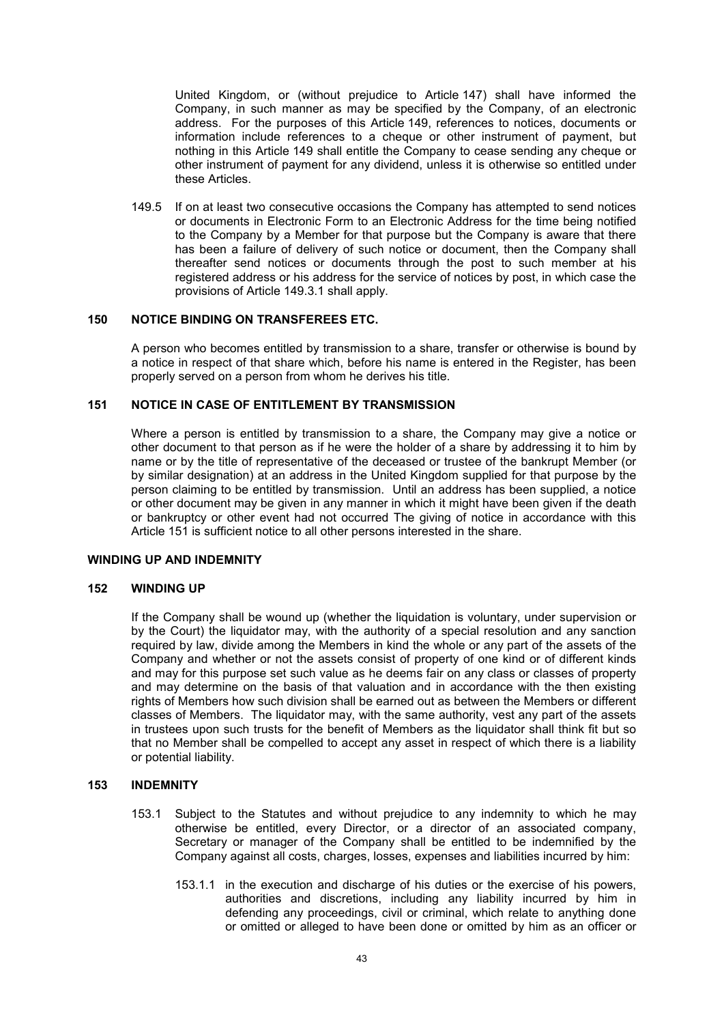United Kingdom, or (without prejudice to Article 147) shall have informed the Company, in such manner as may be specified by the Company, of an electronic address. For the purposes of this Article 149, references to notices, documents or information include references to a cheque or other instrument of payment, but nothing in this Article 149 shall entitle the Company to cease sending any cheque or other instrument of payment for any dividend, unless it is otherwise so entitled under these Articles.

149.5 If on at least two consecutive occasions the Company has attempted to send notices or documents in Electronic Form to an Electronic Address for the time being notified to the Company by a Member for that purpose but the Company is aware that there has been a failure of delivery of such notice or document, then the Company shall thereafter send notices or documents through the post to such member at his registered address or his address for the service of notices by post, in which case the provisions of Article 149.3.1 shall apply.

## **150 NOTICE BINDING ON TRANSFEREES ETC.**

A person who becomes entitled by transmission to a share, transfer or otherwise is bound by a notice in respect of that share which, before his name is entered in the Register, has been properly served on a person from whom he derives his title.

## **151 NOTICE IN CASE OF ENTITLEMENT BY TRANSMISSION**

Where a person is entitled by transmission to a share, the Company may give a notice or other document to that person as if he were the holder of a share by addressing it to him by name or by the title of representative of the deceased or trustee of the bankrupt Member (or by similar designation) at an address in the United Kingdom supplied for that purpose by the person claiming to be entitled by transmission. Until an address has been supplied, a notice or other document may be given in any manner in which it might have been given if the death or bankruptcy or other event had not occurred The giving of notice in accordance with this Article 151 is sufficient notice to all other persons interested in the share.

## **WINDING UP AND INDEMNITY**

#### **152 WINDING UP**

If the Company shall be wound up (whether the liquidation is voluntary, under supervision or by the Court) the liquidator may, with the authority of a special resolution and any sanction required by law, divide among the Members in kind the whole or any part of the assets of the Company and whether or not the assets consist of property of one kind or of different kinds and may for this purpose set such value as he deems fair on any class or classes of property and may determine on the basis of that valuation and in accordance with the then existing rights of Members how such division shall be earned out as between the Members or different classes of Members. The liquidator may, with the same authority, vest any part of the assets in trustees upon such trusts for the benefit of Members as the liquidator shall think fit but so that no Member shall be compelled to accept any asset in respect of which there is a liability or potential liability.

#### **153 INDEMNITY**

- 153.1 Subject to the Statutes and without prejudice to any indemnity to which he may otherwise be entitled, every Director, or a director of an associated company, Secretary or manager of the Company shall be entitled to be indemnified by the Company against all costs, charges, losses, expenses and liabilities incurred by him:
	- 153.1.1 in the execution and discharge of his duties or the exercise of his powers, authorities and discretions, including any liability incurred by him in defending any proceedings, civil or criminal, which relate to anything done or omitted or alleged to have been done or omitted by him as an officer or